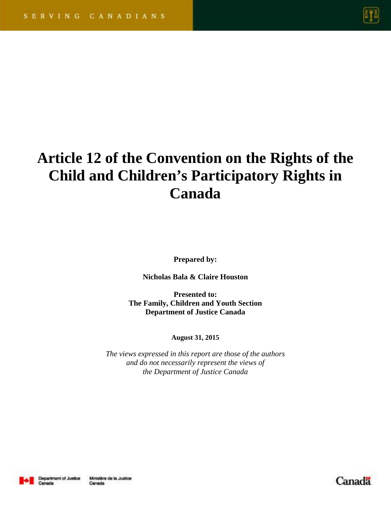

# **Article 12 of the Convention on the Rights of the Child and Children's Participatory Rights in Canada**

**Prepared by:** 

**Nicholas Bala & Claire Houston** 

**Presented to: The Family, Children and Youth Section Department of Justice Canada** 

**August 31, 2015** 

*The views expressed in this report are those of the authors and do not necessarily represent the views of the Department of Justice Canada* 



Canada

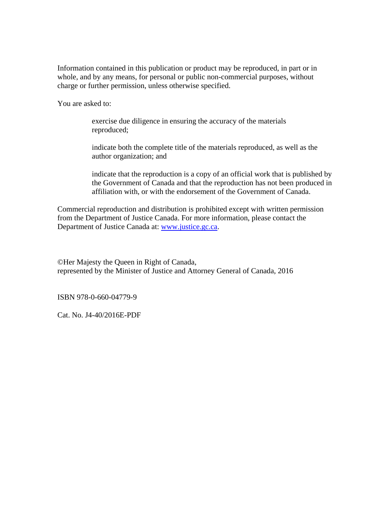Information contained in this publication or product may be reproduced, in part or in whole, and by any means, for personal or public non-commercial purposes, without charge or further permission, unless otherwise specified.

You are asked to:

exercise due diligence in ensuring the accuracy of the materials reproduced;

indicate both the complete title of the materials reproduced, as well as the author organization; and

indicate that the reproduction is a copy of an official work that is published by the Government of Canada and that the reproduction has not been produced in affiliation with, or with the endorsement of the Government of Canada.

Commercial reproduction and distribution is prohibited except with written permission from the Department of Justice Canada. For more information, please contact the Department of Justice Canada at: www.justice.gc.ca.

©Her Majesty the Queen in Right of Canada, represented by the Minister of Justice and Attorney General of Canada, 2016

ISBN 978-0-660-04779-9

Cat. No. J4-40/2016E-PDF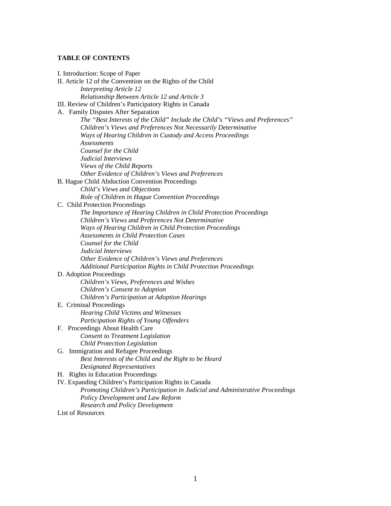# **TABLE OF CONTENTS**

| I. Introduction: Scope of Paper                                                                          |
|----------------------------------------------------------------------------------------------------------|
| II. Article 12 of the Convention on the Rights of the Child                                              |
| <b>Interpreting Article 12</b>                                                                           |
| Relationship Between Article 12 and Article 3                                                            |
| III. Review of Children's Participatory Rights in Canada                                                 |
| A. Family Disputes After Separation                                                                      |
| The "Best Interests of the Child" Include the Child's "Views and Preferences"                            |
| Children's Views and Preferences Not Necessarily Determinative                                           |
| Ways of Hearing Children in Custody and Access Proceedings                                               |
| <b>Assessments</b>                                                                                       |
| Counsel for the Child                                                                                    |
| Judicial Interviews                                                                                      |
| Views of the Child Reports                                                                               |
| Other Evidence of Children's Views and Preferences                                                       |
| B. Hague Child Abduction Convention Proceedings                                                          |
| Child's Views and Objections                                                                             |
| Role of Children in Hague Convention Proceedings                                                         |
| C. Child Protection Proceedings                                                                          |
| The Importance of Hearing Children in Child Protection Proceedings                                       |
| Children's Views and Preferences Not Determinative                                                       |
| Ways of Hearing Children in Child Protection Proceedings<br><b>Assessments in Child Protection Cases</b> |
| Counsel for the Child                                                                                    |
| Judicial Interviews                                                                                      |
| Other Evidence of Children's Views and Preferences                                                       |
| Additional Participation Rights in Child Protection Proceedings                                          |
| D. Adoption Proceedings                                                                                  |
| Children's Views, Preferences and Wishes                                                                 |
| Children's Consent to Adoption                                                                           |
| Children's Participation at Adoption Hearings                                                            |
| E. Criminal Proceedings                                                                                  |
| <b>Hearing Child Victims and Witnesses</b>                                                               |
| Participation Rights of Young Offenders                                                                  |
| F. Proceedings About Health Care                                                                         |
| <b>Consent to Treatment Legislation</b>                                                                  |
| <b>Child Protection Legislation</b>                                                                      |
| G. Immigration and Refugee Proceedings                                                                   |
| Best Interests of the Child and the Right to be Heard                                                    |
| Designated Representatives                                                                               |
| H. Rights in Education Proceedings                                                                       |
| IV. Expanding Children's Participation Rights in Canada                                                  |
| Promoting Children's Participation in Judicial and Administrative Proceedings                            |
| Policy Development and Law Reform                                                                        |
| <b>Research and Policy Development</b>                                                                   |
| List of Resources                                                                                        |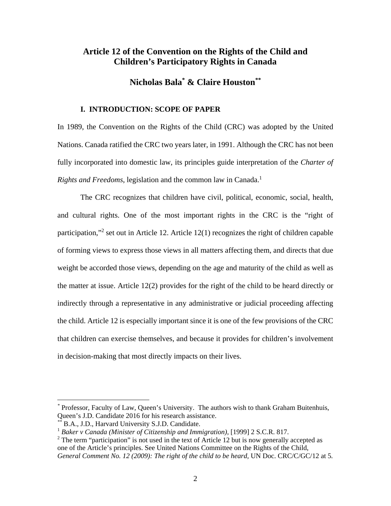# **Article 12 of the Convention on the Rights of the Child and Children's Participatory Rights in Canada**

# **Nicholas Bala\* & Claire Houston\*\***

# **I. INTRODUCTION: SCOPE OF PAPER**

In 1989, the Convention on the Rights of the Child (CRC) was adopted by the United Nations. Canada ratified the CRC two years later, in 1991. Although the CRC has not been fully incorporated into domestic law, its principles guide interpretation of the *Charter of Rights and Freedoms*, legislation and the common law in Canada.<sup>1</sup>

 The CRC recognizes that children have civil, political, economic, social, health, and cultural rights. One of the most important rights in the CRC is the "right of participation,"<sup>2</sup> set out in Article 12. Article 12(1) recognizes the right of children capable of forming views to express those views in all matters affecting them, and directs that due weight be accorded those views, depending on the age and maturity of the child as well as the matter at issue. Article 12(2) provides for the right of the child to be heard directly or indirectly through a representative in any administrative or judicial proceeding affecting the child. Article 12 is especially important since it is one of the few provisions of the CRC that children can exercise themselves, and because it provides for children's involvement in decision-making that most directly impacts on their lives.

*<sup>\*</sup>* Professor, Faculty of Law, Queen's University. The authors wish to thank Graham Buitenhuis, Queen's J.D. Candidate 2016 for his research assistance.

B.A., J.D., Harvard University S.J.D. Candidate.

<sup>&</sup>lt;sup>1</sup> Baker v Canada (Minister of Citizenship and Immigration), [1999] 2 S.C.R. 817.

 $2$  The term "participation" is not used in the text of Article 12 but is now generally accepted as one of the Article's principles. See United Nations Committee on the Rights of the Child, *General Comment No. 12 (2009): The right of the child to be heard,* UN Doc. CRC/C/GC/12 at 5*.*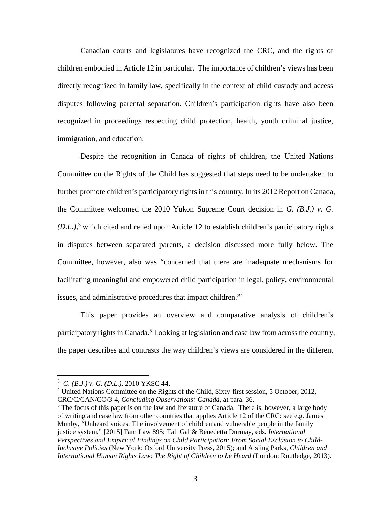Canadian courts and legislatures have recognized the CRC, and the rights of children embodied in Article 12 in particular. The importance of children's views has been directly recognized in family law, specifically in the context of child custody and access disputes following parental separation. Children's participation rights have also been recognized in proceedings respecting child protection, health, youth criminal justice, immigration, and education.

 Despite the recognition in Canada of rights of children, the United Nations Committee on the Rights of the Child has suggested that steps need to be undertaken to further promote children's participatory rights in this country. In its 2012 Report on Canada, the Committee welcomed the 2010 Yukon Supreme Court decision in *G. (B.J.) v. G. (D.L.)*, 3 which cited and relied upon Article 12 to establish children's participatory rights in disputes between separated parents, a decision discussed more fully below. The Committee, however, also was "concerned that there are inadequate mechanisms for facilitating meaningful and empowered child participation in legal, policy, environmental issues, and administrative procedures that impact children."4

 This paper provides an overview and comparative analysis of children's participatory rights in Canada.<sup>5</sup> Looking at legislation and case law from across the country, the paper describes and contrasts the way children's views are considered in the different

<sup>3</sup> *G. (B.J.) v. G. (D.L.),* 2010 YKSC 44.

<sup>&</sup>lt;sup>4</sup> United Nations Committee on the Rights of the Child, Sixty-first session, 5 October, 2012, CRC/C/CAN/CO/3-4*, Concluding Observations: Canada*, at para. 36.

 $<sup>5</sup>$  The focus of this paper is on the law and literature of Canada. There is, however, a large body</sup> of writing and case law from other countries that applies Article 12 of the CRC: see e.g. James Munby, "Unheard voices: The involvement of children and vulnerable people in the family justice system," [2015] Fam Law 895; Tali Gal & Benedetta Durmay, eds. *International Perspectives and Empirical Findings on Child Participation: From Social Exclusion to Child-Inclusive Policies* (New York: Oxford University Press, 2015); and Aisling Parks, *Children and International Human Rights Law: The Right of Children to be Heard* (London: Routledge, 2013).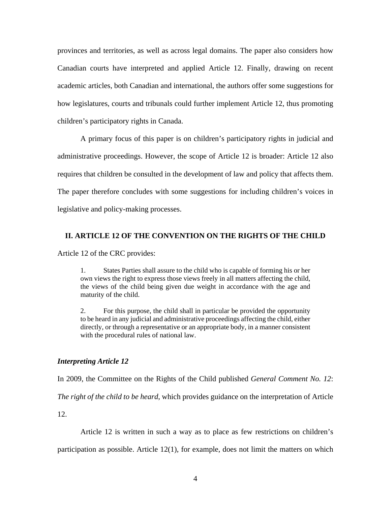provinces and territories, as well as across legal domains. The paper also considers how Canadian courts have interpreted and applied Article 12. Finally, drawing on recent academic articles, both Canadian and international, the authors offer some suggestions for how legislatures, courts and tribunals could further implement Article 12, thus promoting children's participatory rights in Canada.

A primary focus of this paper is on children's participatory rights in judicial and administrative proceedings. However, the scope of Article 12 is broader: Article 12 also requires that children be consulted in the development of law and policy that affects them. The paper therefore concludes with some suggestions for including children's voices in legislative and policy-making processes.

# **II. ARTICLE 12 OF THE CONVENTION ON THE RIGHTS OF THE CHILD**

Article 12 of the CRC provides:

1. States Parties shall assure to the child who is capable of forming his or her own views the right to express those views freely in all matters affecting the child, the views of the child being given due weight in accordance with the age and maturity of the child.

2. For this purpose, the child shall in particular be provided the opportunity to be heard in any judicial and administrative proceedings affecting the child, either directly, or through a representative or an appropriate body, in a manner consistent with the procedural rules of national law.

#### *Interpreting Article 12*

In 2009, the Committee on the Rights of the Child published *General Comment No. 12*:

*The right of the child to be heard*, which provides guidance on the interpretation of Article

12.

Article 12 is written in such a way as to place as few restrictions on children's

participation as possible. Article 12(1), for example, does not limit the matters on which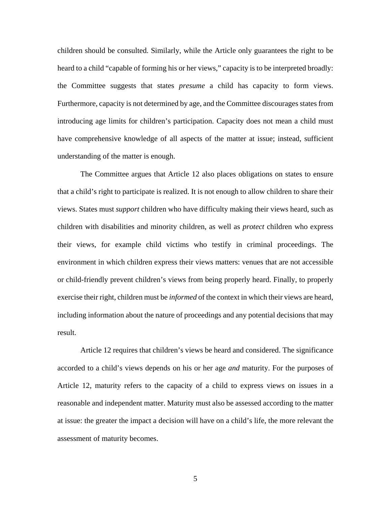children should be consulted. Similarly, while the Article only guarantees the right to be heard to a child "capable of forming his or her views," capacity is to be interpreted broadly: the Committee suggests that states *presume* a child has capacity to form views. Furthermore, capacity is not determined by age, and the Committee discourages states from introducing age limits for children's participation. Capacity does not mean a child must have comprehensive knowledge of all aspects of the matter at issue; instead, sufficient understanding of the matter is enough.

The Committee argues that Article 12 also places obligations on states to ensure that a child's right to participate is realized. It is not enough to allow children to share their views. States must *support* children who have difficulty making their views heard, such as children with disabilities and minority children, as well as *protect* children who express their views, for example child victims who testify in criminal proceedings. The environment in which children express their views matters: venues that are not accessible or child-friendly prevent children's views from being properly heard. Finally, to properly exercise their right, children must be *informed* of the context in which their views are heard, including information about the nature of proceedings and any potential decisions that may result.

Article 12 requires that children's views be heard and considered. The significance accorded to a child's views depends on his or her age *and* maturity. For the purposes of Article 12, maturity refers to the capacity of a child to express views on issues in a reasonable and independent matter. Maturity must also be assessed according to the matter at issue: the greater the impact a decision will have on a child's life, the more relevant the assessment of maturity becomes.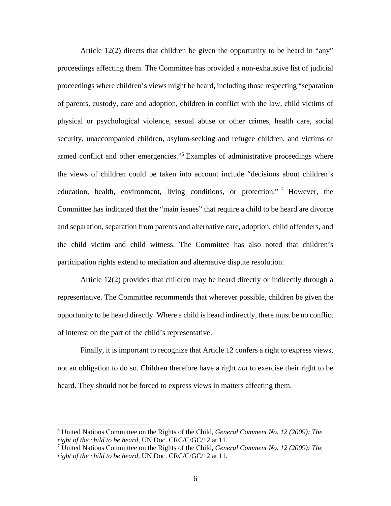Article 12(2) directs that children be given the opportunity to be heard in "any" proceedings affecting them. The Committee has provided a non-exhaustive list of judicial proceedings where children's views might be heard, including those respecting "separation of parents, custody, care and adoption, children in conflict with the law, child victims of physical or psychological violence, sexual abuse or other crimes, health care, social security, unaccompanied children, asylum-seeking and refugee children, and victims of armed conflict and other emergencies."<sup>6</sup> Examples of administrative proceedings where the views of children could be taken into account include "decisions about children's education, health, environment, living conditions, or protection."<sup>7</sup> However, the Committee has indicated that the "main issues" that require a child to be heard are divorce and separation, separation from parents and alternative care, adoption, child offenders, and the child victim and child witness. The Committee has also noted that children's participation rights extend to mediation and alternative dispute resolution.

Article 12(2) provides that children may be heard directly or indirectly through a representative. The Committee recommends that wherever possible, children be given the opportunity to be heard directly. Where a child is heard indirectly, there must be no conflict of interest on the part of the child's representative.

Finally, it is important to recognize that Article 12 confers a right to express views, not an obligation to do so. Children therefore have a right *not* to exercise their right to be heard. They should not be forced to express views in matters affecting them.

<u>.</u>

<sup>6</sup> United Nations Committee on the Rights of the Child, *General Comment No. 12 (2009): The right of the child to be heard,* UN Doc. CRC/C/GC/12 at 11.

<sup>7</sup> United Nations Committee on the Rights of the Child, *General Comment No. 12 (2009): The right of the child to be heard,* UN Doc. CRC/C/GC/12 at 11.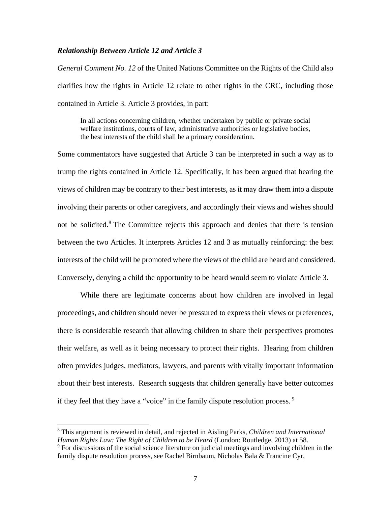## *Relationship Between Article 12 and Article 3*

*General Comment No. 12* of the United Nations Committee on the Rights of the Child also clarifies how the rights in Article 12 relate to other rights in the CRC, including those contained in Article 3. Article 3 provides, in part:

In all actions concerning children, whether undertaken by public or private social welfare institutions, courts of law, administrative authorities or legislative bodies, the best interests of the child shall be a primary consideration.

Some commentators have suggested that Article 3 can be interpreted in such a way as to trump the rights contained in Article 12. Specifically, it has been argued that hearing the views of children may be contrary to their best interests, as it may draw them into a dispute involving their parents or other caregivers, and accordingly their views and wishes should not be solicited.<sup>8</sup> The Committee rejects this approach and denies that there is tension between the two Articles. It interprets Articles 12 and 3 as mutually reinforcing: the best interests of the child will be promoted where the views of the child are heard and considered. Conversely, denying a child the opportunity to be heard would seem to violate Article 3.

While there are legitimate concerns about how children are involved in legal proceedings, and children should never be pressured to express their views or preferences, there is considerable research that allowing children to share their perspectives promotes their welfare, as well as it being necessary to protect their rights. Hearing from children often provides judges, mediators, lawyers, and parents with vitally important information about their best interests. Research suggests that children generally have better outcomes if they feel that they have a "voice" in the family dispute resolution process.  $9$ 

<sup>8</sup> This argument is reviewed in detail, and rejected in Aisling Parks*, Children and International Human Rights Law: The Right of Children to be Heard* (London: Routledge, 2013) at 58.

<sup>&</sup>lt;sup>9</sup> For discussions of the social science literature on judicial meetings and involving children in the family dispute resolution process, see Rachel Birnbaum, Nicholas Bala & Francine Cyr,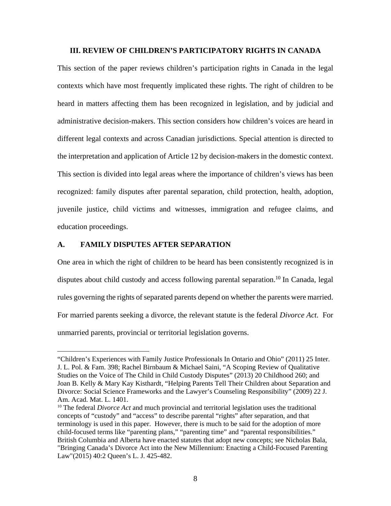#### **III. REVIEW OF CHILDREN'S PARTICIPATORY RIGHTS IN CANADA**

This section of the paper reviews children's participation rights in Canada in the legal contexts which have most frequently implicated these rights. The right of children to be heard in matters affecting them has been recognized in legislation, and by judicial and administrative decision-makers. This section considers how children's voices are heard in different legal contexts and across Canadian jurisdictions. Special attention is directed to the interpretation and application of Article 12 by decision-makers in the domestic context. This section is divided into legal areas where the importance of children's views has been recognized: family disputes after parental separation, child protection, health, adoption, juvenile justice, child victims and witnesses, immigration and refugee claims, and education proceedings.

## **A. FAMILY DISPUTES AFTER SEPARATION**

 $\overline{a}$ 

One area in which the right of children to be heard has been consistently recognized is in disputes about child custody and access following parental separation.<sup>10</sup> In Canada, legal rules governing the rights of separated parents depend on whether the parents were married. For married parents seeking a divorce, the relevant statute is the federal *Divorce Act*. For unmarried parents, provincial or territorial legislation governs.

<sup>&</sup>quot;Children's Experiences with Family Justice Professionals In Ontario and Ohio" (2011) 25 Inter. J. L. Pol. & Fam. 398; Rachel Birnbaum & Michael Saini, "A Scoping Review of Qualitative Studies on the Voice of The Child in Child Custody Disputes" (2013) 20 Childhood 260; and Joan B. Kelly & Mary Kay Kisthardt, "Helping Parents Tell Their Children about Separation and Divorce: Social Science Frameworks and the Lawyer's Counseling Responsibility" (2009) 22 J. Am. Acad. Mat. L. 1401.

<sup>&</sup>lt;sup>10</sup> The federal *Divorce Act* and much provincial and territorial legislation uses the traditional concepts of "custody" and "access" to describe parental "rights" after separation, and that terminology is used in this paper. However, there is much to be said for the adoption of more child-focused terms like "parenting plans," "parenting time" and "parental responsibilities." British Columbia and Alberta have enacted statutes that adopt new concepts; see Nicholas Bala, "Bringing Canada's Divorce Act into the New Millennium: Enacting a Child-Focused Parenting Law"(2015) 40:2 Queen's L. J. 425-482.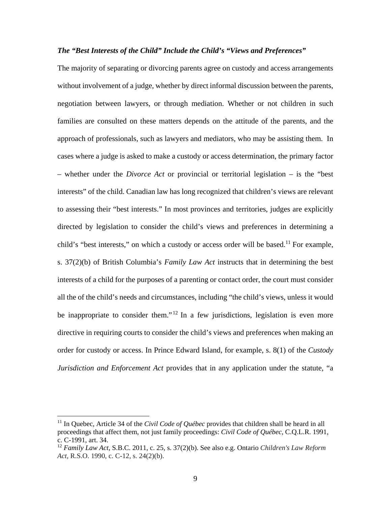#### *The "Best Interests of the Child" Include the Child's "Views and Preferences"*

The majority of separating or divorcing parents agree on custody and access arrangements without involvement of a judge, whether by direct informal discussion between the parents, negotiation between lawyers, or through mediation. Whether or not children in such families are consulted on these matters depends on the attitude of the parents, and the approach of professionals, such as lawyers and mediators, who may be assisting them. In cases where a judge is asked to make a custody or access determination, the primary factor – whether under the *Divorce Act* or provincial or territorial legislation – is the "best interests" of the child. Canadian law has long recognized that children's views are relevant to assessing their "best interests." In most provinces and territories, judges are explicitly directed by legislation to consider the child's views and preferences in determining a child's "best interests," on which a custody or access order will be based.<sup>11</sup> For example, s. 37(2)(b) of British Columbia's *Family Law Act* instructs that in determining the best interests of a child for the purposes of a parenting or contact order, the court must consider all the of the child's needs and circumstances, including "the child's views, unless it would be inappropriate to consider them."<sup>12</sup> In a few jurisdictions, legislation is even more directive in requiring courts to consider the child's views and preferences when making an order for custody or access. In Prince Edward Island, for example, s. 8(1) of the *Custody Jurisdiction and Enforcement Act* provides that in any application under the statute, "a

<sup>&</sup>lt;sup>11</sup> In Quebec, Article 34 of the *Civil Code of Québec* provides that children shall be heard in all proceedings that affect them, not just family proceedings: *Civil Code of Québec*, C.Q.L.R. 1991, c. C-1991, art. 34.

<sup>12</sup> *Family Law Act*, S.B.C. 2011, c. 25, s. 37(2)(b). See also e.g. Ontario *Children's Law Reform Act,* R.S.O. 1990, c. C-12*,* s. 24(2)(b).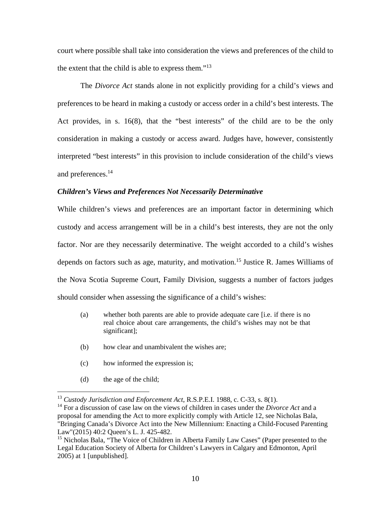court where possible shall take into consideration the views and preferences of the child to the extent that the child is able to express them."<sup>13</sup>

 The *Divorce Act* stands alone in not explicitly providing for a child's views and preferences to be heard in making a custody or access order in a child's best interests. The Act provides, in s. 16(8), that the "best interests" of the child are to be the only consideration in making a custody or access award. Judges have, however, consistently interpreted "best interests" in this provision to include consideration of the child's views and preferences.14

#### *Children's Views and Preferences Not Necessarily Determinative*

While children's views and preferences are an important factor in determining which custody and access arrangement will be in a child's best interests, they are not the only factor. Nor are they necessarily determinative. The weight accorded to a child's wishes depends on factors such as age, maturity, and motivation.<sup>15</sup> Justice R. James Williams of the Nova Scotia Supreme Court, Family Division, suggests a number of factors judges should consider when assessing the significance of a child's wishes:

- (a) whether both parents are able to provide adequate care [i.e. if there is no real choice about care arrangements, the child's wishes may not be that significant];
- (b) how clear and unambivalent the wishes are;
- (c) how informed the expression is;
- (d) the age of the child;

<sup>13</sup> *Custody Jurisdiction and Enforcement Act*, R.S.P.E.I. 1988, c. C-33, s. 8(1).

<sup>14</sup> For a discussion of case law on the views of children in cases under the *Divorce Act* and a proposal for amending the Act to more explicitly comply with Article 12, see Nicholas Bala, "Bringing Canada's Divorce Act into the New Millennium: Enacting a Child-Focused Parenting Law"(2015) 40:2 Queen's L. J. 425-482.

<sup>&</sup>lt;sup>15</sup> Nicholas Bala, "The Voice of Children in Alberta Family Law Cases" (Paper presented to the Legal Education Society of Alberta for Children's Lawyers in Calgary and Edmonton, April 2005) at 1 [unpublished].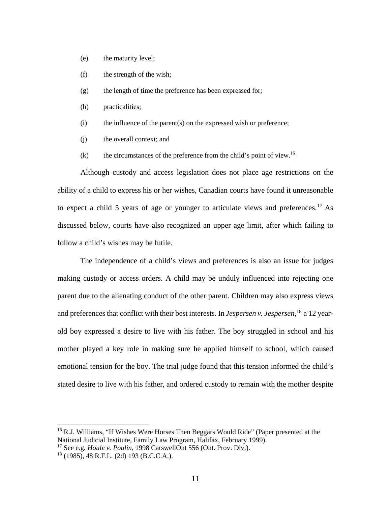- (e) the maturity level;
- (f) the strength of the wish;
- (g) the length of time the preference has been expressed for;
- (h) practicalities;
- $(i)$  the influence of the parent $(s)$  on the expressed wish or preference;
- (j) the overall context; and
- (k) the circumstances of the preference from the child's point of view.<sup>16</sup>

Although custody and access legislation does not place age restrictions on the ability of a child to express his or her wishes, Canadian courts have found it unreasonable to expect a child 5 years of age or younger to articulate views and preferences.<sup>17</sup> As discussed below, courts have also recognized an upper age limit, after which failing to follow a child's wishes may be futile.

 The independence of a child's views and preferences is also an issue for judges making custody or access orders. A child may be unduly influenced into rejecting one parent due to the alienating conduct of the other parent. Children may also express views and preferences that conflict with their best interests. In *Jespersen v. Jespersen*, 18 a 12 yearold boy expressed a desire to live with his father. The boy struggled in school and his mother played a key role in making sure he applied himself to school, which caused emotional tension for the boy. The trial judge found that this tension informed the child's stated desire to live with his father, and ordered custody to remain with the mother despite

<sup>&</sup>lt;sup>16</sup> R.J. Williams, "If Wishes Were Horses Then Beggars Would Ride" (Paper presented at the National Judicial Institute, Family Law Program, Halifax, February 1999).

<sup>17</sup> See e.g*. Houle v. Poulin*, 1998 CarswellOnt 556 (Ont. Prov. Div.).

 $18$  (1985), 48 R.F.L. (2d) 193 (B.C.C.A.).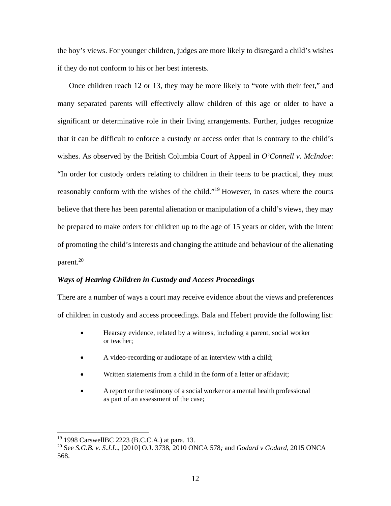the boy's views. For younger children, judges are more likely to disregard a child's wishes if they do not conform to his or her best interests.

Once children reach 12 or 13, they may be more likely to "vote with their feet," and many separated parents will effectively allow children of this age or older to have a significant or determinative role in their living arrangements. Further, judges recognize that it can be difficult to enforce a custody or access order that is contrary to the child's wishes. As observed by the British Columbia Court of Appeal in *O'Connell v. McIndoe*: "In order for custody orders relating to children in their teens to be practical, they must reasonably conform with the wishes of the child."19 However, in cases where the courts believe that there has been parental alienation or manipulation of a child's views, they may be prepared to make orders for children up to the age of 15 years or older, with the intent of promoting the child's interests and changing the attitude and behaviour of the alienating parent.20

# *Ways of Hearing Children in Custody and Access Proceedings*

There are a number of ways a court may receive evidence about the views and preferences of children in custody and access proceedings. Bala and Hebert provide the following list:

- Hearsay evidence, related by a witness, including a parent, social worker or teacher;
- A video-recording or audiotape of an interview with a child;
- Written statements from a child in the form of a letter or affidavit;
- A report or the testimony of a social worker or a mental health professional as part of an assessment of the case;

<sup>19 1998</sup> CarswellBC 2223 (B.C.C.A.) at para. 13.

<sup>20</sup> See *S.G.B. v. S.J.L*., [2010] O.J. 3738, 2010 ONCA 578*;* and *Godard v Godard*, 2015 ONCA 568.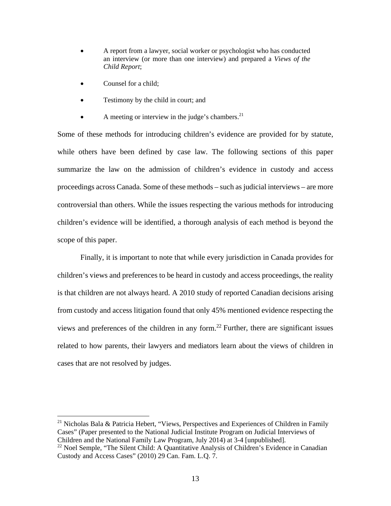- A report from a lawyer, social worker or psychologist who has conducted an interview (or more than one interview) and prepared a *Views of the Child Report*;
- Counsel for a child;

 $\overline{a}$ 

- Testimony by the child in court; and
- A meeting or interview in the judge's chambers. $^{21}$

Some of these methods for introducing children's evidence are provided for by statute, while others have been defined by case law. The following sections of this paper summarize the law on the admission of children's evidence in custody and access proceedings across Canada. Some of these methods – such as judicial interviews – are more controversial than others. While the issues respecting the various methods for introducing children's evidence will be identified, a thorough analysis of each method is beyond the scope of this paper.

 Finally, it is important to note that while every jurisdiction in Canada provides for children's views and preferences to be heard in custody and access proceedings, the reality is that children are not always heard. A 2010 study of reported Canadian decisions arising from custody and access litigation found that only 45% mentioned evidence respecting the views and preferences of the children in any form.<sup>22</sup> Further, there are significant issues related to how parents, their lawyers and mediators learn about the views of children in cases that are not resolved by judges.

<sup>&</sup>lt;sup>21</sup> Nicholas Bala & Patricia Hebert, "Views, Perspectives and Experiences of Children in Family Cases" (Paper presented to the National Judicial Institute Program on Judicial Interviews of Children and the National Family Law Program, July 2014) at 3-4 [unpublished].

 $22$  Noel Semple, "The Silent Child: A Quantitative Analysis of Children's Evidence in Canadian Custody and Access Cases" (2010) 29 Can. Fam. L.Q. 7.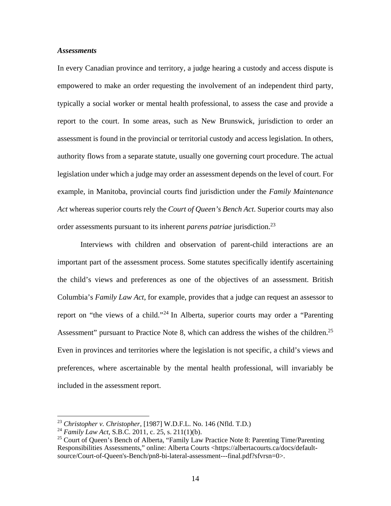## *Assessments*

In every Canadian province and territory, a judge hearing a custody and access dispute is empowered to make an order requesting the involvement of an independent third party, typically a social worker or mental health professional, to assess the case and provide a report to the court. In some areas, such as New Brunswick, jurisdiction to order an assessment is found in the provincial or territorial custody and access legislation. In others, authority flows from a separate statute, usually one governing court procedure. The actual legislation under which a judge may order an assessment depends on the level of court. For example, in Manitoba, provincial courts find jurisdiction under the *Family Maintenance Act* whereas superior courts rely the *Court of Queen's Bench Act*. Superior courts may also order assessments pursuant to its inherent *parens patriae* jurisdiction.<sup>23</sup>

 Interviews with children and observation of parent-child interactions are an important part of the assessment process. Some statutes specifically identify ascertaining the child's views and preferences as one of the objectives of an assessment. British Columbia's *Family Law Act*, for example, provides that a judge can request an assessor to report on "the views of a child."24 In Alberta, superior courts may order a "Parenting Assessment" pursuant to Practice Note 8, which can address the wishes of the children.<sup>25</sup> Even in provinces and territories where the legislation is not specific, a child's views and preferences, where ascertainable by the mental health professional, will invariably be included in the assessment report.

<u>.</u>

<sup>23</sup> *Christopher v. Christopher,* [1987] W.D.F.L. No. 146 (Nfld. T.D.)

<sup>24</sup> *Family Law Act*, S.B.C. 2011, c. 25, s. 211(1)(b).

<sup>&</sup>lt;sup>25</sup> Court of Queen's Bench of Alberta, "Family Law Practice Note 8: Parenting Time/Parenting Responsibilities Assessments," online: Alberta Courts <https://albertacourts.ca/docs/defaultsource/Court-of-Queen's-Bench/pn8-bi-lateral-assessment---final.pdf?sfvrsn=0>.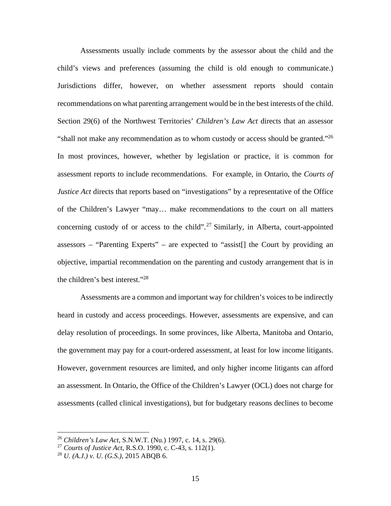Assessments usually include comments by the assessor about the child and the child's views and preferences (assuming the child is old enough to communicate.) Jurisdictions differ, however, on whether assessment reports should contain recommendations on what parenting arrangement would be in the best interests of the child. Section 29(6) of the Northwest Territories' *Children's Law Act* directs that an assessor "shall not make any recommendation as to whom custody or access should be granted."<sup>26</sup> In most provinces, however, whether by legislation or practice, it is common for assessment reports to include recommendations. For example, in Ontario, the *Courts of Justice Act* directs that reports based on "investigations" by a representative of the Office of the Children's Lawyer "may… make recommendations to the court on all matters concerning custody of or access to the child".<sup>27</sup> Similarly, in Alberta, court-appointed assessors – "Parenting Experts" – are expected to "assist[] the Court by providing an objective, impartial recommendation on the parenting and custody arrangement that is in the children's best interest."28

 Assessments are a common and important way for children's voices to be indirectly heard in custody and access proceedings. However, assessments are expensive, and can delay resolution of proceedings. In some provinces, like Alberta, Manitoba and Ontario, the government may pay for a court-ordered assessment, at least for low income litigants. However, government resources are limited, and only higher income litigants can afford an assessment. In Ontario, the Office of the Children's Lawyer (OCL) does not charge for assessments (called clinical investigations), but for budgetary reasons declines to become

<sup>26</sup> *Children's Law Act*, S.N.W.T. (Nu.) 1997, c. 14, s. 29(6).

<sup>27</sup> *Courts of Justice Act*, R.S.O. 1990, c. C-43, s. 112(1).

<sup>28</sup> *U. (A.J.) v. U. (G.S.),* 2015 ABQB 6.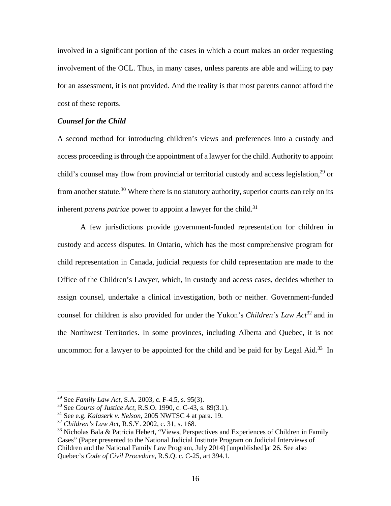involved in a significant portion of the cases in which a court makes an order requesting involvement of the OCL. Thus, in many cases, unless parents are able and willing to pay for an assessment, it is not provided. And the reality is that most parents cannot afford the cost of these reports.

### *Counsel for the Child*

A second method for introducing children's views and preferences into a custody and access proceeding is through the appointment of a lawyer for the child. Authority to appoint child's counsel may flow from provincial or territorial custody and access legislation,<sup>29</sup> or from another statute.<sup>30</sup> Where there is no statutory authority, superior courts can rely on its inherent *parens patriae* power to appoint a lawyer for the child.<sup>31</sup>

 A few jurisdictions provide government-funded representation for children in custody and access disputes. In Ontario, which has the most comprehensive program for child representation in Canada, judicial requests for child representation are made to the Office of the Children's Lawyer, which, in custody and access cases, decides whether to assign counsel, undertake a clinical investigation, both or neither. Government-funded counsel for children is also provided for under the Yukon's *Children's Law Act*32 and in the Northwest Territories. In some provinces, including Alberta and Quebec, it is not uncommon for a lawyer to be appointed for the child and be paid for by Legal Aid.<sup>33</sup> In

1

<sup>29</sup> See *Family Law Act*, S.A. 2003, c. F-4.5, s. 95(3).

<sup>30</sup> See *Courts of Justice Act*, R.S.O. 1990, c. C-43, s. 89(3.1).

<sup>31</sup> See e.g. *Kalaserk v. Nelson*, 2005 NWTSC 4 at para. 19.

<sup>32</sup> *Children's Law Act*, R.S.Y. 2002, c. 31, s. 168.

<sup>&</sup>lt;sup>33</sup> Nicholas Bala & Patricia Hebert, "Views, Perspectives and Experiences of Children in Family Cases" (Paper presented to the National Judicial Institute Program on Judicial Interviews of Children and the National Family Law Program, July 2014) [unpublished]at 26. See also Quebec's *Code of Civil Procedure*, R.S.Q. c. C-25, art 394.1*.*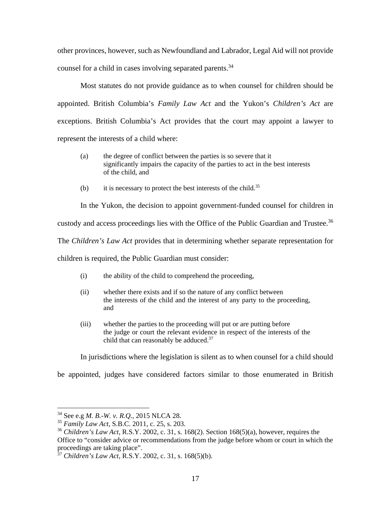other provinces, however, such as Newfoundland and Labrador, Legal Aid will not provide counsel for a child in cases involving separated parents.<sup>34</sup>

 Most statutes do not provide guidance as to when counsel for children should be appointed. British Columbia's *Family Law Act* and the Yukon's *Children's Act* are exceptions. British Columbia's Act provides that the court may appoint a lawyer to represent the interests of a child where:

- (a) the degree of conflict between the parties is so severe that it significantly impairs the capacity of the parties to act in the best interests of the child, and
- (b) it is necessary to protect the best interests of the child.<sup>35</sup>

In the Yukon, the decision to appoint government-funded counsel for children in

custody and access proceedings lies with the Office of the Public Guardian and Trustee.<sup>36</sup>

The *Children's Law Act* provides that in determining whether separate representation for

children is required, the Public Guardian must consider:

- (i) the ability of the child to comprehend the proceeding,
- (ii) whether there exists and if so the nature of any conflict between the interests of the child and the interest of any party to the proceeding, and
- (iii) whether the parties to the proceeding will put or are putting before the judge or court the relevant evidence in respect of the interests of the child that can reasonably be adduced.<sup>37</sup>

In jurisdictions where the legislation is silent as to when counsel for a child should

be appointed, judges have considered factors similar to those enumerated in British

<sup>34</sup> See e.g *M. B.-W. v. R.Q.,* 2015 NLCA 28.

<sup>35</sup> *Family Law Act,* S.B.C. 2011, c. 25, s. 203.

<sup>36</sup> *Children's Law Act*, R.S.Y. 2002, c. 31, s. 168(2). Section 168(5)(a), however, requires the Office to "consider advice or recommendations from the judge before whom or court in which the proceedings are taking place".

<sup>37</sup> *Children's Law Act*, R.S.Y. 2002, c. 31, s. 168(5)(b).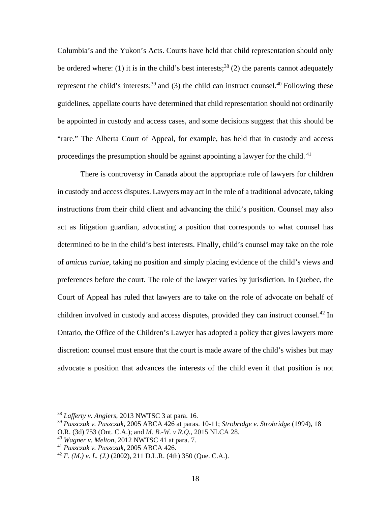Columbia's and the Yukon's Acts. Courts have held that child representation should only be ordered where: (1) it is in the child's best interests;<sup>38</sup> (2) the parents cannot adequately represent the child's interests;<sup>39</sup> and (3) the child can instruct counsel.<sup>40</sup> Following these guidelines, appellate courts have determined that child representation should not ordinarily be appointed in custody and access cases, and some decisions suggest that this should be "rare." The Alberta Court of Appeal, for example, has held that in custody and access proceedings the presumption should be against appointing a lawyer for the child.<sup>41</sup>

There is controversy in Canada about the appropriate role of lawyers for children in custody and access disputes. Lawyers may act in the role of a traditional advocate, taking instructions from their child client and advancing the child's position. Counsel may also act as litigation guardian, advocating a position that corresponds to what counsel has determined to be in the child's best interests. Finally, child's counsel may take on the role of *amicus curiae*, taking no position and simply placing evidence of the child's views and preferences before the court. The role of the lawyer varies by jurisdiction. In Quebec, the Court of Appeal has ruled that lawyers are to take on the role of advocate on behalf of children involved in custody and access disputes, provided they can instruct counsel.<sup>42</sup> In Ontario, the Office of the Children's Lawyer has adopted a policy that gives lawyers more discretion: counsel must ensure that the court is made aware of the child's wishes but may advocate a position that advances the interests of the child even if that position is not

1

<sup>38</sup> *Lafferty v. Angiers*, 2013 NWTSC 3 at para. 16*.* 

<sup>39</sup> *Puszczak v. Puszczak*, 2005 ABCA 426 at paras. 10-11; *Strobridge v. Strobridge* (1994), 18

O.R. (3d) 753 (Ont. C.A.); and *M. B.-W. v R.Q.,* 2015 NLCA 28.

*<sup>40</sup> Wagner v. Melton*, 2012 NWTSC 41 at para. 7*.* 

<sup>41</sup> *Puszczak v. Puszczak*, 2005 ABCA 426*.* 

 $^{42}$  *F. (M.) v. L. (J.)* (2002), 211 D.L.R. (4th) 350 (Que. C.A.).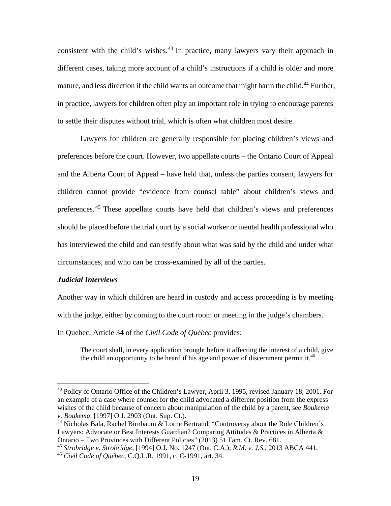consistent with the child's wishes.<sup>43</sup> In practice, many lawyers vary their approach in different cases, taking more account of a child's instructions if a child is older and more mature, and less direction if the child wants an outcome that might harm the child.<sup>44</sup> Further, in practice, lawyers for children often play an important role in trying to encourage parents to settle their disputes without trial, which is often what children most desire.

Lawyers for children are generally responsible for placing children's views and preferences before the court. However, two appellate courts – the Ontario Court of Appeal and the Alberta Court of Appeal – have held that, unless the parties consent, lawyers for children cannot provide "evidence from counsel table" about children's views and preferences. 45 These appellate courts have held that children's views and preferences should be placed before the trial court by a social worker or mental health professional who has interviewed the child and can testify about what was said by the child and under what circumstances, and who can be cross-examined by all of the parties.

# *Judicial Interviews*

 $\overline{a}$ 

Another way in which children are heard in custody and access proceeding is by meeting with the judge, either by coming to the court room or meeting in the judge's chambers.

In Quebec, Article 34 of the *Civil Code of Québec* provides:

The court shall, in every application brought before it affecting the interest of a child, give the child an opportunity to be heard if his age and power of discernment permit it.<sup>46</sup>

<sup>&</sup>lt;sup>43</sup> Policy of Ontario Office of the Children's Lawyer, April 3, 1995, revised January 18, 2001. For an example of a case where counsel for the child advocated a different position from the express wishes of the child because of concern about manipulation of the child by a parent, see *Boukema v. Boukema*, [1997] O.J. 2903 (Ont. Sup. Ct.).

<sup>&</sup>lt;sup>44</sup> Nicholas Bala, Rachel Birnbaum & Lorne Bertrand, "Controversy about the Role Children's Lawyers: Advocate or Best Interests Guardian? Comparing Attitudes & Practices in Alberta & Ontario – Two Provinces with Different Policies" (2013) 51 Fam. Ct. Rev. 681.

<sup>45</sup> *Strobridge v. Strobridge*, [1994] O.J. No. 1247 (Ont. C.A.); *R.M. v. J.S.*, 2013 ABCA 441. <sup>46</sup> *Civil Code of Québec*, C.Q.L.R. 1991, c. C-1991, art. 34.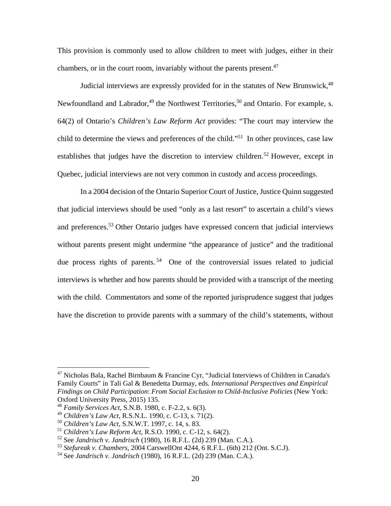This provision is commonly used to allow children to meet with judges, either in their chambers, or in the court room, invariably without the parents present. $47$ 

Judicial interviews are expressly provided for in the statutes of New Brunswick,  $48$ Newfoundland and Labrador, $49$  the Northwest Territories, $50$  and Ontario. For example, s. 64(2) of Ontario's *Children's Law Reform Act* provides: "The court may interview the child to determine the views and preferences of the child."51 In other provinces, case law establishes that judges have the discretion to interview children.<sup>52</sup> However, except in Quebec, judicial interviews are not very common in custody and access proceedings.

In a 2004 decision of the Ontario Superior Court of Justice, Justice Quinn suggested that judicial interviews should be used "only as a last resort" to ascertain a child's views and preferences.<sup>53</sup> Other Ontario judges have expressed concern that judicial interviews without parents present might undermine "the appearance of justice" and the traditional due process rights of parents.<sup>54</sup> One of the controversial issues related to judicial interviews is whether and how parents should be provided with a transcript of the meeting with the child. Commentators and some of the reported jurisprudence suggest that judges have the discretion to provide parents with a summary of the child's statements, without

<sup>47</sup> Nicholas Bala, Rachel Birnbaum & Francine Cyr, "Judicial Interviews of Children in Canada's Family Courts" in Tali Gal & Benedetta Durmay, eds. *International Perspectives and Empirical Findings on Child Participation*: *From Social Exclusion to Child-Inclusive Policies* (New York: Oxford University Press, 2015) 135.

<sup>48</sup> *Family Services Act*, S.N.B. 1980, c. F-2.2, s. 6(3).

<sup>49</sup> *Children's Law Act*, R.S.N.L. 1990, c. C-13, s. 71(2).

<sup>50</sup> *Children's Law Act*, S.N.W.T. 1997, c. 14, s. 83.

<sup>51</sup> *Children's Law Reform Act*, R.S.O. 1990, c. C-12, s. 64(2).

<sup>52</sup> See *Jandrisch v. Jandrisch* (1980), 16 R.F.L. (2d) 239 (Man. C.A.).

<sup>53</sup> *Stefureak v. Chambers,* 2004 CarswellOnt 4244, 6 R.F.L. (6th) 212 (Ont. S.C.J).

<sup>54</sup> See *Jandrisch v. Jandrisch* (1980), 16 R.F.L. (2d) 239 (Man. C.A.).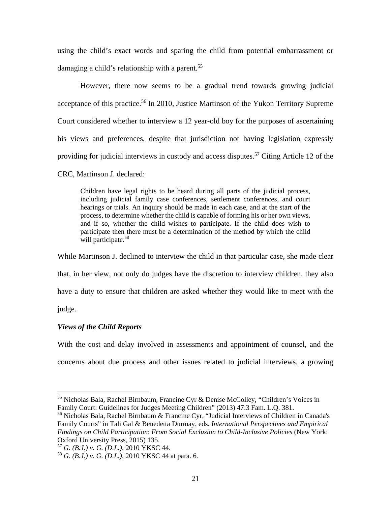using the child's exact words and sparing the child from potential embarrassment or damaging a child's relationship with a parent.<sup>55</sup>

However, there now seems to be a gradual trend towards growing judicial acceptance of this practice.<sup>56</sup> In 2010, Justice Martinson of the Yukon Territory Supreme Court considered whether to interview a 12 year-old boy for the purposes of ascertaining his views and preferences, despite that jurisdiction not having legislation expressly providing for judicial interviews in custody and access disputes.<sup>57</sup> Citing Article 12 of the

CRC, Martinson J. declared:

Children have legal rights to be heard during all parts of the judicial process, including judicial family case conferences, settlement conferences, and court hearings or trials. An inquiry should be made in each case, and at the start of the process, to determine whether the child is capable of forming his or her own views, and if so, whether the child wishes to participate. If the child does wish to participate then there must be a determination of the method by which the child will participate.<sup>58</sup>

While Martinson J. declined to interview the child in that particular case, she made clear that, in her view, not only do judges have the discretion to interview children, they also have a duty to ensure that children are asked whether they would like to meet with the judge.

# *Views of the Child Reports*

 $\overline{a}$ 

With the cost and delay involved in assessments and appointment of counsel, and the concerns about due process and other issues related to judicial interviews, a growing

<sup>&</sup>lt;sup>55</sup> Nicholas Bala, Rachel Birnbaum, Francine Cyr & Denise McColley, "Children's Voices in Family Court: Guidelines for Judges Meeting Children" (2013) 47:3 Fam. L.Q. 381.

<sup>56</sup> Nicholas Bala, Rachel Birnbaum & Francine Cyr, "Judicial Interviews of Children in Canada's Family Courts" in Tali Gal & Benedetta Durmay, eds. *International Perspectives and Empirical Findings on Child Participation*: *From Social Exclusion to Child-Inclusive Policies* (New York: Oxford University Press, 2015) 135.

<sup>57</sup> *G. (B.J.) v. G. (D.L.),* 2010 YKSC 44.

<sup>58</sup> *G. (B.J.) v. G. (D.L.),* 2010 YKSC 44 at para. 6*.*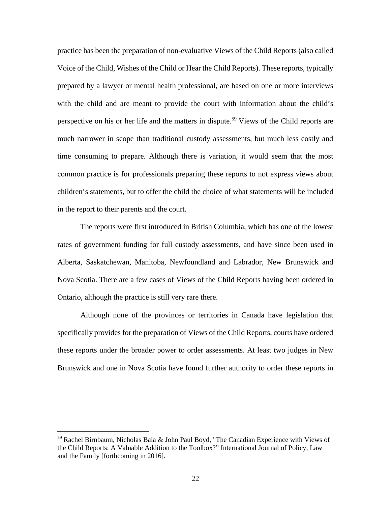practice has been the preparation of non-evaluative Views of the Child Reports (also called Voice of the Child, Wishes of the Child or Hear the Child Reports). These reports, typically prepared by a lawyer or mental health professional, are based on one or more interviews with the child and are meant to provide the court with information about the child's perspective on his or her life and the matters in dispute.<sup>59</sup> Views of the Child reports are much narrower in scope than traditional custody assessments, but much less costly and time consuming to prepare. Although there is variation, it would seem that the most common practice is for professionals preparing these reports to not express views about children's statements, but to offer the child the choice of what statements will be included in the report to their parents and the court.

The reports were first introduced in British Columbia, which has one of the lowest rates of government funding for full custody assessments, and have since been used in Alberta, Saskatchewan, Manitoba, Newfoundland and Labrador, New Brunswick and Nova Scotia. There are a few cases of Views of the Child Reports having been ordered in Ontario, although the practice is still very rare there.

Although none of the provinces or territories in Canada have legislation that specifically provides for the preparation of Views of the Child Reports, courts have ordered these reports under the broader power to order assessments. At least two judges in New Brunswick and one in Nova Scotia have found further authority to order these reports in

<sup>59</sup> Rachel Birnbaum, Nicholas Bala & John Paul Boyd, "The Canadian Experience with Views of the Child Reports: A Valuable Addition to the Toolbox?" International Journal of Policy, Law and the Family [forthcoming in 2016].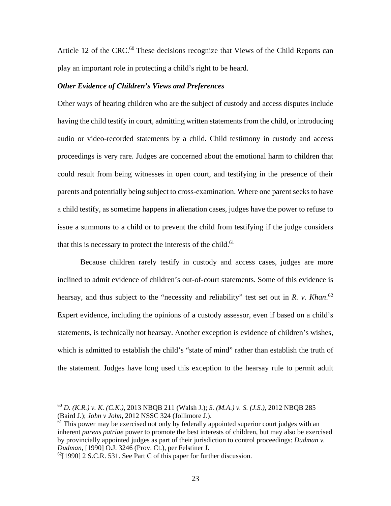Article 12 of the CRC.<sup>60</sup> These decisions recognize that Views of the Child Reports can play an important role in protecting a child's right to be heard.

#### *Other Evidence of Children's Views and Preferences*

Other ways of hearing children who are the subject of custody and access disputes include having the child testify in court, admitting written statements from the child, or introducing audio or video-recorded statements by a child. Child testimony in custody and access proceedings is very rare. Judges are concerned about the emotional harm to children that could result from being witnesses in open court, and testifying in the presence of their parents and potentially being subject to cross-examination. Where one parent seeks to have a child testify, as sometime happens in alienation cases, judges have the power to refuse to issue a summons to a child or to prevent the child from testifying if the judge considers that this is necessary to protect the interests of the child.<sup>61</sup>

 Because children rarely testify in custody and access cases, judges are more inclined to admit evidence of children's out-of-court statements. Some of this evidence is hearsay, and thus subject to the "necessity and reliability" test set out in *R. v. Khan*. 62 Expert evidence, including the opinions of a custody assessor, even if based on a child's statements, is technically not hearsay. Another exception is evidence of children's wishes, which is admitted to establish the child's "state of mind" rather than establish the truth of the statement. Judges have long used this exception to the hearsay rule to permit adult

1

<sup>60</sup> *D. (K.R.) v. K. (C.K.),* 2013 NBQB 211 (Walsh J.); *S. (M.A.) v. S. (J.S.),* 2012 NBQB 285 (Baird J.); *John v John,* 2012 NSSC 324 (Jollimore J.).

 $61$  This power may be exercised not only by federally appointed superior court judges with an inherent *parens patriae* power to promote the best interests of children, but may also be exercised by provincially appointed judges as part of their jurisdiction to control proceedings: *Dudman v. Dudman*, [1990] O.J. 3246 (Prov. Ct.), per Felstiner J.

 $^{62}$ [1990] 2 S.C.R. 531. See Part C of this paper for further discussion.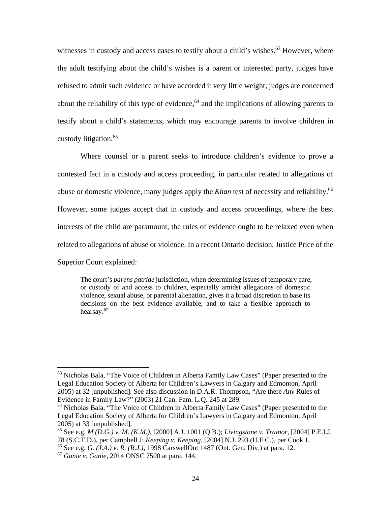witnesses in custody and access cases to testify about a child's wishes.<sup>63</sup> However, where the adult testifying about the child's wishes is a parent or interested party, judges have refused to admit such evidence or have accorded it very little weight; judges are concerned about the reliability of this type of evidence,  $64$  and the implications of allowing parents to testify about a child's statements, which may encourage parents to involve children in custody litigation.<sup>65</sup>

 Where counsel or a parent seeks to introduce children's evidence to prove a contested fact in a custody and access proceeding, in particular related to allegations of abuse or domestic violence, many judges apply the *Khan* test of necessity and reliability.<sup>66</sup> However, some judges accept that in custody and access proceedings, where the best interests of the child are paramount, the rules of evidence ought to be relaxed even when related to allegations of abuse or violence. In a recent Ontario decision, Justice Price of the Superior Court explained:

The court's *parens patriae* jurisdiction, when determining issues of temporary care, or custody of and access to children, especially amidst allegations of domestic violence, sexual abuse, or parental alienation, gives it a broad discretion to base its decisions on the best evidence available, and to take a flexible approach to hearsay.<sup>67</sup>

<sup>&</sup>lt;sup>63</sup> Nicholas Bala, "The Voice of Children in Alberta Family Law Cases" (Paper presented to the Legal Education Society of Alberta for Children's Lawyers in Calgary and Edmonton, April 2005) at 32 [unpublished]. See also discussion in D.A.R. Thompson, "Are there *Any* Rules of Evidence in Family Law?" (2003) 21 Can. Fam. L.Q. 245 at 289.

<sup>&</sup>lt;sup>64</sup> Nicholas Bala, "The Voice of Children in Alberta Family Law Cases" (Paper presented to the Legal Education Society of Alberta for Children's Lawyers in Calgary and Edmonton, April 2005) at 33 [unpublished].

<sup>65</sup> See e.g. *M (D.G.) v. M. (K.M.)*, [2000] A.J. 1001 (Q.B.); *Livingstone v. Trainor*, [2004] P.E.I.J. 78 (S.C.T.D.), per Campbell J; *Keeping v. Keeping*, [2004] N.J. 293 (U.F.C.), per Cook J.

<sup>66</sup> See e.g. *G. (J.A.) v. R. (R.J.),* 1998 CarswellOnt 1487 (Ont. Gen. Div.) at para. 12.

<sup>67</sup> *Ganie v. Ganie*, 2014 ONSC 7500 at para. 144.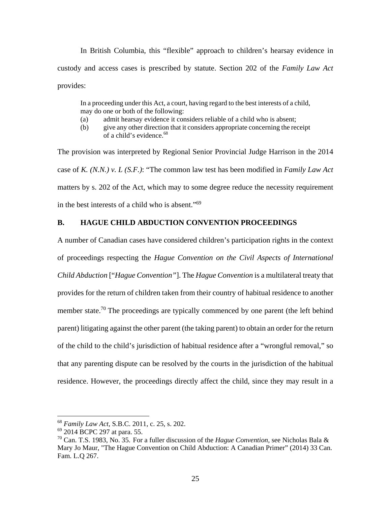In British Columbia, this "flexible" approach to children's hearsay evidence in custody and access cases is prescribed by statute. Section 202 of the *Family Law Act* provides:

In a proceeding under this Act, a court, having regard to the best interests of a child, may do one or both of the following:

- (a) admit hearsay evidence it considers reliable of a child who is absent;
- (b) give any other direction that it considers appropriate concerning the receipt of a child's evidence.<sup>68</sup>

The provision was interpreted by Regional Senior Provincial Judge Harrison in the 2014 case of *K. (N.N.) v. L (S.F.)*: "The common law test has been modified in *Family Law Act* matters by s. 202 of the Act, which may to some degree reduce the necessity requirement in the best interests of a child who is absent."69

# **B. HAGUE CHILD ABDUCTION CONVENTION PROCEEDINGS**

A number of Canadian cases have considered children's participation rights in the context of proceedings respecting the *Hague Convention on the Civil Aspects of International Child Abduction* ["*Hague Convention"*]. The *Hague Convention* is a multilateral treaty that provides for the return of children taken from their country of habitual residence to another member state.<sup>70</sup> The proceedings are typically commenced by one parent (the left behind parent) litigating against the other parent (the taking parent) to obtain an order for the return of the child to the child's jurisdiction of habitual residence after a "wrongful removal," so that any parenting dispute can be resolved by the courts in the jurisdiction of the habitual residence. However, the proceedings directly affect the child, since they may result in a

<sup>68</sup> *Family Law Act*, S.B.C. 2011, c. 25, s. 202.

<sup>69 2014</sup> BCPC 297 at para. 55.

<sup>70</sup> Can. T.S. 1983, No. 35. For a fuller discussion of the *Hague Convention,* see Nicholas Bala & Mary Jo Maur, "The Hague Convention on Child Abduction: A Canadian Primer" (2014) 33 Can. Fam. L.Q 267.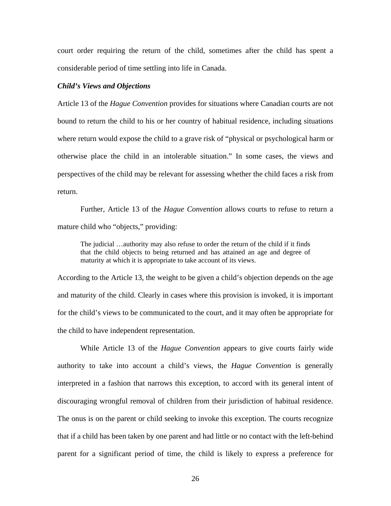court order requiring the return of the child, sometimes after the child has spent a considerable period of time settling into life in Canada.

## *Child's Views and Objections*

Article 13 of the *Hague Convention* provides for situations where Canadian courts are not bound to return the child to his or her country of habitual residence, including situations where return would expose the child to a grave risk of "physical or psychological harm or otherwise place the child in an intolerable situation." In some cases, the views and perspectives of the child may be relevant for assessing whether the child faces a risk from return.

Further, Article 13 of the *Hague Convention* allows courts to refuse to return a mature child who "objects," providing:

The judicial …authority may also refuse to order the return of the child if it finds that the child objects to being returned and has attained an age and degree of maturity at which it is appropriate to take account of its views.

According to the Article 13, the weight to be given a child's objection depends on the age and maturity of the child. Clearly in cases where this provision is invoked, it is important for the child's views to be communicated to the court, and it may often be appropriate for the child to have independent representation.

While Article 13 of the *Hague Convention* appears to give courts fairly wide authority to take into account a child's views, the *Hague Convention* is generally interpreted in a fashion that narrows this exception, to accord with its general intent of discouraging wrongful removal of children from their jurisdiction of habitual residence. The onus is on the parent or child seeking to invoke this exception. The courts recognize that if a child has been taken by one parent and had little or no contact with the left-behind parent for a significant period of time, the child is likely to express a preference for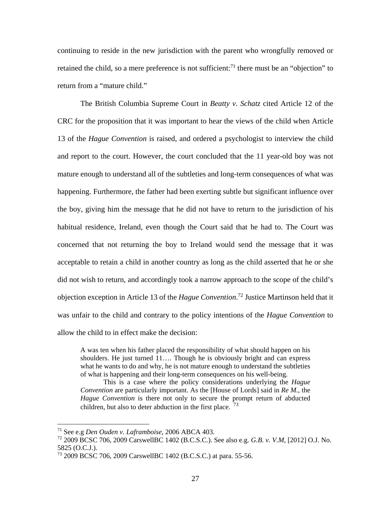continuing to reside in the new jurisdiction with the parent who wrongfully removed or retained the child, so a mere preference is not sufficient:<sup>71</sup> there must be an "objection" to return from a "mature child."

The British Columbia Supreme Court in *Beatty v. Schatz* cited Article 12 of the CRC for the proposition that it was important to hear the views of the child when Article 13 of the *Hague Convention* is raised, and ordered a psychologist to interview the child and report to the court. However, the court concluded that the 11 year-old boy was not mature enough to understand all of the subtleties and long-term consequences of what was happening. Furthermore, the father had been exerting subtle but significant influence over the boy, giving him the message that he did not have to return to the jurisdiction of his habitual residence, Ireland, even though the Court said that he had to. The Court was concerned that not returning the boy to Ireland would send the message that it was acceptable to retain a child in another country as long as the child asserted that he or she did not wish to return, and accordingly took a narrow approach to the scope of the child's objection exception in Article 13 of the *Hague Convention*. 72 Justice Martinson held that it was unfair to the child and contrary to the policy intentions of the *Hague Convention* to allow the child to in effect make the decision:

A was ten when his father placed the responsibility of what should happen on his shoulders. He just turned 11…. Though he is obviously bright and can express what he wants to do and why, he is not mature enough to understand the subtleties of what is happening and their long-term consequences on his well-being.

This is a case where the policy considerations underlying the *Hague Convention* are particularly important. As the [House of Lords] said in *Re M.*, the *Hague Convention* is there not only to secure the prompt return of abducted children, but also to deter abduction in the first place.  $^{73}$ 

<sup>71</sup> See e.g *Den Ouden v. Laframboise*, 2006 ABCA 403.

<sup>72 2009</sup> BCSC 706, 2009 CarswellBC 1402 (B.C.S.C.). See also e.g. *G.B. v. V.M*, [2012] O.J. No. 5825 (O.C.J.).

<sup>73 2009</sup> BCSC 706, 2009 CarswellBC 1402 (B.C.S.C.) at para. 55-56.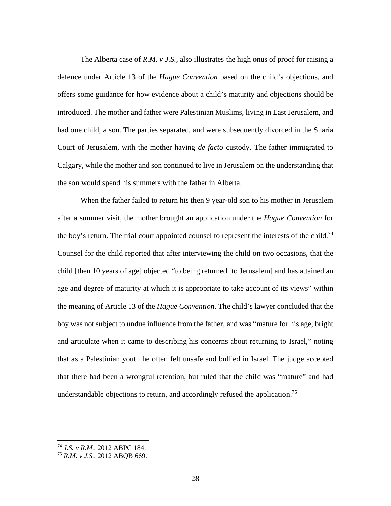The Alberta case of *R.M. v J.S.,* also illustrates the high onus of proof for raising a defence under Article 13 of the *Hague Convention* based on the child's objections, and offers some guidance for how evidence about a child's maturity and objections should be introduced. The mother and father were Palestinian Muslims, living in East Jerusalem, and had one child, a son. The parties separated, and were subsequently divorced in the Sharia Court of Jerusalem, with the mother having *de facto* custody. The father immigrated to Calgary, while the mother and son continued to live in Jerusalem on the understanding that the son would spend his summers with the father in Alberta.

When the father failed to return his then 9 year-old son to his mother in Jerusalem after a summer visit, the mother brought an application under the *Hague Convention* for the boy's return. The trial court appointed counsel to represent the interests of the child.<sup>74</sup> Counsel for the child reported that after interviewing the child on two occasions, that the child [then 10 years of age] objected "to being returned [to Jerusalem] and has attained an age and degree of maturity at which it is appropriate to take account of its views" within the meaning of Article 13 of the *Hague Convention*. The child's lawyer concluded that the boy was not subject to undue influence from the father, and was "mature for his age, bright and articulate when it came to describing his concerns about returning to Israel," noting that as a Palestinian youth he often felt unsafe and bullied in Israel. The judge accepted that there had been a wrongful retention, but ruled that the child was "mature" and had understandable objections to return, and accordingly refused the application.<sup>75</sup>

<sup>74</sup> *J.S. v R.M.,* 2012 ABPC 184.

<sup>75</sup> *R.M. v J.S.*, 2012 ABQB 669.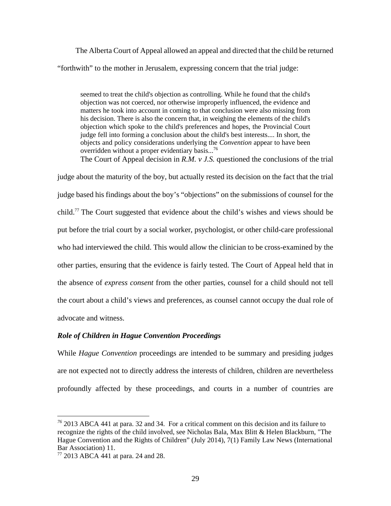The Alberta Court of Appeal allowed an appeal and directed that the child be returned "forthwith" to the mother in Jerusalem, expressing concern that the trial judge:

seemed to treat the child's objection as controlling. While he found that the child's objection was not coerced, nor otherwise improperly influenced, the evidence and matters he took into account in coming to that conclusion were also missing from his decision. There is also the concern that, in weighing the elements of the child's objection which spoke to the child's preferences and hopes, the Provincial Court judge fell into forming a conclusion about the child's best interests.... In short, the objects and policy considerations underlying the *Convention* appear to have been overridden without a proper evidentiary basis...<sup>76</sup>

The Court of Appeal decision in *R.M. v J.S.* questioned the conclusions of the trial judge about the maturity of the boy, but actually rested its decision on the fact that the trial judge based his findings about the boy's "objections" on the submissions of counsel for the child.77 The Court suggested that evidence about the child's wishes and views should be put before the trial court by a social worker, psychologist, or other child-care professional who had interviewed the child. This would allow the clinician to be cross-examined by the other parties, ensuring that the evidence is fairly tested. The Court of Appeal held that in the absence of *express consent* from the other parties, counsel for a child should not tell the court about a child's views and preferences, as counsel cannot occupy the dual role of advocate and witness.

# *Role of Children in Hague Convention Proceedings*

While *Hague Convention* proceedings are intended to be summary and presiding judges are not expected not to directly address the interests of children, children are nevertheless profoundly affected by these proceedings, and courts in a number of countries are

*<sup>76</sup>* 2013 ABCA 441 at para. 32 and 34. For a critical comment on this decision and its failure to recognize the rights of the child involved, see Nicholas Bala, Max Blitt & Helen Blackburn, "The Hague Convention and the Rights of Children" (July 2014), 7(1) Family Law News (International Bar Association) 11.

<sup>77 2013</sup> ABCA 441 at para. 24 and 28.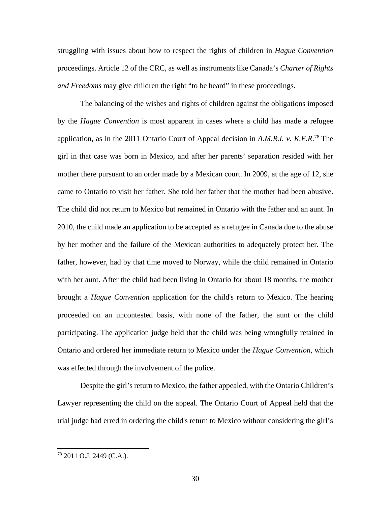struggling with issues about how to respect the rights of children in *Hague Convention*  proceedings. Article 12 of the CRC*,* as well as instruments like Canada's *Charter of Rights and Freedoms* may give children the right "to be heard" in these proceedings.

The balancing of the wishes and rights of children against the obligations imposed by the *Hague Convention* is most apparent in cases where a child has made a refugee application, as in the 2011 Ontario Court of Appeal decision in *A.M.R.I. v. K.E.R*. 78 The girl in that case was born in Mexico, and after her parents' separation resided with her mother there pursuant to an order made by a Mexican court. In 2009, at the age of 12, she came to Ontario to visit her father. She told her father that the mother had been abusive. The child did not return to Mexico but remained in Ontario with the father and an aunt. In 2010, the child made an application to be accepted as a refugee in Canada due to the abuse by her mother and the failure of the Mexican authorities to adequately protect her. The father, however, had by that time moved to Norway, while the child remained in Ontario with her aunt. After the child had been living in Ontario for about 18 months, the mother brought a *Hague Convention* application for the child's return to Mexico. The hearing proceeded on an uncontested basis, with none of the father, the aunt or the child participating. The application judge held that the child was being wrongfully retained in Ontario and ordered her immediate return to Mexico under the *Hague Convention*, which was effected through the involvement of the police.

Despite the girl's return to Mexico, the father appealed, with the Ontario Children's Lawyer representing the child on the appeal. The Ontario Court of Appeal held that the trial judge had erred in ordering the child's return to Mexico without considering the girl's

<u>.</u>

<sup>78 2011</sup> O.J. 2449 (C.A.).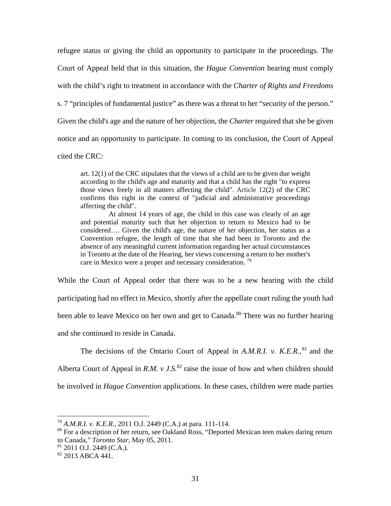refugee status or giving the child an opportunity to participate in the proceedings. The Court of Appeal held that in this situation, the *Hague Convention* hearing must comply with the child's right to treatment in accordance with the *Charter of Rights and Freedoms*  s. 7 "principles of fundamental justice" as there was a threat to her "security of the person." Given the child's age and the nature of her objection, the *Charter* required that she be given notice and an opportunity to participate. In coming to its conclusion, the Court of Appeal cited the CRC*:* 

art. 12(1) of the CRC stipulates that the views of a child are to be given due weight according to the child's age and maturity and that a child has the right "to express those views freely in all matters affecting the child". Article 12(2) of the CRC confirms this right in the context of "judicial and administrative proceedings affecting the child".

 At almost 14 years of age, the child in this case was clearly of an age and potential maturity such that her objection to return to Mexico had to be considered…. Given the child's age, the nature of her objection, her status as a Convention refugee, the length of time that she had been in Toronto and the absence of any meaningful current information regarding her actual circumstances in Toronto at the date of the Hearing, her views concerning a return to her mother's care in Mexico were a proper and necessary consideration.<sup>79</sup>

While the Court of Appeal order that there was to be a new hearing with the child participating had no effect in Mexico, shortly after the appellate court ruling the youth had been able to leave Mexico on her own and get to Canada.<sup>80</sup> There was no further hearing and she continued to reside in Canada.

The decisions of the Ontario Court of Appeal in  $A.M.R.I.$  v.  $K.E.R.,<sup>81</sup>$  and the Alberta Court of Appeal in  $R.M. v J.S.<sup>82</sup>$  raise the issue of how and when children should be involved in *Hague Convention* applications. In these cases, children were made parties

81 2011 O.J. 2449 (C.A.).

<sup>79</sup> *A.M.R.I. v. K.E.R.*, 2011 O.J. 2449 (C.A.) at para. 111-114.

<sup>&</sup>lt;sup>80</sup> For a description of her return, see Oakland Ross, "Deported Mexican teen makes daring return to Canada," *Toronto Star*, May 05, 2011.

 $82$  2013 ABCA 441.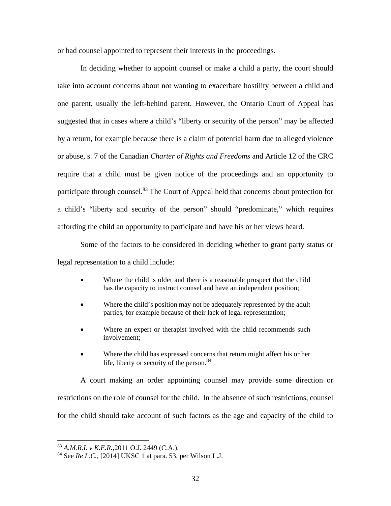or had counsel appointed to represent their interests in the proceedings.

In deciding whether to appoint counsel or make a child a party, the court should take into account concerns about not wanting to exacerbate hostility between a child and one parent, usually the left-behind parent. However, the Ontario Court of Appeal has suggested that in cases where a child's "liberty or security of the person" may be affected by a return, for example because there is a claim of potential harm due to alleged violence or abuse, s. 7 of the Canadian *Charter of Rights and Freedoms* and Article 12 of the CRC require that a child must be given notice of the proceedings and an opportunity to participate through counsel.<sup>83</sup> The Court of Appeal held that concerns about protection for a child's "liberty and security of the person" should "predominate," which requires affording the child an opportunity to participate and have his or her views heard.

Some of the factors to be considered in deciding whether to grant party status or legal representation to a child include:

- Where the child is older and there is a reasonable prospect that the child has the capacity to instruct counsel and have an independent position;
- Where the child's position may not be adequately represented by the adult parties, for example because of their lack of legal representation;
- Where an expert or therapist involved with the child recommends such involvement;
- Where the child has expressed concerns that return might affect his or her life, liberty or security of the person.<sup>84</sup>

A court making an order appointing counsel may provide some direction or restrictions on the role of counsel for the child. In the absence of such restrictions, counsel for the child should take account of such factors as the age and capacity of the child to

<sup>83</sup> *A.M.R.I. v K.E.R.,*2011 O.J. 2449 (C.A.).

<sup>84</sup> See *Re L.C.,* [2014] UKSC 1 at para. 53, per Wilson L.J.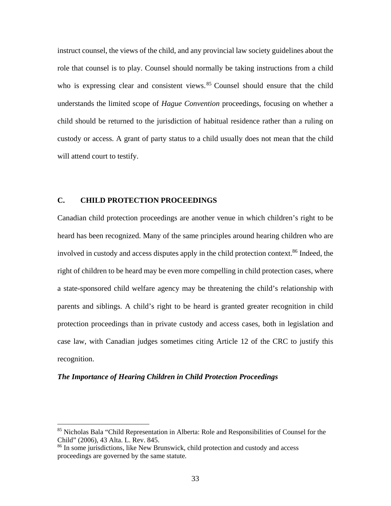instruct counsel, the views of the child, and any provincial law society guidelines about the role that counsel is to play. Counsel should normally be taking instructions from a child who is expressing clear and consistent views.<sup>85</sup> Counsel should ensure that the child understands the limited scope of *Hague Convention* proceedings, focusing on whether a child should be returned to the jurisdiction of habitual residence rather than a ruling on custody or access. A grant of party status to a child usually does not mean that the child will attend court to testify.

# **C. CHILD PROTECTION PROCEEDINGS**

Canadian child protection proceedings are another venue in which children's right to be heard has been recognized. Many of the same principles around hearing children who are involved in custody and access disputes apply in the child protection context.<sup>86</sup> Indeed, the right of children to be heard may be even more compelling in child protection cases, where a state-sponsored child welfare agency may be threatening the child's relationship with parents and siblings. A child's right to be heard is granted greater recognition in child protection proceedings than in private custody and access cases, both in legislation and case law, with Canadian judges sometimes citing Article 12 of the CRC to justify this recognition.

#### *The Importance of Hearing Children in Child Protection Proceedings*

<sup>&</sup>lt;sup>85</sup> Nicholas Bala "Child Representation in Alberta: Role and Responsibilities of Counsel for the Child" (2006), 43 Alta. L. Rev. 845.

<sup>&</sup>lt;sup>86</sup> In some jurisdictions, like New Brunswick, child protection and custody and access proceedings are governed by the same statute*.*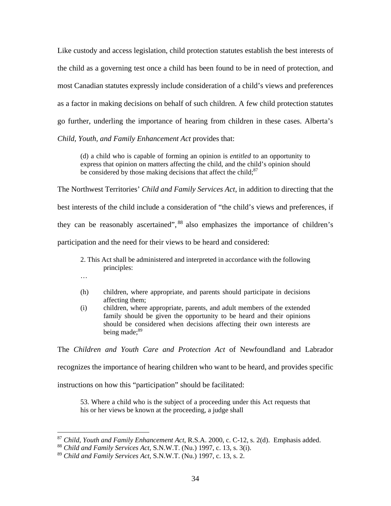Like custody and access legislation, child protection statutes establish the best interests of the child as a governing test once a child has been found to be in need of protection, and most Canadian statutes expressly include consideration of a child's views and preferences as a factor in making decisions on behalf of such children. A few child protection statutes go further, underling the importance of hearing from children in these cases. Alberta's *Child, Youth, and Family Enhancement Act* provides that:

(d) a child who is capable of forming an opinion is *entitled* to an opportunity to express that opinion on matters affecting the child, and the child's opinion should be considered by those making decisions that affect the child; $87$ 

The Northwest Territories' *Child and Family Services Act*, in addition to directing that the best interests of the child include a consideration of "the child's views and preferences, if they can be reasonably ascertained", 88 also emphasizes the importance of children's participation and the need for their views to be heard and considered:

- 2. This Act shall be administered and interpreted in accordance with the following principles:
- …

 $\overline{a}$ 

- (h) children, where appropriate, and parents should participate in decisions affecting them;
- (i) children, where appropriate, parents, and adult members of the extended family should be given the opportunity to be heard and their opinions should be considered when decisions affecting their own interests are being made:<sup>89</sup>

The *Children and Youth Care and Protection Act* of Newfoundland and Labrador recognizes the importance of hearing children who want to be heard, and provides specific

instructions on how this "participation" should be facilitated:

53. Where a child who is the subject of a proceeding under this Act requests that his or her views be known at the proceeding, a judge shall

<sup>87</sup> *Child, Youth and Family Enhancement Act*, R.S.A. 2000, c. C-12, s. 2(d). Emphasis added.

<sup>88</sup> *Child and Family Services Act*, S.N.W.T. (Nu.) 1997, c. 13, s. 3(i).

<sup>89</sup> *Child and Family Services Act*, S.N.W.T. (Nu.) 1997, c. 13, s. 2.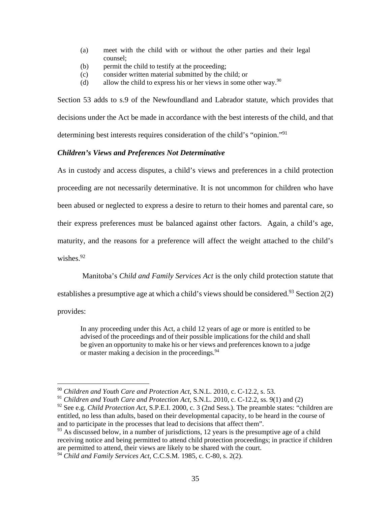- (a) meet with the child with or without the other parties and their legal counsel;
- (b) permit the child to testify at the proceeding;
- (c) consider written material submitted by the child; or
- (d) allow the child to express his or her views in some other way. <sup>90</sup>

Section 53 adds to s.9 of the Newfoundland and Labrador statute, which provides that decisions under the Act be made in accordance with the best interests of the child, and that determining best interests requires consideration of the child's "opinion."91

# *Children's Views and Preferences Not Determinative*

As in custody and access disputes, a child's views and preferences in a child protection

proceeding are not necessarily determinative. It is not uncommon for children who have

been abused or neglected to express a desire to return to their homes and parental care, so

their express preferences must be balanced against other factors. Again, a child's age,

maturity, and the reasons for a preference will affect the weight attached to the child's

wishes. $92$ 

Manitoba's *Child and Family Services Act* is the only child protection statute that

establishes a presumptive age at which a child's views should be considered.<sup>93</sup> Section 2(2)

provides:

 $\overline{a}$ 

In any proceeding under this Act, a child 12 years of age or more is entitled to be advised of the proceedings and of their possible implications for the child and shall be given an opportunity to make his or her views and preferences known to a judge or master making a decision in the proceedings.<sup>94</sup>

<sup>90</sup> *Children and Youth Care and Protection Act*, S.N.L. 2010, c. C-12.2, s. 53.

<sup>91</sup> *Children and Youth Care and Protection Act*, S.N.L. 2010, c. C-12.2, ss. 9(1) and (2)

<sup>92</sup> See e.g. *Child Protection Act*, S.P.E.I. 2000, c. 3 (2nd Sess.). The preamble states: "children are entitled, no less than adults, based on their developmental capacity, to be heard in the course of and to participate in the processes that lead to decisions that affect them".

 $93$  As discussed below, in a number of jurisdictions, 12 years is the presumptive age of a child receiving notice and being permitted to attend child protection proceedings; in practice if children are permitted to attend, their views are likely to be shared with the court.

<sup>94</sup> *Child and Family Services Act*, C.C.S.M. 1985, c. C-80, s. 2(2).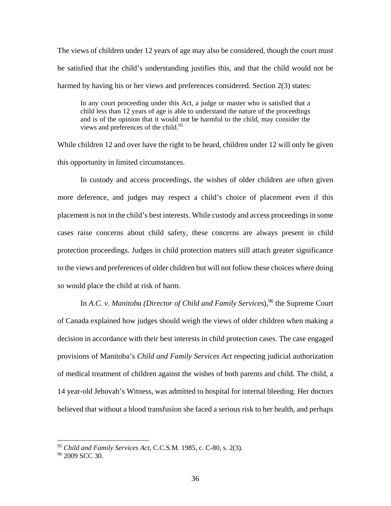The views of children under 12 years of age may also be considered, though the court must be satisfied that the child's understanding justifies this, and that the child would not be harmed by having his or her views and preferences considered. Section 2(3) states:

In any court proceeding under this Act, a judge or master who is satisfied that a child less than 12 years of age is able to understand the nature of the proceedings and is of the opinion that it would not be harmful to the child, may consider the views and preferences of the child.<sup>95</sup>

While children 12 and over have the right to be heard, children under 12 will only be given this opportunity in limited circumstances.

 In custody and access proceedings, the wishes of older children are often given more deference, and judges may respect a child's choice of placement even if this placement is not in the child's best interests. While custody and access proceedings in some cases raise concerns about child safety, these concerns are always present in child protection proceedings. Judges in child protection matters still attach greater significance to the views and preferences of older children but will not follow these choices where doing so would place the child at risk of harm.

In A.C. *v. Manitoba (Director of Child and Family Services)*,<sup>96</sup> the Supreme Court of Canada explained how judges should weigh the views of older children when making a decision in accordance with their best interests in child protection cases. The case engaged provisions of Manitoba's *Child and Family Services Act* respecting judicial authorization of medical treatment of children against the wishes of both parents and child. The child, a 14 year-old Jehovah's Witness, was admitted to hospital for internal bleeding. Her doctors believed that without a blood transfusion she faced a serious risk to her health, and perhaps

<sup>95</sup> *Child and Family Services Act*, C.C.S.M. 1985, c. C-80, s. 2(3)*.*

<sup>&</sup>lt;sup>96</sup> 2009 SCC 30.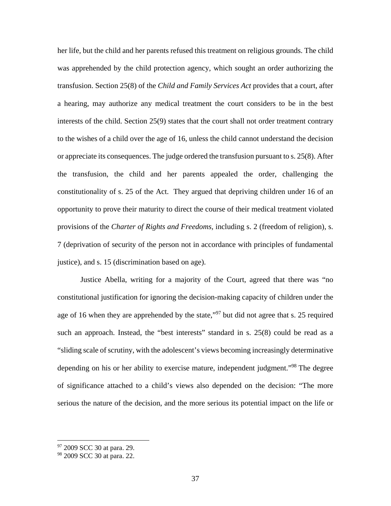her life, but the child and her parents refused this treatment on religious grounds. The child was apprehended by the child protection agency, which sought an order authorizing the transfusion. Section 25(8) of the *Child and Family Services Act* provides that a court, after a hearing, may authorize any medical treatment the court considers to be in the best interests of the child. Section 25(9) states that the court shall not order treatment contrary to the wishes of a child over the age of 16, unless the child cannot understand the decision or appreciate its consequences. The judge ordered the transfusion pursuant to s. 25(8). After the transfusion, the child and her parents appealed the order, challenging the constitutionality of s. 25 of the Act. They argued that depriving children under 16 of an opportunity to prove their maturity to direct the course of their medical treatment violated provisions of the *Charter of Rights and Freedoms,* including s. 2 (freedom of religion)*,* s. 7 (deprivation of security of the person not in accordance with principles of fundamental justice), and s. 15 (discrimination based on age).

 Justice Abella, writing for a majority of the Court, agreed that there was "no constitutional justification for ignoring the decision-making capacity of children under the age of 16 when they are apprehended by the state,"<sup>97</sup> but did not agree that s. 25 required such an approach. Instead, the "best interests" standard in s. 25(8) could be read as a "sliding scale of scrutiny, with the adolescent's views becoming increasingly determinative depending on his or her ability to exercise mature, independent judgment."<sup>98</sup> The degree of significance attached to a child's views also depended on the decision: "The more serious the nature of the decision, and the more serious its potential impact on the life or

<sup>&</sup>lt;sup>97</sup> 2009 SCC 30 at para. 29.

<sup>&</sup>lt;sup>98</sup> 2009 SCC 30 at para. 22.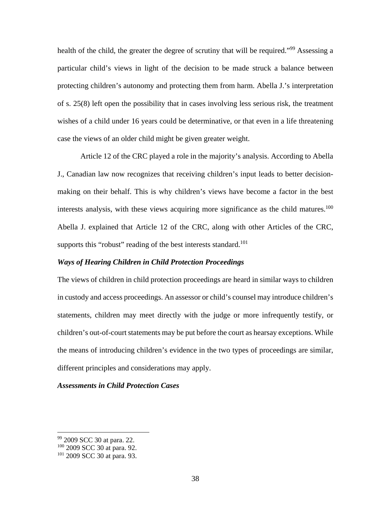health of the child, the greater the degree of scrutiny that will be required."<sup>99</sup> Assessing a particular child's views in light of the decision to be made struck a balance between protecting children's autonomy and protecting them from harm. Abella J.'s interpretation of s. 25(8) left open the possibility that in cases involving less serious risk, the treatment wishes of a child under 16 years could be determinative, or that even in a life threatening case the views of an older child might be given greater weight.

 Article 12 of the CRC played a role in the majority's analysis. According to Abella J., Canadian law now recognizes that receiving children's input leads to better decisionmaking on their behalf. This is why children's views have become a factor in the best interests analysis, with these views acquiring more significance as the child matures.<sup>100</sup> Abella J. explained that Article 12 of the CRC, along with other Articles of the CRC, supports this "robust" reading of the best interests standard.<sup>101</sup>

### *Ways of Hearing Children in Child Protection Proceedings*

The views of children in child protection proceedings are heard in similar ways to children in custody and access proceedings. An assessor or child's counsel may introduce children's statements, children may meet directly with the judge or more infrequently testify, or children's out-of-court statements may be put before the court as hearsay exceptions. While the means of introducing children's evidence in the two types of proceedings are similar, different principles and considerations may apply.

#### *Assessments in Child Protection Cases*

<sup>99 2009</sup> SCC 30 at para. 22.

<sup>&</sup>lt;sup>100</sup> 2009 SCC 30 at para. 92.

<sup>101 2009</sup> SCC 30 at para. 93.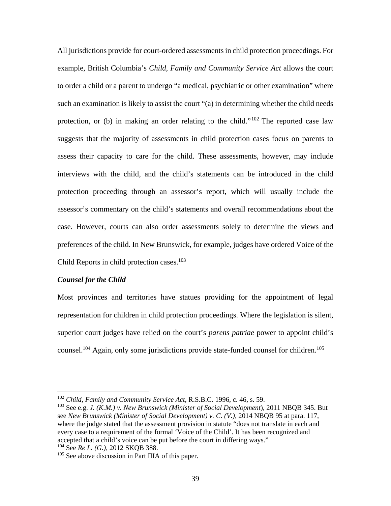All jurisdictions provide for court-ordered assessments in child protection proceedings. For example, British Columbia's *Child, Family and Community Service Act* allows the court to order a child or a parent to undergo "a medical, psychiatric or other examination" where such an examination is likely to assist the court "(a) in determining whether the child needs protection, or (b) in making an order relating to the child."102 The reported case law suggests that the majority of assessments in child protection cases focus on parents to assess their capacity to care for the child. These assessments, however, may include interviews with the child, and the child's statements can be introduced in the child protection proceeding through an assessor's report, which will usually include the assessor's commentary on the child's statements and overall recommendations about the case. However, courts can also order assessments solely to determine the views and preferences of the child. In New Brunswick, for example, judges have ordered Voice of the Child Reports in child protection cases. $103$ 

### *Counsel for the Child*

 $\overline{a}$ 

Most provinces and territories have statues providing for the appointment of legal representation for children in child protection proceedings. Where the legislation is silent, superior court judges have relied on the court's *parens patriae* power to appoint child's counsel.<sup>104</sup> Again, only some jurisdictions provide state-funded counsel for children.<sup>105</sup>

<sup>102</sup> *Child, Family and Community Service Act,* R.S.B.C. 1996, c. 46, s. 59.

<sup>103</sup> See e.g. *J. (K.M.) v. New Brunswick (Minister of Social Development*), 2011 NBQB 345. But see *New Brunswick (Minister of Social Development) v. C. (V.),* 2014 NBQB 95 at para. 117, where the judge stated that the assessment provision in statute "does not translate in each and every case to a requirement of the formal 'Voice of the Child'. It has been recognized and accepted that a child's voice can be put before the court in differing ways." 104 See *Re L. (G.),* 2012 SKQB 388.

<sup>&</sup>lt;sup>105</sup> See above discussion in Part IIIA of this paper.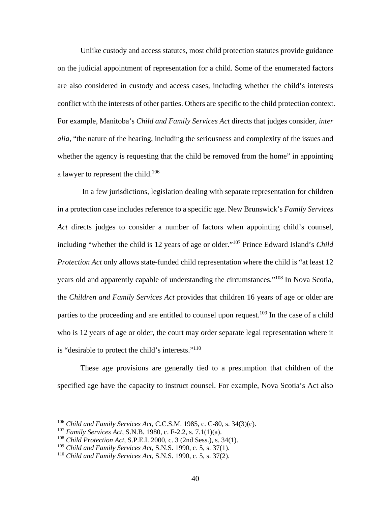Unlike custody and access statutes, most child protection statutes provide guidance on the judicial appointment of representation for a child. Some of the enumerated factors are also considered in custody and access cases, including whether the child's interests conflict with the interests of other parties. Others are specific to the child protection context. For example, Manitoba's *Child and Family Services Act* directs that judges consider, *inter alia*, "the nature of the hearing, including the seriousness and complexity of the issues and whether the agency is requesting that the child be removed from the home" in appointing a lawyer to represent the child.<sup>106</sup>

 In a few jurisdictions, legislation dealing with separate representation for children in a protection case includes reference to a specific age. New Brunswick's *Family Services Act* directs judges to consider a number of factors when appointing child's counsel, including "whether the child is 12 years of age or older."107 Prince Edward Island's *Child Protection Act* only allows state-funded child representation where the child is "at least 12 years old and apparently capable of understanding the circumstances."108 In Nova Scotia, the *Children and Family Services Act* provides that children 16 years of age or older are parties to the proceeding and are entitled to counsel upon request.<sup>109</sup> In the case of a child who is 12 years of age or older, the court may order separate legal representation where it is "desirable to protect the child's interests."110

These age provisions are generally tied to a presumption that children of the specified age have the capacity to instruct counsel. For example, Nova Scotia's Act also

<sup>106</sup> *Child and Family Services Act*, C.C.S.M. 1985, c. C-80, s. 34(3)(c).

<sup>107</sup> *Family Services Act*, S.N.B. 1980, c. F-2.2, s. 7.1(1)(a).

<sup>108</sup> *Child Protection Act*, S.P.E.I. 2000, c. 3 (2nd Sess.), s. 34(1).

<sup>109</sup> *Child and Family Services Act*, S.N.S. 1990, c. 5, s. 37(1).

<sup>110</sup> *Child and Family Services Act*, S.N.S. 1990, c. 5, s. 37(2).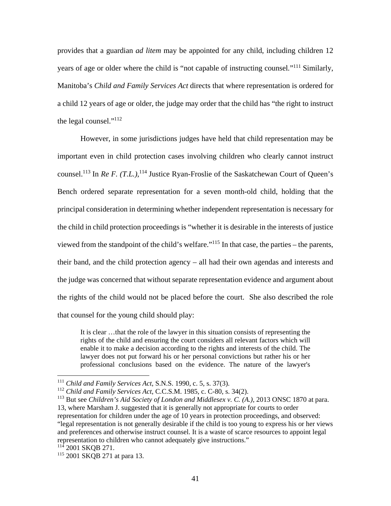provides that a guardian *ad litem* may be appointed for any child, including children 12 years of age or older where the child is "not capable of instructing counsel*.*"111 Similarly, Manitoba's *Child and Family Services Act* directs that where representation is ordered for a child 12 years of age or older, the judge may order that the child has "the right to instruct the legal counsel."112

However, in some jurisdictions judges have held that child representation may be important even in child protection cases involving children who clearly cannot instruct counsel.<sup>113</sup> In *Re F. (T.L.)*,<sup>114</sup> Justice Ryan-Froslie of the Saskatchewan Court of Queen's Bench ordered separate representation for a seven month-old child, holding that the principal consideration in determining whether independent representation is necessary for the child in child protection proceedings is "whether it is desirable in the interests of justice viewed from the standpoint of the child's welfare."115 In that case, the parties – the parents, their band, and the child protection agency – all had their own agendas and interests and the judge was concerned that without separate representation evidence and argument about the rights of the child would not be placed before the court. She also described the role that counsel for the young child should play:

It is clear …that the role of the lawyer in this situation consists of representing the rights of the child and ensuring the court considers all relevant factors which will enable it to make a decision according to the rights and interests of the child. The lawyer does not put forward his or her personal convictions but rather his or her professional conclusions based on the evidence. The nature of the lawyer's

<sup>111</sup> *Child and Family Services Act*, S.N.S. 1990, c. 5, s. 37(3).

<sup>112</sup> *Child and Family Services Act*, C.C.S.M. 1985, c. C-80, s. 34(2).

<sup>113</sup> But see *Children's Aid Society of London and Middlesex v. C. (A.),* 2013 ONSC 1870 at para. 13, where Marsham J. suggested that it is generally not appropriate for courts to order representation for children under the age of 10 years in protection proceedings, and observed: "legal representation is not generally desirable if the child is too young to express his or her views and preferences and otherwise instruct counsel. It is a waste of scarce resources to appoint legal representation to children who cannot adequately give instructions."

 $^{114}$  2001 SKOB 271.

<sup>&</sup>lt;sup>115</sup> 2001 SKQB 271 at para 13.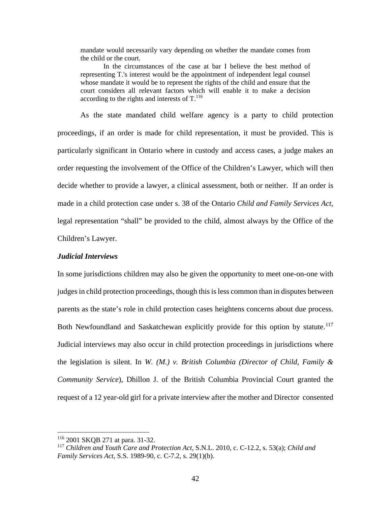mandate would necessarily vary depending on whether the mandate comes from the child or the court.

In the circumstances of the case at bar I believe the best method of representing T.'s interest would be the appointment of independent legal counsel whose mandate it would be to represent the rights of the child and ensure that the court considers all relevant factors which will enable it to make a decision according to the rights and interests of  $T<sup>116</sup>$ .

As the state mandated child welfare agency is a party to child protection proceedings, if an order is made for child representation, it must be provided. This is particularly significant in Ontario where in custody and access cases, a judge makes an order requesting the involvement of the Office of the Children's Lawyer, which will then decide whether to provide a lawyer, a clinical assessment, both or neither. If an order is made in a child protection case under s. 38 of the Ontario *Child and Family Services Act*, legal representation "shall" be provided to the child, almost always by the Office of the Children's Lawyer.

### *Judicial Interviews*

In some jurisdictions children may also be given the opportunity to meet one-on-one with judges in child protection proceedings, though this is less common than in disputes between parents as the state's role in child protection cases heightens concerns about due process. Both Newfoundland and Saskatchewan explicitly provide for this option by statute.<sup>117</sup> Judicial interviews may also occur in child protection proceedings in jurisdictions where the legislation is silent. In *W. (M.) v. British Columbia (Director of Child, Family & Community Service*), Dhillon J. of the British Columbia Provincial Court granted the request of a 12 year-old girl for a private interview after the mother and Director consented

1

<sup>116 2001</sup> SKQB 271 at para. 31-32.

<sup>117</sup> *Children and Youth Care and Protection Act*, S.N.L. 2010, c. C-12.2, s. 53(a); *Child and Family Services Act*, S.S. 1989-90, c. C-7.2, s. 29(1)(b).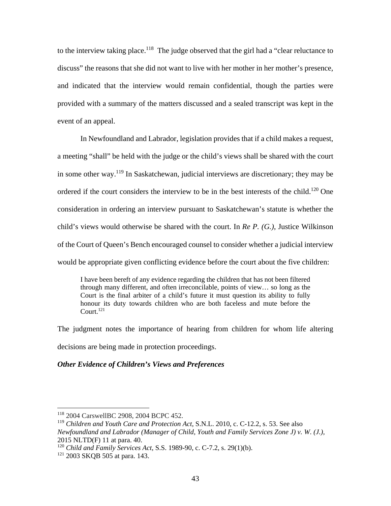to the interview taking place.<sup>118</sup> The judge observed that the girl had a "clear reluctance to discuss" the reasons that she did not want to live with her mother in her mother's presence, and indicated that the interview would remain confidential, though the parties were provided with a summary of the matters discussed and a sealed transcript was kept in the event of an appeal.

 In Newfoundland and Labrador, legislation provides that if a child makes a request, a meeting "shall" be held with the judge or the child's views shall be shared with the court in some other way.<sup>119</sup> In Saskatchewan, judicial interviews are discretionary; they may be ordered if the court considers the interview to be in the best interests of the child.<sup>120</sup> One consideration in ordering an interview pursuant to Saskatchewan's statute is whether the child's views would otherwise be shared with the court. In *Re P. (G.)*, Justice Wilkinson of the Court of Queen's Bench encouraged counsel to consider whether a judicial interview would be appropriate given conflicting evidence before the court about the five children:

I have been bereft of any evidence regarding the children that has not been filtered through many different, and often irreconcilable, points of view… so long as the Court is the final arbiter of a child's future it must question its ability to fully honour its duty towards children who are both faceless and mute before the Court $121$ 

The judgment notes the importance of hearing from children for whom life altering decisions are being made in protection proceedings.

# *Other Evidence of Children's Views and Preferences*

<sup>118</sup> 2004 CarswellBC 2908, 2004 BCPC 452.

<sup>119</sup> *Children and Youth Care and Protection Act*, S.N.L. 2010, c. C-12.2, s. 53. See also *Newfoundland and Labrador (Manager of Child, Youth and Family Services Zone J) v. W. (J.),* 2015 NLTD(F) 11 at para. 40.

<sup>120</sup> *Child and Family Services Act*, S.S. 1989-90, c. C-7.2, s. 29(1)(b).

<sup>121 2003</sup> SKQB 505 at para. 143.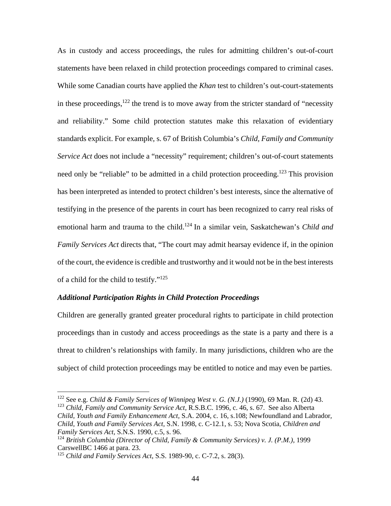As in custody and access proceedings, the rules for admitting children's out-of-court statements have been relaxed in child protection proceedings compared to criminal cases. While some Canadian courts have applied the *Khan* test to children's out-court-statements in these proceedings, $122$  the trend is to move away from the stricter standard of "necessity" and reliability." Some child protection statutes make this relaxation of evidentiary standards explicit. For example, s. 67 of British Columbia's *Child, Family and Community Service Act* does not include a "necessity" requirement; children's out-of-court statements need only be "reliable" to be admitted in a child protection proceeding.<sup>123</sup> This provision has been interpreted as intended to protect children's best interests, since the alternative of testifying in the presence of the parents in court has been recognized to carry real risks of emotional harm and trauma to the child.<sup>124</sup> In a similar vein, Saskatchewan's *Child and Family Services Act* directs that, "The court may admit hearsay evidence if, in the opinion of the court, the evidence is credible and trustworthy and it would not be in the best interests of a child for the child to testify."125

### *Additional Participation Rights in Child Protection Proceedings*

Children are generally granted greater procedural rights to participate in child protection proceedings than in custody and access proceedings as the state is a party and there is a threat to children's relationships with family. In many jurisdictions, children who are the subject of child protection proceedings may be entitled to notice and may even be parties.

1

<sup>122</sup> See e.g. *Child & Family Services of Winnipeg West v. G. (N.J.)* (1990), 69 Man. R. (2d) 43. <sup>123</sup> *Child, Family and Community Service Act,* R.S.B.C. 1996, c. 46, s. 67. See also Alberta *Child, Youth and Family Enhancement Act,* S.A. 2004, c. 16, s.108; Newfoundland and Labrador*, Child, Youth and Family Services Act,* S.N. 1998, c. C-12.1, s. 53; Nova Scotia, *Children and Family Services Act,* S.N.S. 1990, c.5, s. 96.

<sup>124</sup> *British Columbia (Director of Child, Family & Community Services) v. J. (P.M.),* 1999 CarswellBC 1466 at para. 23.

<sup>125</sup> *Child and Family Services Act*, S.S. 1989-90, c. C-7.2, s. 28(3).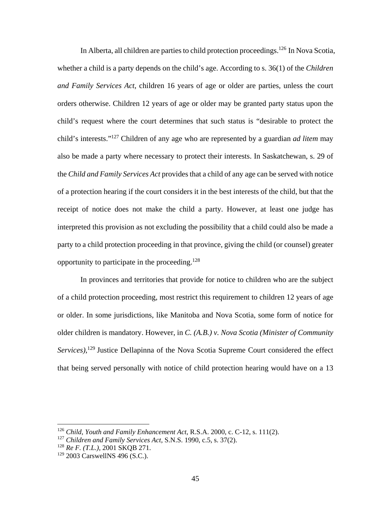In Alberta, all children are parties to child protection proceedings.<sup>126</sup> In Nova Scotia, whether a child is a party depends on the child's age. According to s. 36(1) of the *Children and Family Services Act*, children 16 years of age or older are parties, unless the court orders otherwise. Children 12 years of age or older may be granted party status upon the child's request where the court determines that such status is "desirable to protect the child's interests."127 Children of any age who are represented by a guardian *ad litem* may also be made a party where necessary to protect their interests. In Saskatchewan, s. 29 of the *Child and Family Services Act* provides that a child of any age can be served with notice of a protection hearing if the court considers it in the best interests of the child, but that the receipt of notice does not make the child a party. However, at least one judge has interpreted this provision as not excluding the possibility that a child could also be made a party to a child protection proceeding in that province, giving the child (or counsel) greater opportunity to participate in the proceeding.128

In provinces and territories that provide for notice to children who are the subject of a child protection proceeding, most restrict this requirement to children 12 years of age or older. In some jurisdictions, like Manitoba and Nova Scotia, some form of notice for older children is mandatory. However, in *C. (A.B.) v. Nova Scotia (Minister of Community*  Services),<sup>129</sup> Justice Dellapinna of the Nova Scotia Supreme Court considered the effect that being served personally with notice of child protection hearing would have on a 13

<u>.</u>

<sup>126</sup> *Child, Youth and Family Enhancement Act*, R.S.A. 2000, c. C-12, s. 111(2).

<sup>127</sup> *Children and Family Services Act,* S.N.S. 1990, c.5, s. 37(2).

<sup>128</sup> *Re F. (T.L.),* 2001 SKQB 271.

 $129$  2003 CarswellNS 496 (S.C.).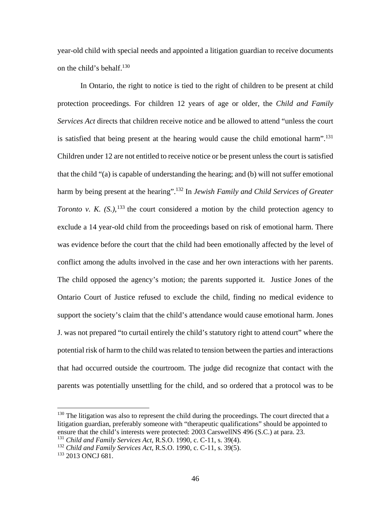year-old child with special needs and appointed a litigation guardian to receive documents on the child's behalf. $130$ 

In Ontario, the right to notice is tied to the right of children to be present at child protection proceedings. For children 12 years of age or older, the *Child and Family Services Act* directs that children receive notice and be allowed to attend "unless the court is satisfied that being present at the hearing would cause the child emotional harm".<sup>131</sup> Children under 12 are not entitled to receive notice or be present unless the court is satisfied that the child "(a) is capable of understanding the hearing; and (b) will not suffer emotional harm by being present at the hearing".<sup>132</sup> In *Jewish Family and Child Services of Greater Toronto v. K.*  $(S<sub>1</sub>)$ , <sup>133</sup> the court considered a motion by the child protection agency to exclude a 14 year-old child from the proceedings based on risk of emotional harm. There was evidence before the court that the child had been emotionally affected by the level of conflict among the adults involved in the case and her own interactions with her parents. The child opposed the agency's motion; the parents supported it. Justice Jones of the Ontario Court of Justice refused to exclude the child, finding no medical evidence to support the society's claim that the child's attendance would cause emotional harm. Jones J. was not prepared "to curtail entirely the child's statutory right to attend court" where the potential risk of harm to the child was related to tension between the parties and interactions that had occurred outside the courtroom. The judge did recognize that contact with the parents was potentially unsettling for the child, and so ordered that a protocol was to be

 $130$  The litigation was also to represent the child during the proceedings. The court directed that a litigation guardian, preferably someone with "therapeutic qualifications" should be appointed to ensure that the child's interests were protected: 2003 CarswellNS 496 (S.C.) at para. 23. <sup>131</sup> *Child and Family Services Act*, R.S.O. 1990, c. C-11, s. 39(4).

<sup>132</sup> *Child and Family Services Act*, R.S.O. 1990, c. C-11, s. 39(5).

<sup>&</sup>lt;sup>133</sup> 2013 ONCJ 681.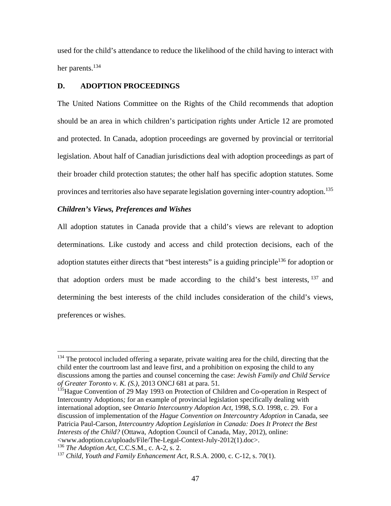used for the child's attendance to reduce the likelihood of the child having to interact with her parents.<sup>134</sup>

### **D. ADOPTION PROCEEDINGS**

The United Nations Committee on the Rights of the Child recommends that adoption should be an area in which children's participation rights under Article 12 are promoted and protected. In Canada, adoption proceedings are governed by provincial or territorial legislation. About half of Canadian jurisdictions deal with adoption proceedings as part of their broader child protection statutes; the other half has specific adoption statutes. Some provinces and territories also have separate legislation governing inter-country adoption.<sup>135</sup>

### *Children's Views, Preferences and Wishes*

All adoption statutes in Canada provide that a child's views are relevant to adoption determinations. Like custody and access and child protection decisions, each of the adoption statutes either directs that "best interests" is a guiding principle<sup>136</sup> for adoption or that adoption orders must be made according to the child's best interests,  $137$  and determining the best interests of the child includes consideration of the child's views, preferences or wishes.

<sup>136</sup> *The Adoption Act*, C.C.S.M., c. A-2, s. 2.

<sup>&</sup>lt;sup>134</sup> The protocol included offering a separate, private waiting area for the child, directing that the child enter the courtroom last and leave first, and a prohibition on exposing the child to any discussions among the parties and counsel concerning the case: *Jewish Family and Child Service of Greater Toronto v. K. (S.)*, 2013 ONCJ 681 at para. 51*.* 

<sup>&</sup>lt;sup>135</sup>Hague Convention of 29 May 1993 on Protection of Children and Co-operation in Respect of Intercountry Adoptions*;* for an example of provincial legislation specifically dealing with international adoption, see *Ontario Intercountry Adoption Act*, 1998, S.O. 1998, c. 29. For a discussion of implementation of the *Hague Convention on Intercountry Adoption* in Canada, see Patricia Paul-Carson, *Intercountry Adoption Legislation in Canada: Does It Protect the Best Interests of the Child?* (Ottawa, Adoption Council of Canada, May, 2012), online: <www.adoption.ca/uploads/File/The-Legal-Context-July-2012(1).doc>.

<sup>137</sup> *Child, Youth and Family Enhancement Act*, R.S.A. 2000, c. C-12, s. 70(1).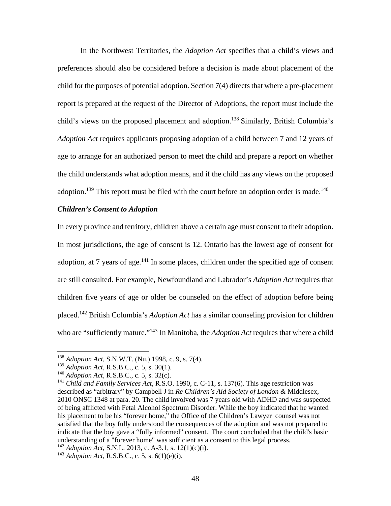In the Northwest Territories, the *Adoption Act* specifies that a child's views and preferences should also be considered before a decision is made about placement of the child for the purposes of potential adoption. Section 7(4) directs that where a pre-placement report is prepared at the request of the Director of Adoptions, the report must include the child's views on the proposed placement and adoption.<sup>138</sup> Similarly, British Columbia's *Adoption Act* requires applicants proposing adoption of a child between 7 and 12 years of age to arrange for an authorized person to meet the child and prepare a report on whether the child understands what adoption means, and if the child has any views on the proposed adoption.<sup>139</sup> This report must be filed with the court before an adoption order is made.<sup>140</sup>

### *Children's Consent to Adoption*

In every province and territory, children above a certain age must consent to their adoption. In most jurisdictions, the age of consent is 12. Ontario has the lowest age of consent for adoption, at 7 years of age. $141$  In some places, children under the specified age of consent are still consulted. For example, Newfoundland and Labrador's *Adoption Act* requires that children five years of age or older be counseled on the effect of adoption before being placed.142 British Columbia's *Adoption Act* has a similar counseling provision for children who are "sufficiently mature."<sup>143</sup> In Manitoba, the *Adoption Act* requires that where a child

<sup>138</sup> *Adoption Act*, S.N.W.T. (Nu.) 1998, c. 9, s. 7(4).

<sup>139</sup> *Adoption Act,* R.S.B.C., c. 5, s. 30(1).

<sup>140</sup> *Adoption Act,* R.S.B.C., c. 5, s. 32(c).

<sup>141</sup> *Child and Family Services Act*, R.S.O. 1990, c. C-11, s. 137(6). This age restriction was described as "arbitrary" by Campbell J in *Re Children's Aid Society of London &* Middlesex, 2010 ONSC 1348 at para. 20. The child involved was 7 years old with ADHD and was suspected of being afflicted with Fetal Alcohol Spectrum Disorder. While the boy indicated that he wanted his placement to be his "forever home," the Office of the Children's Lawyer counsel was not satisfied that the boy fully understood the consequences of the adoption and was not prepared to indicate that the boy gave a "fully informed" consent. The court concluded that the child's basic understanding of a "forever home" was sufficient as a consent to this legal process.

<sup>142</sup> *Adoption Act*, S.N.L. 2013, c. A-3.1, s. 12(1)(c)(i).

<sup>143</sup> *Adoption Act,* R.S.B.C., c. 5, s. 6(1)(e)(i).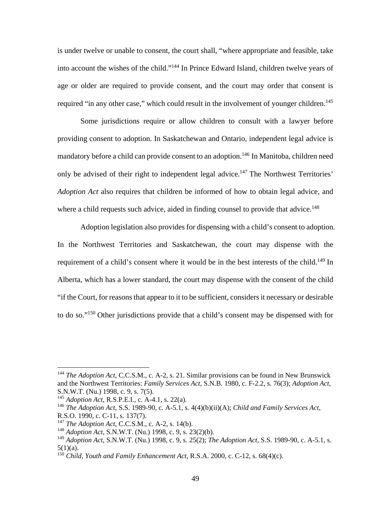is under twelve or unable to consent, the court shall, "where appropriate and feasible, take into account the wishes of the child."144 In Prince Edward Island, children twelve years of age or older are required to provide consent, and the court may order that consent is required "in any other case," which could result in the involvement of younger children.<sup>145</sup>

 Some jurisdictions require or allow children to consult with a lawyer before providing consent to adoption. In Saskatchewan and Ontario, independent legal advice is mandatory before a child can provide consent to an adoption.<sup>146</sup> In Manitoba, children need only be advised of their right to independent legal advice.<sup>147</sup> The Northwest Territories' *Adoption Act* also requires that children be informed of how to obtain legal advice, and where a child requests such advice, aided in finding counsel to provide that advice.<sup>148</sup>

Adoption legislation also provides for dispensing with a child's consent to adoption. In the Northwest Territories and Saskatchewan, the court may dispense with the requirement of a child's consent where it would be in the best interests of the child.<sup>149</sup> In Alberta, which has a lower standard, the court may dispense with the consent of the child "if the Court, for reasons that appear to it to be sufficient, considers it necessary or desirable to do so."150 Other jurisdictions provide that a child's consent may be dispensed with for

<sup>144</sup> *The Adoption Act*, C.C.S.M., c. A-2, s. 21. Similar provisions can be found in New Brunswick and the Northwest Territories: *Family Services Act*, S.N.B. 1980, c. F-2.2, s. 76(3); *Adoption Act*, S.N.W.T. (Nu.) 1998, c. 9, s. 7(5).

<sup>145</sup> *Adoption Act*, R.S.P.E.I., c. A-4.1, s. 22(a).

<sup>146</sup> *The Adoption Act*, S.S. 1989-90, c. A-5.1, s. 4(4)(b)(ii)(A); *Child and Family Services Act*, R.S.O. 1990, c. C-11, s. 137(7).

<sup>147</sup> *The Adoption Act*, C.C.S.M., c. A-2, s. 14(b).

<sup>148</sup> *Adoption Act*, S.N.W.T. (Nu.) 1998, c. 9, s. 23(2)(b).

<sup>149</sup> *Adoption Act*, S.N.W.T. (Nu.) 1998, c. 9, s. 25(2); *The Adoption Act*, S.S. 1989-90, c. A-5.1, s.  $5(1)(a)$ .

<sup>&</sup>lt;sup>150</sup> *Child, Youth and Family Enhancement Act*, R.S.A. 2000, c. C-12, s. 68(4)(c).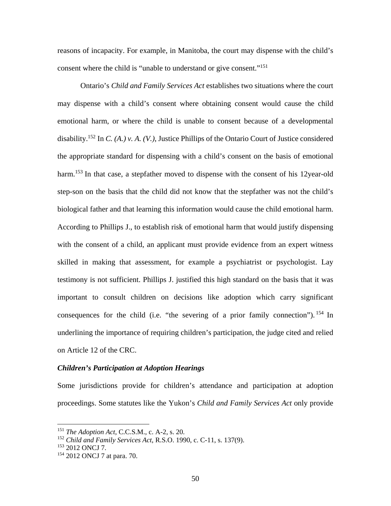reasons of incapacity. For example, in Manitoba, the court may dispense with the child's consent where the child is "unable to understand or give consent."<sup>151</sup>

Ontario's *Child and Family Services Act* establishes two situations where the court may dispense with a child's consent where obtaining consent would cause the child emotional harm, or where the child is unable to consent because of a developmental disability.152 In *C. (A.) v. A. (V.)*, Justice Phillips of the Ontario Court of Justice considered the appropriate standard for dispensing with a child's consent on the basis of emotional harm.<sup>153</sup> In that case, a stepfather moved to dispense with the consent of his 12year-old step-son on the basis that the child did not know that the stepfather was not the child's biological father and that learning this information would cause the child emotional harm. According to Phillips J., to establish risk of emotional harm that would justify dispensing with the consent of a child, an applicant must provide evidence from an expert witness skilled in making that assessment, for example a psychiatrist or psychologist. Lay testimony is not sufficient. Phillips J. justified this high standard on the basis that it was important to consult children on decisions like adoption which carry significant consequences for the child (i.e. "the severing of a prior family connection").  $154$  In underlining the importance of requiring children's participation, the judge cited and relied on Article 12 of the CRC.

#### *Children's Participation at Adoption Hearings*

Some jurisdictions provide for children's attendance and participation at adoption proceedings. Some statutes like the Yukon's *Child and Family Services Act* only provide

<u>.</u>

<sup>151</sup> *The Adoption Act*, C.C.S.M., c. A-2, s. 20.

<sup>152</sup> *Child and Family Services Act*, R.S.O. 1990, c. C-11, s. 137(9).

<sup>&</sup>lt;sup>153</sup> 2012 ONCJ 7.

<sup>154</sup> 2012 ONCJ 7 at para. 70.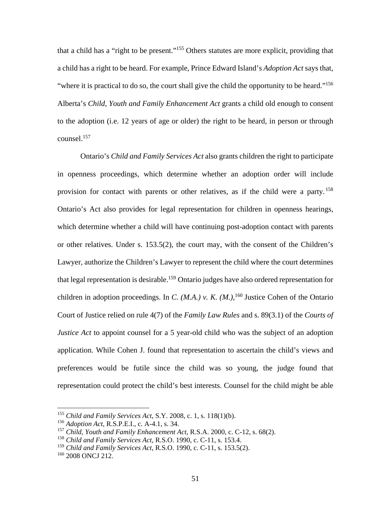that a child has a "right to be present."155 Others statutes are more explicit, providing that a child has a right to be heard. For example, Prince Edward Island's *Adoption Act* says that, "where it is practical to do so, the court shall give the child the opportunity to be heard."<sup>156</sup> Alberta's *Child, Youth and Family Enhancement Act* grants a child old enough to consent to the adoption (i.e. 12 years of age or older) the right to be heard, in person or through counsel.157

Ontario's *Child and Family Services Act* also grants children the right to participate in openness proceedings, which determine whether an adoption order will include provision for contact with parents or other relatives, as if the child were a party.<sup>158</sup> Ontario's Act also provides for legal representation for children in openness hearings, which determine whether a child will have continuing post-adoption contact with parents or other relatives. Under s. 153.5(2), the court may, with the consent of the Children's Lawyer, authorize the Children's Lawyer to represent the child where the court determines that legal representation is desirable.<sup>159</sup> Ontario judges have also ordered representation for children in adoption proceedings. In *C.* (*M.A.*) v. *K.* (*M.*),<sup>160</sup> Justice Cohen of the Ontario Court of Justice relied on rule 4(7) of the *Family Law Rules* and s. 89(3.1) of the *Courts of Justice Act* to appoint counsel for a 5 year-old child who was the subject of an adoption application. While Cohen J. found that representation to ascertain the child's views and preferences would be futile since the child was so young, the judge found that representation could protect the child's best interests. Counsel for the child might be able

<sup>155</sup> *Child and Family Services Act*, S.Y. 2008, c. 1, s. 118(1)(b).

<sup>156</sup> *Adoption Act*, R.S.P.E.I., c. A-4.1, s. 34.

<sup>157</sup> *Child, Youth and Family Enhancement Act*, R.S.A. 2000, c. C-12, s. 68(2).

<sup>158</sup> *Child and Family Services Act*, R.S.O. 1990, c. C-11, s. 153.4.

<sup>159</sup> *Child and Family Services Act*, R.S.O. 1990, c. C-11, s. 153.5(2).

<sup>&</sup>lt;sup>160</sup> 2008 ONCJ 212.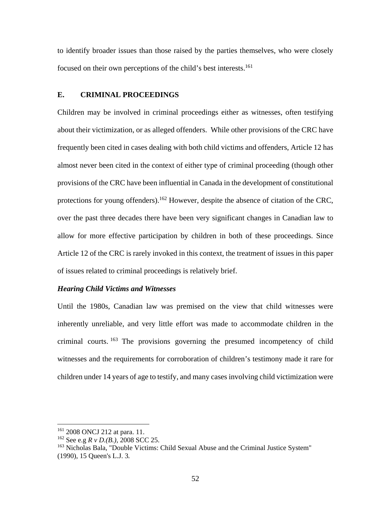to identify broader issues than those raised by the parties themselves, who were closely focused on their own perceptions of the child's best interests.<sup>161</sup>

## **E. CRIMINAL PROCEEDINGS**

Children may be involved in criminal proceedings either as witnesses, often testifying about their victimization, or as alleged offenders. While other provisions of the CRC have frequently been cited in cases dealing with both child victims and offenders, Article 12 has almost never been cited in the context of either type of criminal proceeding (though other provisions of the CRC have been influential in Canada in the development of constitutional protections for young offenders).<sup>162</sup> However, despite the absence of citation of the CRC, over the past three decades there have been very significant changes in Canadian law to allow for more effective participation by children in both of these proceedings. Since Article 12 of the CRC is rarely invoked in this context, the treatment of issues in this paper of issues related to criminal proceedings is relatively brief.

### *Hearing Child Victims and Witnesses*

Until the 1980s, Canadian law was premised on the view that child witnesses were inherently unreliable, and very little effort was made to accommodate children in the criminal courts. 163 The provisions governing the presumed incompetency of child witnesses and the requirements for corroboration of children's testimony made it rare for children under 14 years of age to testify, and many cases involving child victimization were

<u>.</u>

<sup>161 2008</sup> ONCJ 212 at para. 11.

<sup>162</sup> See e.g *R v D.(B.),* 2008 SCC 25.

<sup>&</sup>lt;sup>163</sup> Nicholas Bala, "Double Victims: Child Sexual Abuse and the Criminal Justice System" (1990), 15 Queen's L.J. 3*.*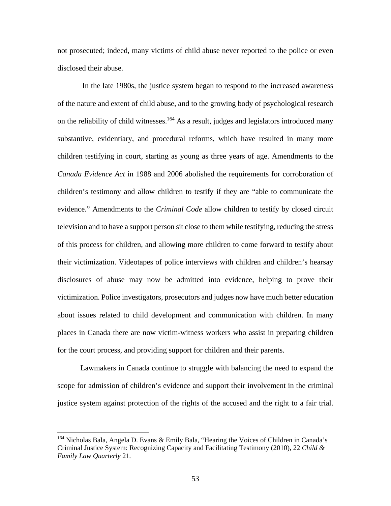not prosecuted; indeed, many victims of child abuse never reported to the police or even disclosed their abuse.

 In the late 1980s, the justice system began to respond to the increased awareness of the nature and extent of child abuse, and to the growing body of psychological research on the reliability of child witnesses.<sup>164</sup> As a result, judges and legislators introduced many substantive, evidentiary, and procedural reforms, which have resulted in many more children testifying in court, starting as young as three years of age. Amendments to the *Canada Evidence Act* in 1988 and 2006 abolished the requirements for corroboration of children's testimony and allow children to testify if they are "able to communicate the evidence." Amendments to the *Criminal Code* allow children to testify by closed circuit television and to have a support person sit close to them while testifying, reducing the stress of this process for children, and allowing more children to come forward to testify about their victimization. Videotapes of police interviews with children and children's hearsay disclosures of abuse may now be admitted into evidence, helping to prove their victimization. Police investigators, prosecutors and judges now have much better education about issues related to child development and communication with children. In many places in Canada there are now victim-witness workers who assist in preparing children for the court process, and providing support for children and their parents.

Lawmakers in Canada continue to struggle with balancing the need to expand the scope for admission of children's evidence and support their involvement in the criminal justice system against protection of the rights of the accused and the right to a fair trial.

<sup>164</sup> Nicholas Bala, Angela D. Evans & Emily Bala, "Hearing the Voices of Children in Canada's Criminal Justice System: Recognizing Capacity and Facilitating Testimony (2010), 22 *Child & Family Law Quarterly* 21*.*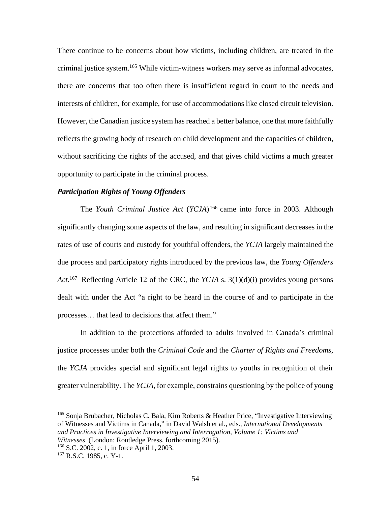There continue to be concerns about how victims, including children, are treated in the criminal justice system.<sup>165</sup> While victim-witness workers may serve as informal advocates, there are concerns that too often there is insufficient regard in court to the needs and interests of children, for example, for use of accommodations like closed circuit television. However, the Canadian justice system has reached a better balance, one that more faithfully reflects the growing body of research on child development and the capacities of children, without sacrificing the rights of the accused, and that gives child victims a much greater opportunity to participate in the criminal process.

### *Participation Rights of Young Offenders*

The *Youth Criminal Justice Act* (*YCJA*) 166 came into force in 2003. Although significantly changing some aspects of the law, and resulting in significant decreases in the rates of use of courts and custody for youthful offenders, the *YCJA* largely maintained the due process and participatory rights introduced by the previous law, the *Young Offenders Act.*167 Reflecting Article 12 of the CRC*,* the *YCJA* s. 3(1)(d)(i) provides young persons dealt with under the Act "a right to be heard in the course of and to participate in the processes… that lead to decisions that affect them."

In addition to the protections afforded to adults involved in Canada's criminal justice processes under both the *Criminal Code* and the *Charter of Rights and Freedoms*, the *YCJA* provides special and significant legal rights to youths in recognition of their greater vulnerability. The *YCJA*, for example, constrains questioning by the police of young

<sup>165</sup> Sonja Brubacher, Nicholas C. Bala, Kim Roberts & Heather Price, "Investigative Interviewing of Witnesses and Victims in Canada," in David Walsh et al., eds., *International Developments and Practices in Investigative Interviewing and Interrogation, Volume 1: Victims and Witnesses* (London: Routledge Press, forthcoming 2015).

<sup>166</sup> S.C. 2002, c. 1, in force April 1, 2003.

<sup>167</sup> R.S.C. 1985, c. Y-1*.*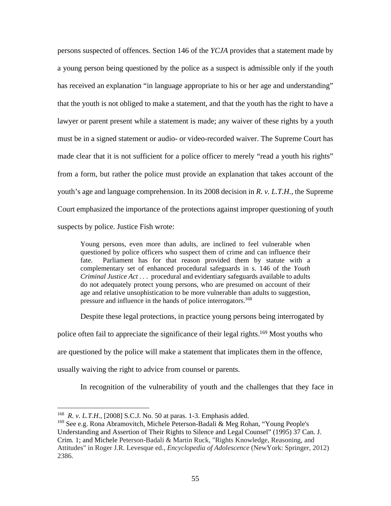persons suspected of offences. Section 146 of the *YCJA* provides that a statement made by a young person being questioned by the police as a suspect is admissible only if the youth has received an explanation "in language appropriate to his or her age and understanding" that the youth is not obliged to make a statement, and that the youth has the right to have a lawyer or parent present while a statement is made; any waiver of these rights by a youth must be in a signed statement or audio- or video-recorded waiver. The Supreme Court has made clear that it is not sufficient for a police officer to merely "read a youth his rights" from a form, but rather the police must provide an explanation that takes account of the youth's age and language comprehension. In its 2008 decision in *R. v. L.T.H.*, the Supreme Court emphasized the importance of the protections against improper questioning of youth suspects by police. Justice Fish wrote:

Young persons, even more than adults, are inclined to feel vulnerable when questioned by police officers who suspect them of crime and can influence their fate. Parliament has for that reason provided them by statute with a complementary set of enhanced procedural safeguards in s. 146 of the *Youth Criminal Justice Act . . .* procedural and evidentiary safeguards available to adults do not adequately protect young persons, who are presumed on account of their age and relative unsophistication to be more vulnerable than adults to suggestion, pressure and influence in the hands of police interrogators.<sup>168</sup>

Despite these legal protections, in practice young persons being interrogated by

police often fail to appreciate the significance of their legal rights.169 Most youths who

are questioned by the police will make a statement that implicates them in the offence,

usually waiving the right to advice from counsel or parents.

In recognition of the vulnerability of youth and the challenges that they face in

<sup>168</sup> *R. v. L.T.H.*, [2008] S.C.J. No. 50 at paras. 1-3. Emphasis added.

<sup>&</sup>lt;sup>169</sup> See e.g. Rona Abramovitch, Michele Peterson-Badali & Meg Rohan, "Young People's Understanding and Assertion of Their Rights to Silence and Legal Counsel" (1995) 37 Can. J. Crim. 1; and Michele Peterson-Badali & Martin Ruck, "Rights Knowledge, Reasoning, and Attitudes" in Roger J.R. Levesque ed., *Encyclopedia of Adolescence* (NewYork: Springer, 2012) 2386.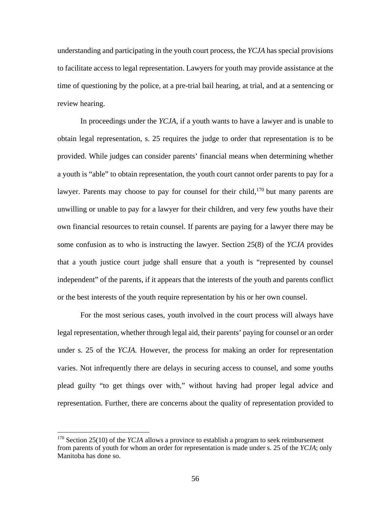understanding and participating in the youth court process, the *YCJA* has special provisions to facilitate access to legal representation. Lawyers for youth may provide assistance at the time of questioning by the police, at a pre-trial bail hearing, at trial, and at a sentencing or review hearing.

In proceedings under the *YCJA*, if a youth wants to have a lawyer and is unable to obtain legal representation, s. 25 requires the judge to order that representation is to be provided. While judges can consider parents' financial means when determining whether a youth is "able" to obtain representation, the youth court cannot order parents to pay for a lawyer. Parents may choose to pay for counsel for their child, $170$  but many parents are unwilling or unable to pay for a lawyer for their children, and very few youths have their own financial resources to retain counsel. If parents are paying for a lawyer there may be some confusion as to who is instructing the lawyer. Section 25(8) of the *YCJA* provides that a youth justice court judge shall ensure that a youth is "represented by counsel independent" of the parents, if it appears that the interests of the youth and parents conflict or the best interests of the youth require representation by his or her own counsel.

For the most serious cases, youth involved in the court process will always have legal representation, whether through legal aid, their parents' paying for counsel or an order under s. 25 of the *YCJA.* However, the process for making an order for representation varies. Not infrequently there are delays in securing access to counsel, and some youths plead guilty "to get things over with," without having had proper legal advice and representation. Further, there are concerns about the quality of representation provided to

<sup>&</sup>lt;sup>170</sup> Section 25(10) of the *YCJA* allows a province to establish a program to seek reimbursement from parents of youth for whom an order for representation is made under s. 25 of the *YCJA*; only Manitoba has done so.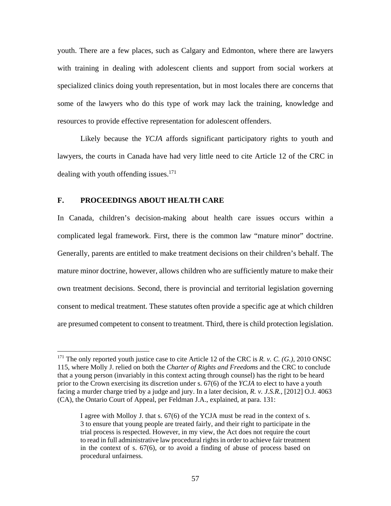youth. There are a few places, such as Calgary and Edmonton, where there are lawyers with training in dealing with adolescent clients and support from social workers at specialized clinics doing youth representation, but in most locales there are concerns that some of the lawyers who do this type of work may lack the training, knowledge and resources to provide effective representation for adolescent offenders.

Likely because the *YCJA* affords significant participatory rights to youth and lawyers, the courts in Canada have had very little need to cite Article 12 of the CRC in dealing with youth offending issues. $171$ 

### **F. PROCEEDINGS ABOUT HEALTH CARE**

 $\overline{a}$ 

In Canada, children's decision-making about health care issues occurs within a complicated legal framework. First, there is the common law "mature minor" doctrine. Generally, parents are entitled to make treatment decisions on their children's behalf. The mature minor doctrine, however, allows children who are sufficiently mature to make their own treatment decisions. Second, there is provincial and territorial legislation governing consent to medical treatment. These statutes often provide a specific age at which children are presumed competent to consent to treatment. Third, there is child protection legislation.

<sup>171</sup> The only reported youth justice case to cite Article 12 of the CRC is *R. v. C. (G.)*, 2010 ONSC 115, where Molly J. relied on both the *Charter of Rights and Freedoms* and the CRC to conclude that a young person (invariably in this context acting through counsel) has the right to be heard prior to the Crown exercising its discretion under s. 67(6) of the *YCJA* to elect to have a youth facing a murder charge tried by a judge and jury. In a later decision, *R. v. J.S.R.,* [2012] O.J. 4063 (CA), the Ontario Court of Appeal, per Feldman J.A., explained, at para. 131:

I agree with Molloy J. that s. 67(6) of the YCJA must be read in the context of s. 3 to ensure that young people are treated fairly, and their right to participate in the trial process is respected. However, in my view, the Act does not require the court to read in full administrative law procedural rights in order to achieve fair treatment in the context of s. 67(6), or to avoid a finding of abuse of process based on procedural unfairness.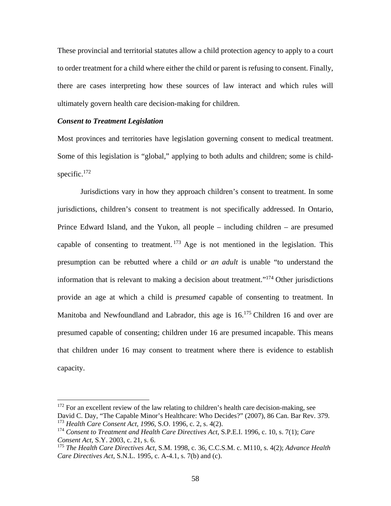These provincial and territorial statutes allow a child protection agency to apply to a court to order treatment for a child where either the child or parent is refusing to consent. Finally, there are cases interpreting how these sources of law interact and which rules will ultimately govern health care decision-making for children.

### *Consent to Treatment Legislation*

 $\overline{a}$ 

Most provinces and territories have legislation governing consent to medical treatment. Some of this legislation is "global," applying to both adults and children; some is childspecific. $172$ 

 Jurisdictions vary in how they approach children's consent to treatment. In some jurisdictions, children's consent to treatment is not specifically addressed. In Ontario, Prince Edward Island, and the Yukon, all people – including children – are presumed capable of consenting to treatment. 173 Age is not mentioned in the legislation. This presumption can be rebutted where a child *or an adult* is unable "to understand the information that is relevant to making a decision about treatment."<sup>174</sup> Other jurisdictions provide an age at which a child is *presumed* capable of consenting to treatment. In Manitoba and Newfoundland and Labrador, this age is 16.<sup>175</sup> Children 16 and over are presumed capable of consenting; children under 16 are presumed incapable. This means that children under 16 may consent to treatment where there is evidence to establish capacity.

 $172$  For an excellent review of the law relating to children's health care decision-making, see David C. Day, "The Capable Minor's Healthcare: Who Decides?" (2007), 86 Can. Bar Rev. 379. <sup>173</sup> *Health Care Consent Act, 1996*, S.O. 1996, c. 2, s. 4(2).

<sup>174</sup> *Consent to Treatment and Health Care Directives Act*, S.P.E.I. 1996, c. 10, s. 7(1); *Care Consent Act*, S.Y. 2003, c. 21, s. 6.

<sup>175</sup> *The Health Care Directives Act*, S.M. 1998, c. 36, C.C.S.M. c. M110, s. 4(2); *Advance Health Care Directives Act*, S.N.L. 1995, c. A-4.1, s. 7(b) and (c).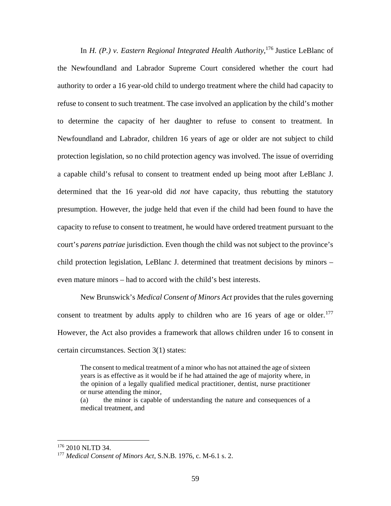In *H.* (P.) v. Eastern Regional Integrated Health Authority,<sup>176</sup> Justice LeBlanc of the Newfoundland and Labrador Supreme Court considered whether the court had authority to order a 16 year-old child to undergo treatment where the child had capacity to refuse to consent to such treatment. The case involved an application by the child's mother to determine the capacity of her daughter to refuse to consent to treatment. In Newfoundland and Labrador, children 16 years of age or older are not subject to child protection legislation, so no child protection agency was involved. The issue of overriding a capable child's refusal to consent to treatment ended up being moot after LeBlanc J. determined that the 16 year-old did *not* have capacity, thus rebutting the statutory presumption. However, the judge held that even if the child had been found to have the capacity to refuse to consent to treatment, he would have ordered treatment pursuant to the court's *parens patriae* jurisdiction. Even though the child was not subject to the province's child protection legislation, LeBlanc J. determined that treatment decisions by minors – even mature minors – had to accord with the child's best interests.

 New Brunswick's *Medical Consent of Minors Act* provides that the rules governing consent to treatment by adults apply to children who are 16 years of age or older.<sup>177</sup> However, the Act also provides a framework that allows children under 16 to consent in certain circumstances. Section 3(1) states:

The consent to medical treatment of a minor who has not attained the age of sixteen years is as effective as it would be if he had attained the age of majority where, in the opinion of a legally qualified medical practitioner, dentist, nurse practitioner or nurse attending the minor,

(a) the minor is capable of understanding the nature and consequences of a medical treatment, and

 $\overline{a}$ <sup>176</sup> 2010 NLTD 34.

<sup>177</sup> *Medical Consent of Minors Act*, S.N.B. 1976, c. M-6.1 s. 2.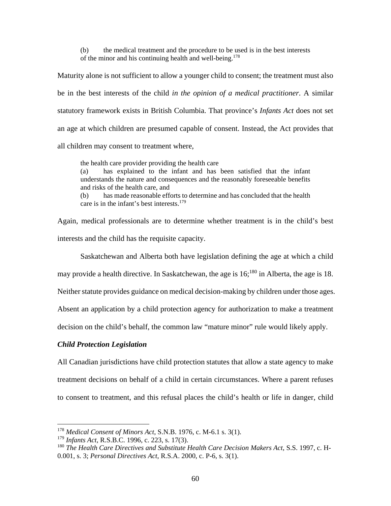(b) the medical treatment and the procedure to be used is in the best interests of the minor and his continuing health and well-being.<sup>178</sup>

Maturity alone is not sufficient to allow a younger child to consent; the treatment must also be in the best interests of the child *in the opinion of a medical practitioner*. A similar statutory framework exists in British Columbia. That province's *Infants Act* does not set an age at which children are presumed capable of consent. Instead, the Act provides that all children may consent to treatment where,

the health care provider providing the health care (a) has explained to the infant and has been satisfied that the infant understands the nature and consequences and the reasonably foreseeable benefits and risks of the health care, and

(b) has made reasonable efforts to determine and has concluded that the health care is in the infant's best interests.<sup>179</sup>

Again, medical professionals are to determine whether treatment is in the child's best interests and the child has the requisite capacity.

Saskatchewan and Alberta both have legislation defining the age at which a child

may provide a health directive. In Saskatchewan, the age is  $16$ ;<sup>180</sup> in Alberta, the age is 18.

Neither statute provides guidance on medical decision-making by children under those ages.

Absent an application by a child protection agency for authorization to make a treatment

decision on the child's behalf, the common law "mature minor" rule would likely apply.

### *Child Protection Legislation*

 $\overline{a}$ 

All Canadian jurisdictions have child protection statutes that allow a state agency to make treatment decisions on behalf of a child in certain circumstances. Where a parent refuses to consent to treatment, and this refusal places the child's health or life in danger, child

<sup>178</sup> *Medical Consent of Minors Act*, S.N.B. 1976, c. M-6.1 s. 3(1).

<sup>179</sup> *Infants Act*, R.S.B.C. 1996, c. 223, s. 17(3).

<sup>180</sup> *The Health Care Directives and Substitute Health Care Decision Makers Act*, S.S. 1997, c. H-0.001, s. 3; *Personal Directives Act*, R.S.A. 2000, c. P-6, s. 3(1).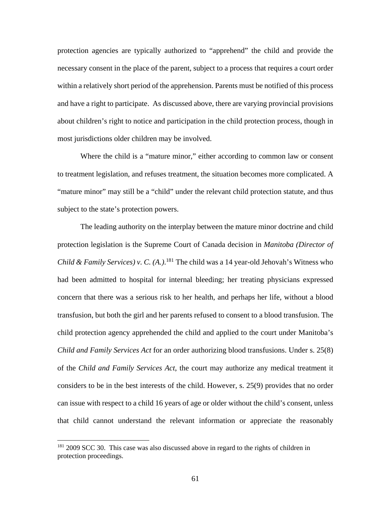protection agencies are typically authorized to "apprehend" the child and provide the necessary consent in the place of the parent, subject to a process that requires a court order within a relatively short period of the apprehension. Parents must be notified of this process and have a right to participate. As discussed above, there are varying provincial provisions about children's right to notice and participation in the child protection process, though in most jurisdictions older children may be involved.

Where the child is a "mature minor," either according to common law or consent to treatment legislation, and refuses treatment, the situation becomes more complicated. A "mature minor" may still be a "child" under the relevant child protection statute, and thus subject to the state's protection powers.

 The leading authority on the interplay between the mature minor doctrine and child protection legislation is the Supreme Court of Canada decision in *Manitoba (Director of Child & Family Services) v. C. (A.)*. 181 The child was a 14 year-old Jehovah's Witness who had been admitted to hospital for internal bleeding; her treating physicians expressed concern that there was a serious risk to her health, and perhaps her life, without a blood transfusion, but both the girl and her parents refused to consent to a blood transfusion. The child protection agency apprehended the child and applied to the court under Manitoba's *Child and Family Services Act* for an order authorizing blood transfusions. Under s. 25(8) of the *Child and Family Services Act*, the court may authorize any medical treatment it considers to be in the best interests of the child. However, s. 25(9) provides that no order can issue with respect to a child 16 years of age or older without the child's consent, unless that child cannot understand the relevant information or appreciate the reasonably

<sup>&</sup>lt;sup>181</sup> 2009 SCC 30. This case was also discussed above in regard to the rights of children in protection proceedings.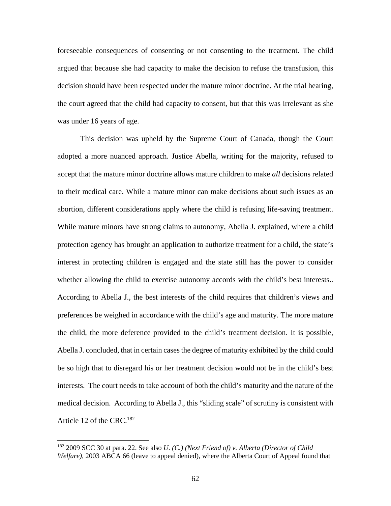foreseeable consequences of consenting or not consenting to the treatment. The child argued that because she had capacity to make the decision to refuse the transfusion, this decision should have been respected under the mature minor doctrine. At the trial hearing, the court agreed that the child had capacity to consent, but that this was irrelevant as she was under 16 years of age.

 This decision was upheld by the Supreme Court of Canada, though the Court adopted a more nuanced approach. Justice Abella, writing for the majority, refused to accept that the mature minor doctrine allows mature children to make *all* decisions related to their medical care. While a mature minor can make decisions about such issues as an abortion, different considerations apply where the child is refusing life-saving treatment. While mature minors have strong claims to autonomy, Abella J. explained, where a child protection agency has brought an application to authorize treatment for a child, the state's interest in protecting children is engaged and the state still has the power to consider whether allowing the child to exercise autonomy accords with the child's best interests.. According to Abella J., the best interests of the child requires that children's views and preferences be weighed in accordance with the child's age and maturity. The more mature the child, the more deference provided to the child's treatment decision. It is possible, Abella J. concluded, that in certain cases the degree of maturity exhibited by the child could be so high that to disregard his or her treatment decision would not be in the child's best interests. The court needs to take account of both the child's maturity and the nature of the medical decision. According to Abella J., this "sliding scale" of scrutiny is consistent with Article 12 of the CRC.<sup>182</sup>

<sup>182 2009</sup> SCC 30 at para. 22. See also *U. (C.) (Next Friend of) v. Alberta (Director of Child Welfare),* 2003 ABCA 66 (leave to appeal denied), where the Alberta Court of Appeal found that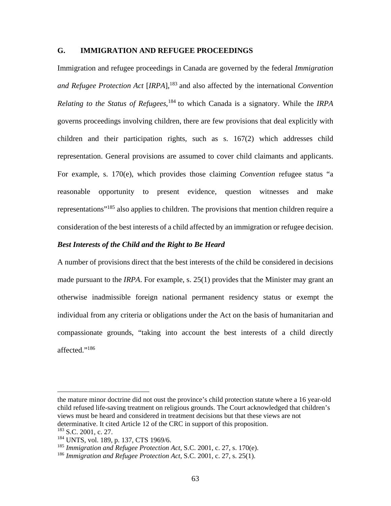### **G. IMMIGRATION AND REFUGEE PROCEEDINGS**

Immigration and refugee proceedings in Canada are governed by the federal *Immigration and Refugee Protection Act* [*IRPA*],<sup>183</sup> and also affected by the international *Convention Relating to the Status of Refugees*, <sup>184</sup> to which Canada is a signatory. While the *IRPA* governs proceedings involving children, there are few provisions that deal explicitly with children and their participation rights, such as s. 167(2) which addresses child representation. General provisions are assumed to cover child claimants and applicants. For example, s. 170(e), which provides those claiming *Convention* refugee status "a reasonable opportunity to present evidence, question witnesses and make representations"185 also applies to children. The provisions that mention children require a consideration of the best interests of a child affected by an immigration or refugee decision.

### *Best Interests of the Child and the Right to Be Heard*

A number of provisions direct that the best interests of the child be considered in decisions made pursuant to the *IRPA*. For example, s. 25(1) provides that the Minister may grant an otherwise inadmissible foreign national permanent residency status or exempt the individual from any criteria or obligations under the Act on the basis of humanitarian and compassionate grounds, "taking into account the best interests of a child directly affected."<sup>186</sup>

1

the mature minor doctrine did not oust the province's child protection statute where a 16 year-old child refused life-saving treatment on religious grounds. The Court acknowledged that children's views must be heard and considered in treatment decisions but that these views are not determinative. It cited Article 12 of the CRC in support of this proposition.

<sup>&</sup>lt;sup>183</sup> S.C. 2001, c. 27.

<sup>&</sup>lt;sup>184</sup> UNTS, vol. 189, p. 137, CTS 1969/6.

<sup>185</sup> *Immigration and Refugee Protection Act*, S.C. 2001, c. 27, s. 170(e).

<sup>186</sup> *Immigration and Refugee Protection Act*, S.C. 2001, c. 27, s. 25(1).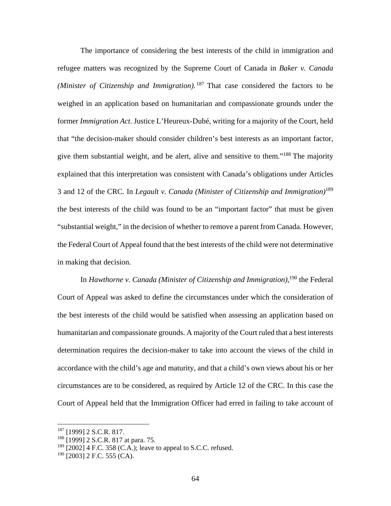The importance of considering the best interests of the child in immigration and refugee matters was recognized by the Supreme Court of Canada in *Baker v. Canada (Minister of Citizenship and Immigration)*. 187 That case considered the factors to be weighed in an application based on humanitarian and compassionate grounds under the former *Immigration Act*. Justice L'Heureux-Dubé, writing for a majority of the Court, held that "the decision-maker should consider children's best interests as an important factor, give them substantial weight, and be alert, alive and sensitive to them."188 The majority explained that this interpretation was consistent with Canada's obligations under Articles 3 and 12 of the CRC*.* In *Legault v. Canada (Minister of Citizenship and Immigration)*<sup>189</sup> the best interests of the child was found to be an "important factor" that must be given "substantial weight," in the decision of whether to remove a parent from Canada. However, the Federal Court of Appeal found that the best interests of the child were not determinative in making that decision.

In *Hawthorne v. Canada (Minister of Citizenship and Immigration)*,<sup>190</sup> the Federal Court of Appeal was asked to define the circumstances under which the consideration of the best interests of the child would be satisfied when assessing an application based on humanitarian and compassionate grounds. A majority of the Court ruled that a best interests determination requires the decision-maker to take into account the views of the child in accordance with the child's age and maturity, and that a child's own views about his or her circumstances are to be considered, as required by Article 12 of the CRC. In this case the Court of Appeal held that the Immigration Officer had erred in failing to take account of

<sup>187 [1999] 2</sup> S.C.R. 817.

<sup>&</sup>lt;sup>188</sup> [1999] 2 S.C.R. 817 at para. 75.

 $189$  [2002] 4 F.C. 358 (C.A.); leave to appeal to S.C.C. refused.

 $190$  [2003] 2 F.C. 555 (CA).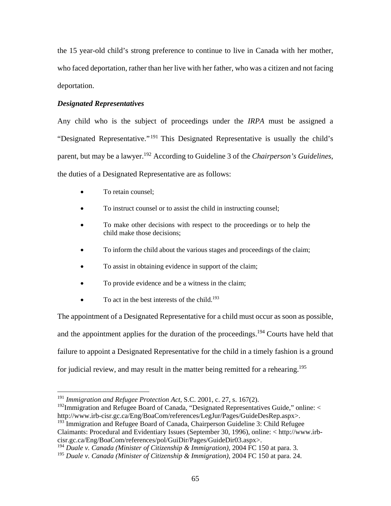the 15 year-old child's strong preference to continue to live in Canada with her mother, who faced deportation, rather than her live with her father, who was a citizen and not facing deportation.

# *Designated Representatives*

Any child who is the subject of proceedings under the *IRPA* must be assigned a "Designated Representative." 191 This Designated Representative is usually the child's parent, but may be a lawyer.192 According to Guideline 3 of the *Chairperson's Guidelines*, the duties of a Designated Representative are as follows:

• To retain counsel;

 $\overline{a}$ 

- To instruct counsel or to assist the child in instructing counsel;
- To make other decisions with respect to the proceedings or to help the child make those decisions;
- To inform the child about the various stages and proceedings of the claim;
- To assist in obtaining evidence in support of the claim;
- To provide evidence and be a witness in the claim;
- $\bullet$  To act in the best interests of the child.<sup>193</sup>

The appointment of a Designated Representative for a child must occur as soon as possible, and the appointment applies for the duration of the proceedings.<sup>194</sup> Courts have held that failure to appoint a Designated Representative for the child in a timely fashion is a ground for judicial review, and may result in the matter being remitted for a rehearing.195

<sup>193</sup> Immigration and Refugee Board of Canada, Chairperson Guideline 3: Child Refugee Claimants: Procedural and Evidentiary Issues (September 30, 1996), online: < http://www.irbcisr.gc.ca/Eng/BoaCom/references/pol/GuiDir/Pages/GuideDir03.aspx>.

<sup>191</sup> *Immigration and Refugee Protection Act*, S.C. 2001, c. 27, s. 167(2).

<sup>&</sup>lt;sup>192</sup>Immigration and Refugee Board of Canada, "Designated Representatives Guide," online:  $\lt$ http://www.irb-cisr.gc.ca/Eng/BoaCom/references/LegJur/Pages/GuideDesRep.aspx>.

<sup>194</sup> *Duale v. Canada (Minister of Citizenship & Immigration),* 2004 FC 150 at para. 3*.* 

<sup>195</sup> *Duale v. Canada (Minister of Citizenship & Immigration),* 2004 FC 150 at para. 24.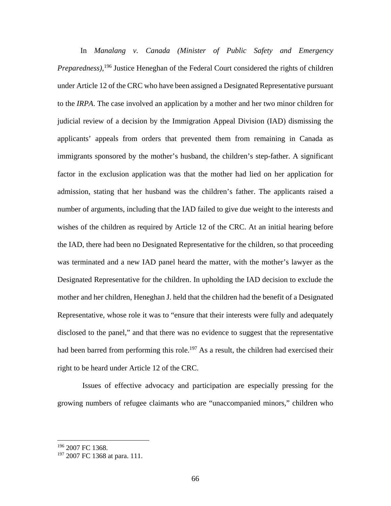In *Manalang v. Canada (Minister of Public Safety and Emergency Preparedness)*, 196 Justice Heneghan of the Federal Court considered the rights of children under Article 12 of the CRC who have been assigned a Designated Representative pursuant to the *IRPA*. The case involved an application by a mother and her two minor children for judicial review of a decision by the Immigration Appeal Division (IAD) dismissing the applicants' appeals from orders that prevented them from remaining in Canada as immigrants sponsored by the mother's husband, the children's step-father. A significant factor in the exclusion application was that the mother had lied on her application for admission, stating that her husband was the children's father. The applicants raised a number of arguments, including that the IAD failed to give due weight to the interests and wishes of the children as required by Article 12 of the CRC. At an initial hearing before the IAD, there had been no Designated Representative for the children, so that proceeding was terminated and a new IAD panel heard the matter, with the mother's lawyer as the Designated Representative for the children. In upholding the IAD decision to exclude the mother and her children, Heneghan J. held that the children had the benefit of a Designated Representative, whose role it was to "ensure that their interests were fully and adequately disclosed to the panel," and that there was no evidence to suggest that the representative had been barred from performing this role.<sup>197</sup> As a result, the children had exercised their right to be heard under Article 12 of the CRC.

 Issues of effective advocacy and participation are especially pressing for the growing numbers of refugee claimants who are "unaccompanied minors," children who

1

<sup>196 2007</sup> FC 1368.

<sup>&</sup>lt;sup>197</sup> 2007 FC 1368 at para. 111.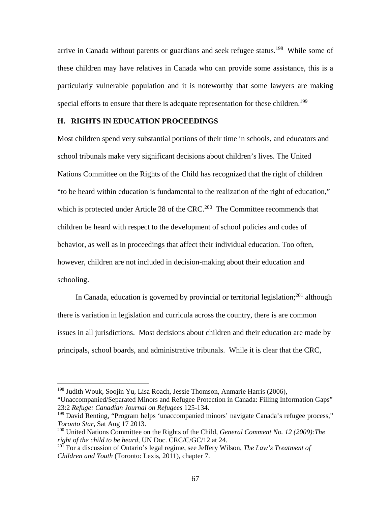arrive in Canada without parents or guardians and seek refugee status.<sup>198</sup> While some of these children may have relatives in Canada who can provide some assistance, this is a particularly vulnerable population and it is noteworthy that some lawyers are making special efforts to ensure that there is adequate representation for these children.<sup>199</sup>

## **H. RIGHTS IN EDUCATION PROCEEDINGS**

Most children spend very substantial portions of their time in schools, and educators and school tribunals make very significant decisions about children's lives. The United Nations Committee on the Rights of the Child has recognized that the right of children "to be heard within education is fundamental to the realization of the right of education," which is protected under Article 28 of the CRC.<sup>200</sup> The Committee recommends that children be heard with respect to the development of school policies and codes of behavior, as well as in proceedings that affect their individual education. Too often, however, children are not included in decision-making about their education and schooling.

In Canada, education is governed by provincial or territorial legislation; $^{201}$  although there is variation in legislation and curricula across the country, there is are common issues in all jurisdictions. Most decisions about children and their education are made by principals, school boards, and administrative tribunals. While it is clear that the CRC,

1

<sup>198</sup> Judith Wouk, Soojin Yu, Lisa Roach, Jessie Thomson, Anmarie Harris (2006),

<sup>&</sup>quot;Unaccompanied/Separated Minors and Refugee Protection in Canada: Filling Information Gaps" 23:2 *Refuge: Canadian Journal on Refugees* 125-134.

<sup>&</sup>lt;sup>199</sup> David Renting, "Program helps 'unaccompanied minors' navigate Canada's refugee process," *Toronto Star*, Sat Aug 17 2013.

<sup>200</sup> United Nations Committee on the Rights of the Child, *General Comment No. 12 (2009):The right of the child to be heard,* UN Doc. CRC/C/GC/12 at 24.

<sup>201</sup> For a discussion of Ontario's legal regime, see Jeffery Wilson, *The Law's Treatment of Children and Youth* (Toronto: Lexis, 2011), chapter 7.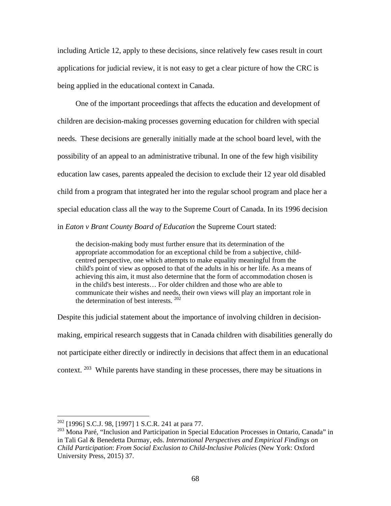including Article 12, apply to these decisions, since relatively few cases result in court applications for judicial review, it is not easy to get a clear picture of how the CRC is being applied in the educational context in Canada.

One of the important proceedings that affects the education and development of children are decision-making processes governing education for children with special needs. These decisions are generally initially made at the school board level, with the possibility of an appeal to an administrative tribunal. In one of the few high visibility education law cases, parents appealed the decision to exclude their 12 year old disabled child from a program that integrated her into the regular school program and place her a special education class all the way to the Supreme Court of Canada. In its 1996 decision in *Eaton v Brant County Board of Education* the Supreme Court stated:

the decision-making body must further ensure that its determination of the appropriate accommodation for an exceptional child be from a subjective, childcentred perspective, one which attempts to make equality meaningful from the child's point of view as opposed to that of the adults in his or her life. As a means of achieving this aim, it must also determine that the form of accommodation chosen is in the child's best interests… For older children and those who are able to communicate their wishes and needs, their own views will play an important role in the determination of best interests. <sup>202</sup>

Despite this judicial statement about the importance of involving children in decisionmaking, empirical research suggests that in Canada children with disabilities generally do not participate either directly or indirectly in decisions that affect them in an educational context.  $203$  While parents have standing in these processes, there may be situations in

 $202$  [1996] S.C.J. 98, [1997] 1 S.C.R. 241 at para 77.

<sup>&</sup>lt;sup>203</sup> Mona Paré, "Inclusion and Participation in Special Education Processes in Ontario, Canada" in in Tali Gal & Benedetta Durmay, eds. *International Perspectives and Empirical Findings on Child Participation*: *From Social Exclusion to Child-Inclusive Policies* (New York: Oxford University Press, 2015) 37.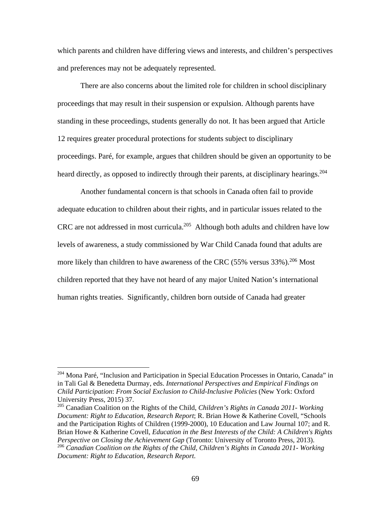which parents and children have differing views and interests, and children's perspectives and preferences may not be adequately represented.

There are also concerns about the limited role for children in school disciplinary proceedings that may result in their suspension or expulsion. Although parents have standing in these proceedings, students generally do not. It has been argued that Article 12 requires greater procedural protections for students subject to disciplinary proceedings. Paré, for example, argues that children should be given an opportunity to be heard directly, as opposed to indirectly through their parents, at disciplinary hearings.<sup>204</sup>

Another fundamental concern is that schools in Canada often fail to provide adequate education to children about their rights, and in particular issues related to the CRC are not addressed in most curricula.205 Although both adults and children have low levels of awareness, a study commissioned by War Child Canada found that adults are more likely than children to have awareness of the CRC (55% versus  $33\%$ ).<sup>206</sup> Most children reported that they have not heard of any major United Nation's international human rights treaties. Significantly, children born outside of Canada had greater

<sup>&</sup>lt;sup>204</sup> Mona Paré, "Inclusion and Participation in Special Education Processes in Ontario, Canada" in in Tali Gal & Benedetta Durmay, eds. *International Perspectives and Empirical Findings on Child Participation*: *From Social Exclusion to Child-Inclusive Policies* (New York: Oxford University Press, 2015) 37.

<sup>205</sup> Canadian Coalition on the Rights of the Child, *Children's Rights in Canada 2011- Working Document: Right to Education, Research Report*; R. Brian Howe & Katherine Covell, "Schools and the Participation Rights of Children (1999-2000), 10 Education and Law Journal 107; and R. Brian Howe & Katherine Covell, *Education in the Best Interests of the Child: A Children's Rights Perspective on Closing the Achievement Gap* (Toronto: University of Toronto Press, 2013). <sup>206</sup> *Canadian Coalition on the Rights of the Child, Children's Rights in Canada 2011*- *Working Document: Right to Education, Research Report*.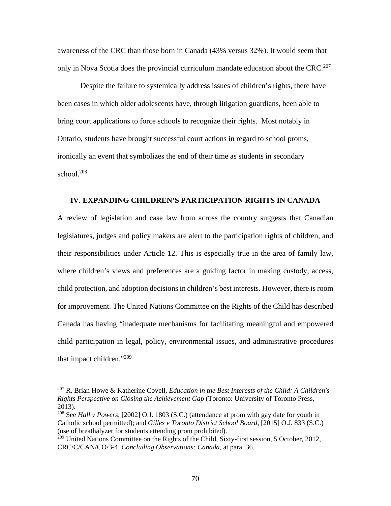awareness of the CRC than those born in Canada (43% versus 32%). It would seem that only in Nova Scotia does the provincial curriculum mandate education about the CRC*.* <sup>207</sup>

Despite the failure to systemically address issues of children's rights, there have been cases in which older adolescents have, through litigation guardians, been able to bring court applications to force schools to recognize their rights. Most notably in Ontario, students have brought successful court actions in regard to school proms, ironically an event that symbolizes the end of their time as students in secondary school. $208$ 

# **IV. EXPANDING CHILDREN'S PARTICIPATION RIGHTS IN CANADA**

A review of legislation and case law from across the country suggests that Canadian legislatures, judges and policy makers are alert to the participation rights of children, and their responsibilities under Article 12. This is especially true in the area of family law, where children's views and preferences are a guiding factor in making custody, access, child protection, and adoption decisions in children's best interests. However, there is room for improvement. The United Nations Committee on the Rights of the Child has described Canada has having "inadequate mechanisms for facilitating meaningful and empowered child participation in legal, policy, environmental issues, and administrative procedures that impact children."209

1

<sup>207</sup> R. Brian Howe & Katherine Covell, *Education in the Best Interests of the Child: A Children's Rights Perspective on Closing the Achievement Gap* (Toronto: University of Toronto Press, 2013).

<sup>208</sup> See *Hall v Powers,* [2002] O.J. 1803 (S.C.) (attendance at prom with gay date for youth in Catholic school permitted); and *Gilles v Toronto District School Board,* [2015] O.J. 833 (S.C.) (use of breathalyzer for students attending prom prohibited).

<sup>&</sup>lt;sup>209</sup> United Nations Committee on the Rights of the Child, Sixty-first session, 5 October, 2012, CRC/C/CAN/CO/3-4*, Concluding Observations: Canada*, at para. 36.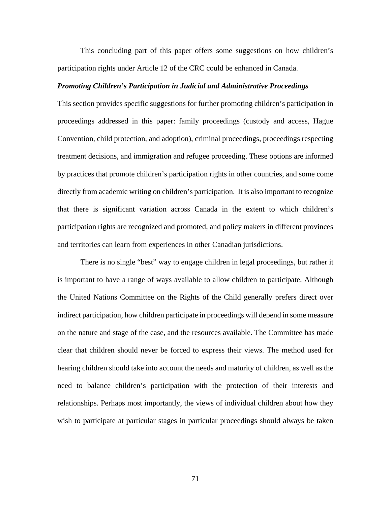This concluding part of this paper offers some suggestions on how children's participation rights under Article 12 of the CRC could be enhanced in Canada.

#### *Promoting Children's Participation in Judicial and Administrative Proceedings*

This section provides specific suggestions for further promoting children's participation in proceedings addressed in this paper: family proceedings (custody and access, Hague Convention, child protection, and adoption), criminal proceedings, proceedings respecting treatment decisions, and immigration and refugee proceeding. These options are informed by practices that promote children's participation rights in other countries, and some come directly from academic writing on children's participation. It is also important to recognize that there is significant variation across Canada in the extent to which children's participation rights are recognized and promoted, and policy makers in different provinces and territories can learn from experiences in other Canadian jurisdictions.

 There is no single "best" way to engage children in legal proceedings, but rather it is important to have a range of ways available to allow children to participate. Although the United Nations Committee on the Rights of the Child generally prefers direct over indirect participation, how children participate in proceedings will depend in some measure on the nature and stage of the case, and the resources available. The Committee has made clear that children should never be forced to express their views. The method used for hearing children should take into account the needs and maturity of children, as well as the need to balance children's participation with the protection of their interests and relationships. Perhaps most importantly, the views of individual children about how they wish to participate at particular stages in particular proceedings should always be taken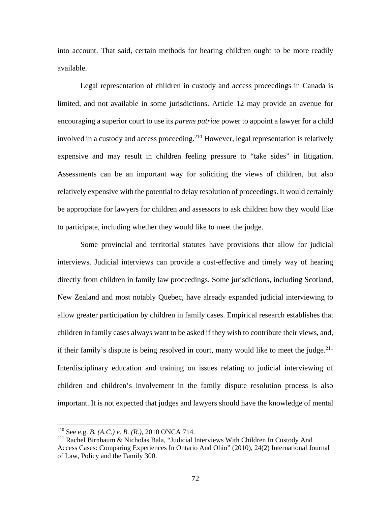into account. That said, certain methods for hearing children ought to be more readily available.

Legal representation of children in custody and access proceedings in Canada is limited, and not available in some jurisdictions. Article 12 may provide an avenue for encouraging a superior court to use its *parens patriae* power to appoint a lawyer for a child involved in a custody and access proceeding.<sup>210</sup> However, legal representation is relatively expensive and may result in children feeling pressure to "take sides" in litigation. Assessments can be an important way for soliciting the views of children, but also relatively expensive with the potential to delay resolution of proceedings. It would certainly be appropriate for lawyers for children and assessors to ask children how they would like to participate, including whether they would like to meet the judge.

Some provincial and territorial statutes have provisions that allow for judicial interviews. Judicial interviews can provide a cost-effective and timely way of hearing directly from children in family law proceedings. Some jurisdictions, including Scotland, New Zealand and most notably Quebec, have already expanded judicial interviewing to allow greater participation by children in family cases. Empirical research establishes that children in family cases always want to be asked if they wish to contribute their views, and, if their family's dispute is being resolved in court, many would like to meet the judge.<sup>211</sup> Interdisciplinary education and training on issues relating to judicial interviewing of children and children's involvement in the family dispute resolution process is also important. It is not expected that judges and lawyers should have the knowledge of mental

<u>.</u>

<sup>210</sup> See e.g. *B. (A.C.) v. B. (R.),* 2010 ONCA 714.

<sup>211</sup> Rachel Birnbaum & Nicholas Bala, "Judicial Interviews With Children In Custody And Access Cases: Comparing Experiences In Ontario And Ohio" (2010), 24(2) International Journal of Law, Policy and the Family 300.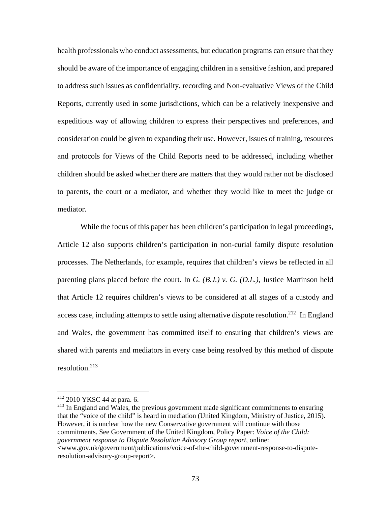health professionals who conduct assessments, but education programs can ensure that they should be aware of the importance of engaging children in a sensitive fashion, and prepared to address such issues as confidentiality, recording and Non-evaluative Views of the Child Reports, currently used in some jurisdictions, which can be a relatively inexpensive and expeditious way of allowing children to express their perspectives and preferences, and consideration could be given to expanding their use. However, issues of training, resources and protocols for Views of the Child Reports need to be addressed, including whether children should be asked whether there are matters that they would rather not be disclosed to parents, the court or a mediator, and whether they would like to meet the judge or mediator.

 While the focus of this paper has been children's participation in legal proceedings, Article 12 also supports children's participation in non-curial family dispute resolution processes. The Netherlands, for example, requires that children's views be reflected in all parenting plans placed before the court. In *G. (B.J.) v. G. (D.L.)*, Justice Martinson held that Article 12 requires children's views to be considered at all stages of a custody and access case, including attempts to settle using alternative dispute resolution.<sup>212</sup> In England and Wales, the government has committed itself to ensuring that children's views are shared with parents and mediators in every case being resolved by this method of dispute resolution.213

 $\overline{a}$ 

 $213$  In England and Wales, the previous government made significant commitments to ensuring that the "voice of the child" is heard in mediation (United Kingdom, Ministry of Justice, 2015). However, it is unclear how the new Conservative government will continue with those commitments. See Government of the United Kingdom, Policy Paper: *Voice of the Child: government response to Dispute Resolution Advisory Group report*, online: <www.gov.uk/government/publications/voice-of-the-child-government-response-to-disputeresolution-advisory-group-report>.

<sup>212 2010</sup> YKSC 44 at para. 6.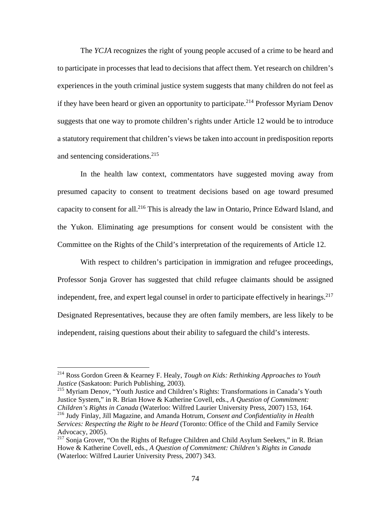The *YCJA* recognizes the right of young people accused of a crime to be heard and to participate in processes that lead to decisions that affect them. Yet research on children's experiences in the youth criminal justice system suggests that many children do not feel as if they have been heard or given an opportunity to participate.<sup>214</sup> Professor Myriam Denov suggests that one way to promote children's rights under Article 12 would be to introduce a statutory requirement that children's views be taken into account in predisposition reports and sentencing considerations.<sup>215</sup>

 In the health law context, commentators have suggested moving away from presumed capacity to consent to treatment decisions based on age toward presumed capacity to consent for all.216 This is already the law in Ontario, Prince Edward Island, and the Yukon. Eliminating age presumptions for consent would be consistent with the Committee on the Rights of the Child's interpretation of the requirements of Article 12.

With respect to children's participation in immigration and refugee proceedings, Professor Sonja Grover has suggested that child refugee claimants should be assigned independent, free, and expert legal counsel in order to participate effectively in hearings.<sup>217</sup> Designated Representatives, because they are often family members, are less likely to be independent, raising questions about their ability to safeguard the child's interests.

1

215 Myriam Denov, "Youth Justice and Children's Rights: Transformations in Canada's Youth Justice System," in R. Brian Howe & Katherine Covell, eds., *A Question of Commitment: Children's Rights in Canada* (Waterloo: Wilfred Laurier University Press, 2007) 153, 164. 216 Judy Finlay, Jill Magazine, and Amanda Hotrum, *Consent and Confidentiality in Health Services: Respecting the Right to be Heard* (Toronto: Office of the Child and Family Service Advocacy, 2005).

<sup>214</sup> Ross Gordon Green & Kearney F. Healy, *Tough on Kids: Rethinking Approaches to Youth Justice* (Saskatoon: Purich Publishing, 2003).

<sup>&</sup>lt;sup>217</sup> Sonia Grover, "On the Rights of Refugee Children and Child Asylum Seekers," in R. Brian Howe & Katherine Covell, eds., *A Question of Commitment: Children's Rights in Canada* (Waterloo: Wilfred Laurier University Press, 2007) 343.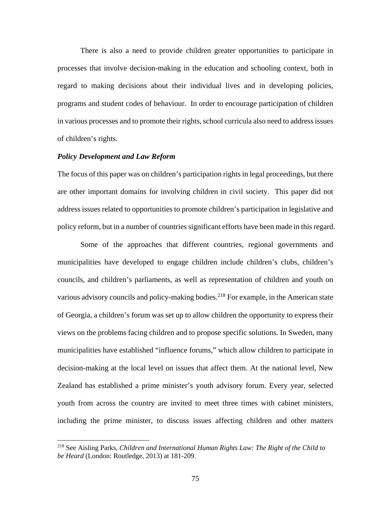There is also a need to provide children greater opportunities to participate in processes that involve decision-making in the education and schooling context, both in regard to making decisions about their individual lives and in developing policies, programs and student codes of behaviour. In order to encourage participation of children in various processes and to promote their rights, school curricula also need to address issues of children's rights.

# *Policy Development and Law Reform*

 $\overline{a}$ 

The focus of this paper was on children's participation rights in legal proceedings, but there are other important domains for involving children in civil society. This paper did not address issues related to opportunities to promote children's participation in legislative and policy reform, but in a number of countries significant efforts have been made in this regard.

Some of the approaches that different countries, regional governments and municipalities have developed to engage children include children's clubs, children's councils, and children's parliaments, as well as representation of children and youth on various advisory councils and policy-making bodies.<sup>218</sup> For example, in the American state of Georgia, a children's forum was set up to allow children the opportunity to express their views on the problems facing children and to propose specific solutions. In Sweden, many municipalities have established "influence forums," which allow children to participate in decision-making at the local level on issues that affect them. At the national level, New Zealand has established a prime minister's youth advisory forum. Every year, selected youth from across the country are invited to meet three times with cabinet ministers, including the prime minister, to discuss issues affecting children and other matters

<sup>218</sup> See Aisling Parks, *Children and International Human Rights Law: The Right of the Child to be Heard* (London: Routledge, 2013) at 181-209.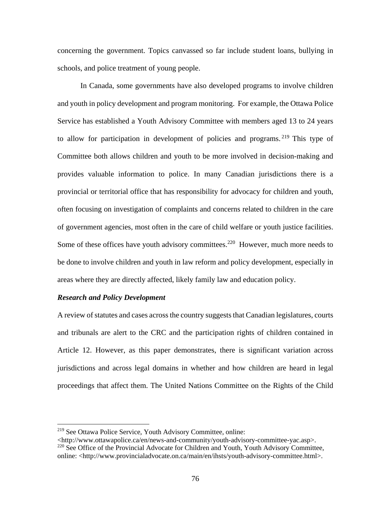concerning the government. Topics canvassed so far include student loans, bullying in schools, and police treatment of young people.

In Canada, some governments have also developed programs to involve children and youth in policy development and program monitoring. For example, the Ottawa Police Service has established a Youth Advisory Committee with members aged 13 to 24 years to allow for participation in development of policies and programs. <sup>219</sup> This type of Committee both allows children and youth to be more involved in decision-making and provides valuable information to police. In many Canadian jurisdictions there is a provincial or territorial office that has responsibility for advocacy for children and youth, often focusing on investigation of complaints and concerns related to children in the care of government agencies, most often in the care of child welfare or youth justice facilities. Some of these offices have youth advisory committees.<sup>220</sup> However, much more needs to be done to involve children and youth in law reform and policy development, especially in areas where they are directly affected, likely family law and education policy.

# *Research and Policy Development*

 $\overline{a}$ 

A review of statutes and cases across the country suggests that Canadian legislatures, courts and tribunals are alert to the CRC and the participation rights of children contained in Article 12. However, as this paper demonstrates, there is significant variation across jurisdictions and across legal domains in whether and how children are heard in legal proceedings that affect them. The United Nations Committee on the Rights of the Child

<sup>219</sup> See Ottawa Police Service, Youth Advisory Committee, online:

<sup>&</sup>lt;http://www.ottawapolice.ca/en/news-and-community/youth-advisory-committee-yac.asp>. <sup>220</sup> See Office of the Provincial Advocate for Children and Youth, Youth Advisory Committee, online: <http://www.provincialadvocate.on.ca/main/en/ihsts/youth-advisory-committee.html>.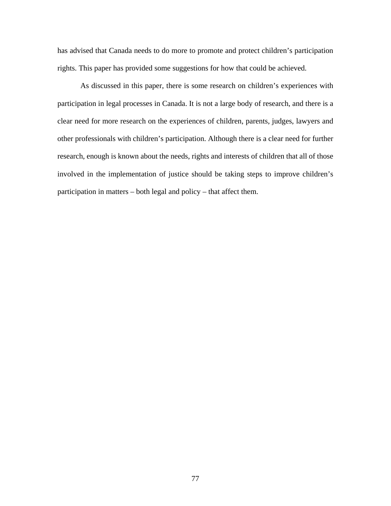has advised that Canada needs to do more to promote and protect children's participation rights. This paper has provided some suggestions for how that could be achieved.

 As discussed in this paper, there is some research on children's experiences with participation in legal processes in Canada. It is not a large body of research, and there is a clear need for more research on the experiences of children, parents, judges, lawyers and other professionals with children's participation. Although there is a clear need for further research, enough is known about the needs, rights and interests of children that all of those involved in the implementation of justice should be taking steps to improve children's participation in matters – both legal and policy – that affect them.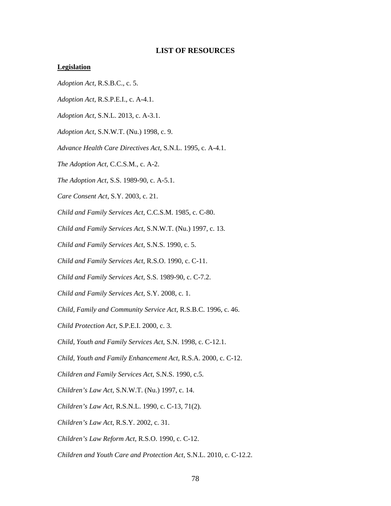### **LIST OF RESOURCES**

#### **Legislation**

- *Adoption Act,* R.S.B.C., c. 5.
- *Adoption Act,* R.S.P.E.I., c. A-4.1.
- *Adoption Act,* S.N.L. 2013, c. A-3.1.
- *Adoption Act,* S.N.W.T. (Nu.) 1998, c. 9.
- *Advance Health Care Directives Act,* S.N.L. 1995, c. A-4.1.
- *The Adoption Act,* C.C.S.M., c. A-2.
- *The Adoption Act*, S.S. 1989-90, c. A-5.1.
- *Care Consent Act*, S.Y. 2003, c. 21.
- *Child and Family Services Act,* C.C.S.M. 1985, c. C-80.
- *Child and Family Services Act,* S.N.W.T. (Nu.) 1997, c. 13.
- *Child and Family Services Act,* S.N.S. 1990, c. 5.
- *Child and Family Services Act,* R.S.O. 1990, c. C-11.
- *Child and Family Services Act,* S.S. 1989-90, c. C-7.2.
- *Child and Family Services Act,* S.Y. 2008, c. 1.
- *Child, Family and Community Service Act,* R.S.B.C. 1996, c. 46.
- *Child Protection Act,* S.P.E.I. 2000, c. 3.
- *Child, Youth and Family Services Act*, S.N. 1998, c. C-12.1.
- *Child, Youth and Family Enhancement Act,* R.S.A. 2000, c. C-12.
- *Children and Family Services Act*, S.N.S. 1990, c.5.
- *Children's Law Act*, S.N.W.T. (Nu.) 1997, c. 14.
- *Children's Law Act,* R.S.N.L. 1990, c. C-13, 71(2).
- *Children's Law Act*, R.S.Y. 2002, c. 31.
- *Children's Law Reform Act,* R.S.O. 1990, c. C-12.
- *Children and Youth Care and Protection Act,* S.N.L. 2010, c. C-12.2.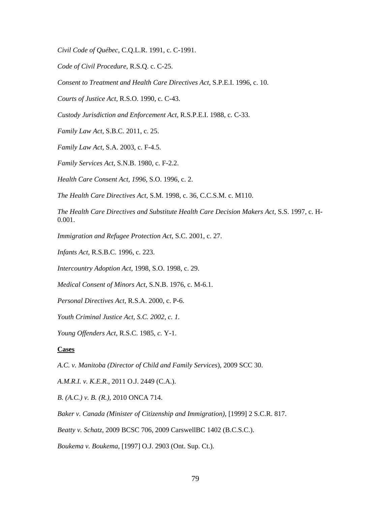*Civil Code of Québec*, C.Q.L.R. 1991, c. C-1991.

*Code of Civil Procedure*, R.S.Q. c. C-25.

*Consent to Treatment and Health Care Directives Act,* S.P.E.I. 1996, c. 10.

*Courts of Justice Act,* R.S.O. 1990, c. C-43.

*Custody Jurisdiction and Enforcement Act,* R.S.P.E.I. 1988, c. C-33.

*Family Law Act,* S.B.C. 2011, c. 25.

*Family Law Act,* S.A. 2003, c. F-4.5.

*Family Services Act,* S.N.B. 1980, c. F-2.2.

*Health Care Consent Act, 1996,* S.O. 1996, c. 2.

*The Health Care Directives Act,* S.M. 1998, c. 36, C.C.S.M. c. M110.

*The Health Care Directives and Substitute Health Care Decision Makers Act,* S.S. 1997, c. H-0.001.

*Immigration and Refugee Protection Act*, S.C. 2001, c. 27.

*Infants Act,* R.S.B.C. 1996, c. 223.

*Intercountry Adoption Act*, 1998, S.O. 1998, c. 29.

*Medical Consent of Minors Act,* S.N.B. 1976, c. M-6.1.

*Personal Directives Act,* R.S.A. 2000, c. P-6.

*Youth Criminal Justice Act, S.C. 2002, c. 1.* 

*Young Offenders Act,* R.S.C. 1985, *c.* Y-1.

# **Cases**

*A.C. v. Manitoba (Director of Child and Family Services*), 2009 SCC 30.

*A.M.R.I. v. K.E.R*.*,* 2011 O.J. 2449 (C.A.).

*B. (A.C.) v. B. (R.),* 2010 ONCA 714.

*Baker v. Canada (Minister of Citizenship and Immigration)*, [1999] 2 S.C.R. 817.

*Beatty v. Schatz*, 2009 BCSC 706, 2009 CarswellBC 1402 (B.C.S.C.).

*Boukema v. Boukema*, [1997] O.J. 2903 (Ont. Sup. Ct.).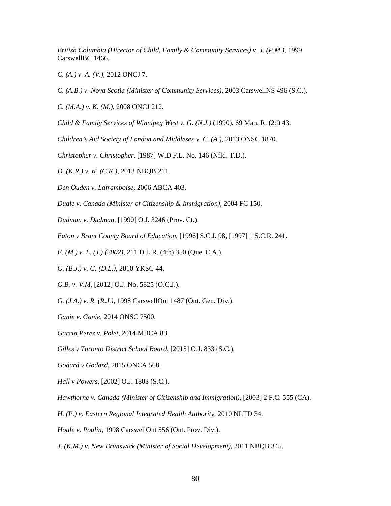*British Columbia (Director of Child, Family & Community Services) v. J. (P.M.)*, 1999 CarswellBC 1466.

*C. (A.) v. A. (V.)*, 2012 ONCJ 7.

*C. (A.B.) v. Nova Scotia (Minister of Community Services)*, 2003 CarswellNS 496 (S.C.).

*C. (M.A.) v. K. (M.),* 2008 ONCJ 212.

*Child & Family Services of Winnipeg West v. G. (N.J.)* (1990), 69 Man. R. (2d) 43.

*Children's Aid Society of London and Middlesex v. C. (A.),* 2013 ONSC 1870.

*Christopher v. Christopher,* [1987] W.D.F.L. No. 146 (Nfld. T.D.).

*D. (K.R.) v. K. (C.K.),* 2013 NBQB 211.

*Den Ouden v. Laframboise*, 2006 ABCA 403.

*Duale v. Canada (Minister of Citizenship & Immigration),* 2004 FC 150.

*Dudman v. Dudman,* [1990] O.J. 3246 (Prov. Ct.).

*Eaton v Brant County Board of Education,* [1996] S.C.J. 98, [1997] 1 S.C.R. 241.

*F. (M.) v. L. (J.) (2002),* 211 D.L.R. (4th) 350 (Que. C.A.).

*G. (B.J.) v. G. (D.L.)*, 2010 YKSC 44.

*G.B. v. V.M*, [2012] O.J. No. 5825 (O.C.J.).

*G. (J.A.) v. R. (R.J.),* 1998 CarswellOnt 1487 (Ont. Gen. Div.).

*Ganie v. Ganie,* 2014 ONSC 7500.

*Garcia Perez v. Polet*, 2014 MBCA 83.

*Gilles v Toronto District School Board,* [2015] O.J. 833 (S.C.).

*Godard v Godard*, 2015 ONCA 568.

*Hall v Powers,* [2002] O.J. 1803 (S.C.).

*Hawthorne v. Canada (Minister of Citizenship and Immigration),* [2003] 2 F.C. 555 (CA).

*H. (P.) v. Eastern Regional Integrated Health Authority*, 2010 NLTD 34.

*Houle v. Poulin*, 1998 CarswellOnt 556 (Ont. Prov. Div.).

*J. (K.M.) v. New Brunswick (Minister of Social Development),* 2011 NBQB 345.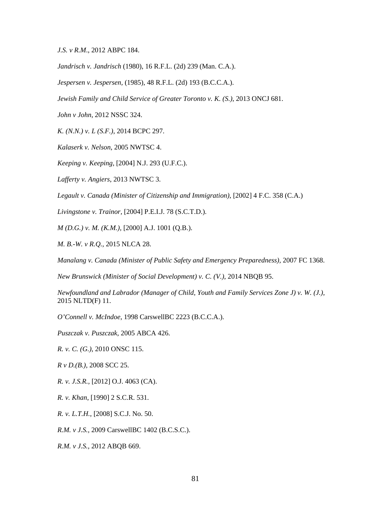*J.S. v R.M*., 2012 ABPC 184.

*Jandrisch v. Jandrisch* (1980), 16 R.F.L. (2d) 239 (Man. C.A.).

*Jespersen v. Jespersen,* (1985), 48 R.F.L. (2d) 193 (B.C.C.A.).

*Jewish Family and Child Service of Greater Toronto v. K. (S.)*, 2013 ONCJ 681.

*John v John*, 2012 NSSC 324.

*K. (N.N.) v. L (S.F.)*, 2014 BCPC 297.

*Kalaserk v. Nelson*, 2005 NWTSC 4.

*Keeping v. Keeping,* [2004] N.J. 293 (U.F.C.).

*Lafferty v. Angiers*, 2013 NWTSC 3.

*Legault v. Canada (Minister of Citizenship and Immigration)*, [2002] 4 F.C. 358 (C.A.)

*Livingstone v. Trainor,* [2004] P.E.I.J. 78 (S.C.T.D.).

*M (D.G.) v. M. (K.M.),* [2000] A.J. 1001 (Q.B.).

*M. B.-W. v R.Q.*, 2015 NLCA 28.

*Manalang v. Canada (Minister of Public Safety and Emergency Preparedness),* 2007 FC 1368.

*New Brunswick (Minister of Social Development) v. C. (V.)*, 2014 NBQB 95.

*Newfoundland and Labrador (Manager of Child, Youth and Family Services Zone J) v. W. (J.),*  2015 NLTD(F) 11.

*O'Connell v. McIndoe*, 1998 CarswellBC 2223 (B.C.C.A.).

*Puszczak v. Puszczak*, 2005 ABCA 426.

*R. v. C. (G.)*, 2010 ONSC 115.

*R v D.(B.),* 2008 SCC 25.

*R. v. J.S.R.,* [2012] O.J. 4063 (CA).

*R. v. Khan*, [1990] 2 S.C.R. 531.

*R. v. L.T.H.*, [2008] S.C.J. No. 50.

*R.M. v J.S.,* 2009 CarswellBC 1402 (B.C.S.C.).

*R.M. v J.S.,* 2012 ABQB 669.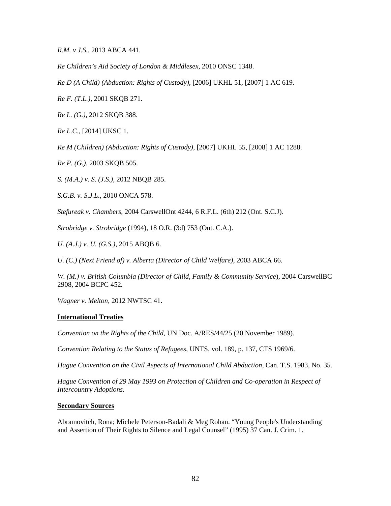*R.M. v J.S.,* 2013 ABCA 441.

*Re Children's Aid Society of London & Middlesex,* 2010 ONSC 1348.

*Re D (A Child) (Abduction: Rights of Custody)*, [2006] UKHL 51, [2007] 1 AC 619.

*Re F. (T.L.),* 2001 SKQB 271.

*Re L. (G.),* 2012 SKQB 388.

*Re L.C*., [2014] UKSC 1.

*Re M (Children) (Abduction: Rights of Custody)*, [2007] UKHL 55, [2008] 1 AC 1288.

*Re P. (G.)*, 2003 SKQB 505.

*S. (M.A.) v. S. (J.S.),* 2012 NBQB 285.

*S.G.B. v. S.J.L*., 2010 ONCA 578.

*Stefureak v. Chambers*, 2004 CarswellOnt 4244, 6 R.F.L. (6th) 212 (Ont. S.C.J)*.* 

*Strobridge v. Strobridge* (1994), 18 O.R. (3d) 753 (Ont. C.A.).

*U. (A.J.) v. U. (G.S.),* 2015 ABQB 6.

*U. (C.) (Next Friend of) v. Alberta (Director of Child Welfare)*, 2003 ABCA 66.

*W. (M.) v. British Columbia (Director of Child, Family & Community Service*), 2004 CarswellBC 2908, 2004 BCPC 452*.*

*Wagner v. Melton*, 2012 NWTSC 41.

# **International Treaties**

*Convention on the Rights of the Child*, UN Doc. A/RES/44/25 (20 November 1989).

*Convention Relating to the Status of Refugees*, UNTS, vol. 189, p. 137, CTS 1969/6.

Hague Convention on the Civil Aspects of International Child Abduction, Can. T.S. 1983, No. 35.

*Hague Convention of 29 May 1993 on Protection of Children and Co-operation in Respect of Intercountry Adoptions.* 

# **Secondary Sources**

Abramovitch, Rona; Michele Peterson-Badali & Meg Rohan. "Young People's Understanding and Assertion of Their Rights to Silence and Legal Counsel" (1995) 37 Can. J. Crim. 1.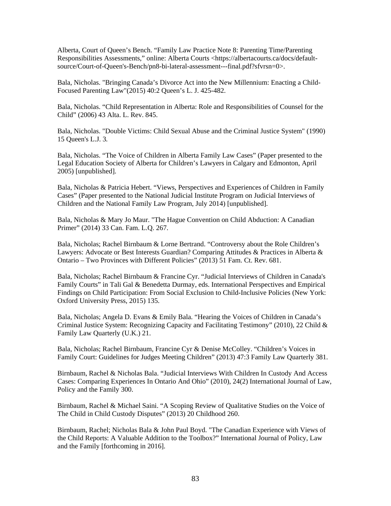Alberta, Court of Queen's Bench. "Family Law Practice Note 8: Parenting Time/Parenting Responsibilities Assessments," online: Alberta Courts <https://albertacourts.ca/docs/defaultsource/Court-of-Queen's-Bench/pn8-bi-lateral-assessment---final.pdf?sfvrsn=0>.

Bala, Nicholas. "Bringing Canada's Divorce Act into the New Millennium: Enacting a Child-Focused Parenting Law"(2015) 40:2 Queen's L. J. 425-482.

Bala, Nicholas. "Child Representation in Alberta: Role and Responsibilities of Counsel for the Child" (2006) 43 Alta. L. Rev. 845.

Bala, Nicholas. "Double Victims: Child Sexual Abuse and the Criminal Justice System" (1990) 15 Queen's L.J. 3*.*

Bala, Nicholas. "The Voice of Children in Alberta Family Law Cases" (Paper presented to the Legal Education Society of Alberta for Children's Lawyers in Calgary and Edmonton, April 2005) [unpublished].

Bala, Nicholas & Patricia Hebert. "Views, Perspectives and Experiences of Children in Family Cases" (Paper presented to the National Judicial Institute Program on Judicial Interviews of Children and the National Family Law Program, July 2014) [unpublished].

Bala, Nicholas & Mary Jo Maur. "The Hague Convention on Child Abduction: A Canadian Primer" (2014) 33 Can. Fam. L.Q. 267.

Bala, Nicholas; Rachel Birnbaum & Lorne Bertrand. "Controversy about the Role Children's Lawyers: Advocate or Best Interests Guardian? Comparing Attitudes & Practices in Alberta & Ontario – Two Provinces with Different Policies" (2013) 51 Fam. Ct. Rev. 681.

Bala, Nicholas; Rachel Birnbaum & Francine Cyr. "Judicial Interviews of Children in Canada's Family Courts" in Tali Gal & Benedetta Durmay, eds. International Perspectives and Empirical Findings on Child Participation: From Social Exclusion to Child-Inclusive Policies (New York: Oxford University Press, 2015) 135.

Bala, Nicholas; Angela D. Evans & Emily Bala. "Hearing the Voices of Children in Canada's Criminal Justice System: Recognizing Capacity and Facilitating Testimony" (2010), 22 Child & Family Law Quarterly (U.K.) 21.

Bala, Nicholas; Rachel Birnbaum, Francine Cyr & Denise McColley. "Children's Voices in Family Court: Guidelines for Judges Meeting Children" (2013) 47:3 Family Law Quarterly 381.

Birnbaum, Rachel & Nicholas Bala. "Judicial Interviews With Children In Custody And Access Cases: Comparing Experiences In Ontario And Ohio" (2010), 24(2) International Journal of Law, Policy and the Family 300.

Birnbaum, Rachel & Michael Saini. "A Scoping Review of Qualitative Studies on the Voice of The Child in Child Custody Disputes" (2013) 20 Childhood 260.

Birnbaum, Rachel; Nicholas Bala & John Paul Boyd. "The Canadian Experience with Views of the Child Reports: A Valuable Addition to the Toolbox?" International Journal of Policy, Law and the Family [forthcoming in 2016].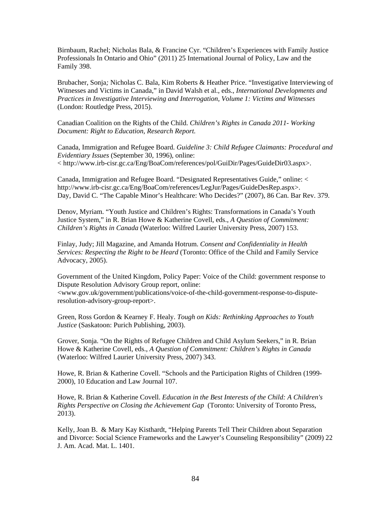Birnbaum, Rachel; Nicholas Bala, & Francine Cyr. "Children's Experiences with Family Justice Professionals In Ontario and Ohio" (2011) 25 International Journal of Policy, Law and the Family 398.

Brubacher, Sonja*;* Nicholas C. Bala, Kim Roberts & Heather Price. "Investigative Interviewing of Witnesses and Victims in Canada," in David Walsh et al., eds., *International Developments and Practices in Investigative Interviewing and Interrogation, Volume 1: Victims and Witnesses* (London: Routledge Press, 2015).

Canadian Coalition on the Rights of the Child. *Children's Rights in Canada 2011- Working Document: Right to Education, Research Report.*

Canada, Immigration and Refugee Board. *Guideline 3: Child Refugee Claimants: Procedural and Evidentiary Issues* (September 30, 1996), online: < http://www.irb-cisr.gc.ca/Eng/BoaCom/references/pol/GuiDir/Pages/GuideDir03.aspx>.

Canada, Immigration and Refugee Board. "Designated Representatives Guide," online: < http://www.irb-cisr.gc.ca/Eng/BoaCom/references/LegJur/Pages/GuideDesRep.aspx>. Day, David C. "The Capable Minor's Healthcare: Who Decides?" (2007), 86 Can. Bar Rev. 379.

Denov, Myriam. "Youth Justice and Children's Rights: Transformations in Canada's Youth Justice System," in R. Brian Howe & Katherine Covell, eds., *A Question of Commitment: Children's Rights in Canada* (Waterloo: Wilfred Laurier University Press, 2007) 153.

Finlay, Judy; Jill Magazine, and Amanda Hotrum. *Consent and Confidentiality in Health Services: Respecting the Right to be Heard* (Toronto: Office of the Child and Family Service Advocacy, 2005).

Government of the United Kingdom, Policy Paper: Voice of the Child: government response to Dispute Resolution Advisory Group report*,* online: <www.gov.uk/government/publications/voice-of-the-child-government-response-to-disputeresolution-advisory-group-report>.

Green, Ross Gordon & Kearney F. Healy. *Tough on Kids: Rethinking Approaches to Youth Justice* (Saskatoon: Purich Publishing, 2003).

Grover, Sonja. "On the Rights of Refugee Children and Child Asylum Seekers," in R. Brian Howe & Katherine Covell, eds., *A Question of Commitment: Children's Rights in Canada* (Waterloo: Wilfred Laurier University Press, 2007) 343.

Howe, R. Brian & Katherine Covell. "Schools and the Participation Rights of Children (1999- 2000), 10 Education and Law Journal 107.

Howe, R. Brian & Katherine Covell. *Education in the Best Interests of the Child: A Children's Rights Perspective on Closing the Achievement Gap* (Toronto: University of Toronto Press, 2013).

Kelly, Joan B. & Mary Kay Kisthardt, "Helping Parents Tell Their Children about Separation and Divorce: Social Science Frameworks and the Lawyer's Counseling Responsibility" (2009) 22 J. Am. Acad. Mat. L. 1401.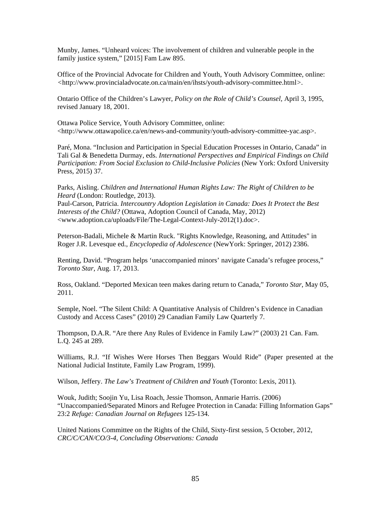Munby, James. "Unheard voices: The involvement of children and vulnerable people in the family justice system," [2015] Fam Law 895.

Office of the Provincial Advocate for Children and Youth, Youth Advisory Committee, online: *<*http://www.provincialadvocate.on.ca/main/en/ihsts/youth-advisory-committee.html*>.* 

Ontario Office of the Children's Lawyer, *Policy on the Role of Child's Counsel,* April 3, 1995, revised January 18, 2001.

Ottawa Police Service, Youth Advisory Committee, online: <http://www.ottawapolice.ca/en/news-and-community/youth-advisory-committee-yac.asp>.

Paré, Mona. "Inclusion and Participation in Special Education Processes in Ontario, Canada" in Tali Gal & Benedetta Durmay, eds. *International Perspectives and Empirical Findings on Child Participation: From Social Exclusion to Child-Inclusive Policies* (New York: Oxford University Press, 2015) 37.

Parks, Aisling. *Children and International Human Rights Law: The Right of Children to be Heard* (London: Routledge, 2013).

Paul-Carson, Patricia. *Intercountry Adoption Legislation in Canada: Does It Protect the Best Interests of the Child?* (Ottawa, Adoption Council of Canada, May, 2012) <www.adoption.ca/uploads/File/The-Legal-Context-July-2012(1).doc>.

Peterson-Badali, Michele & Martin Ruck. "Rights Knowledge, Reasoning, and Attitudes" in Roger J.R. Levesque ed., *Encyclopedia of Adolescence* (NewYork: Springer, 2012) 2386.

Renting, David. "Program helps 'unaccompanied minors' navigate Canada's refugee process," *Toronto Star*, Aug. 17, 2013.

Ross, Oakland. "Deported Mexican teen makes daring return to Canada," *Toronto Star*, May 05, 2011.

Semple, Noel. "The Silent Child: A Quantitative Analysis of Children's Evidence in Canadian Custody and Access Cases" (2010) 29 Canadian Family Law Quarterly 7.

Thompson, D.A.R. "Are there Any Rules of Evidence in Family Law?" (2003) 21 Can. Fam. L.Q. 245 at 289.

Williams, R.J. "If Wishes Were Horses Then Beggars Would Ride" (Paper presented at the National Judicial Institute, Family Law Program, 1999).

Wilson, Jeffery. *The Law's Treatment of Children and Youth* (Toronto: Lexis, 2011).

Wouk, Judith; Soojin Yu, Lisa Roach, Jessie Thomson, Anmarie Harris. (2006) "Unaccompanied/Separated Minors and Refugee Protection in Canada: Filling Information Gaps" 23:2 *Refuge: Canadian Journal on Refugees* 125-134.

United Nations Committee on the Rights of the Child, Sixty-first session, 5 October, 2012, *CRC/C/CAN/CO/3-4*, *Concluding Observations: Canada*